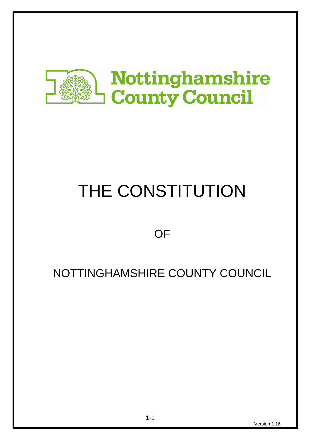

# THE CONSTITUTION

**OF** 

# NOTTINGHAMSHIRE COUNTY COUNCIL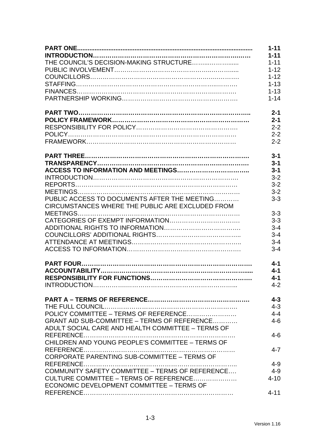|                                                   | $1 - 11$ |
|---------------------------------------------------|----------|
|                                                   | $1 - 11$ |
|                                                   | $1 - 11$ |
|                                                   | $1 - 12$ |
|                                                   | $1 - 12$ |
|                                                   | $1 - 13$ |
|                                                   | $1 - 13$ |
|                                                   | $1 - 14$ |
|                                                   | $2 - 1$  |
|                                                   | $2 - 1$  |
|                                                   | $2 - 2$  |
|                                                   | $2 - 2$  |
|                                                   | $2 - 2$  |
|                                                   | $3 - 1$  |
|                                                   | $3 - 1$  |
|                                                   | $3 - 1$  |
|                                                   | $3 - 2$  |
|                                                   | $3 - 2$  |
|                                                   | $3 - 2$  |
| PUBLIC ACCESS TO DOCUMENTS AFTER THE MEETING      | $3 - 3$  |
| CIRCUMSTANCES WHERE THE PUBLIC ARE EXCLUDED FROM  |          |
|                                                   | $3 - 3$  |
|                                                   | $3 - 3$  |
|                                                   | $3 - 4$  |
|                                                   | $3 - 4$  |
|                                                   | $3 - 4$  |
|                                                   | $3 - 4$  |
|                                                   |          |
|                                                   | $4 - 1$  |
|                                                   | $4 - 1$  |
|                                                   | $4 - 1$  |
|                                                   | $4 - 2$  |
|                                                   |          |
|                                                   | $4 - 3$  |
|                                                   | $4 - 3$  |
|                                                   | $4 - 4$  |
| GRANT AID SUB-COMMITTEE - TERMS OF REFERENCE      | $4 - 6$  |
| ADULT SOCIAL CARE AND HEALTH COMMITTEE - TERMS OF |          |
|                                                   | $4 - 6$  |
| CHILDREN AND YOUNG PEOPLE'S COMMITTEE - TERMS OF  |          |
|                                                   | $4 - 7$  |
| CORPORATE PARENTING SUB-COMMITTEE - TERMS OF      |          |
|                                                   | $4 - 9$  |
| COMMUNITY SAFETY COMMITTEE - TERMS OF REFERENCE   | $4 - 9$  |
| CULTURE COMMITTEE – TERMS OF REFERENCE            | $4 - 10$ |
| ECONOMIC DEVELOPMENT COMMITTEE - TERMS OF         |          |
|                                                   | $4 - 11$ |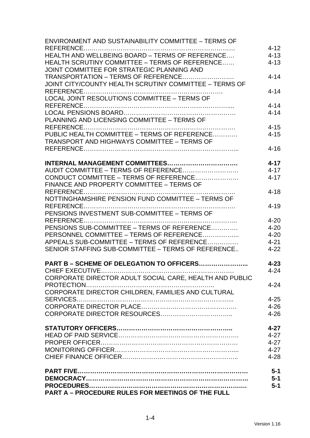| ENVIRONMENT AND SUSTAINABILITY COMMITTEE - TERMS OF     |          |
|---------------------------------------------------------|----------|
|                                                         | $4 - 12$ |
| HEALTH AND WELLBEING BOARD - TERMS OF REFERENCE         | $4 - 13$ |
| HEALTH SCRUTINY COMMITTEE - TERMS OF REFERENCE          | $4 - 13$ |
| JOINT COMMITTEE FOR STRATEGIC PLANNING AND              |          |
| TRANSPORTATION - TERMS OF REFERENCE                     | $4 - 14$ |
| JOINT CITY/COUNTY HEALTH SCRUTINY COMMITTEE - TERMS OF  |          |
|                                                         | $4 - 14$ |
| LOCAL JOINT RESOLUTIONS COMMITTEE - TERMS OF            |          |
|                                                         | $4 - 14$ |
|                                                         | $4 - 14$ |
| PLANNING AND LICENSING COMMITTEE - TERMS OF             |          |
|                                                         | $4 - 15$ |
| PUBLIC HEALTH COMMITTEE - TERMS OF REFERENCE            | $4 - 15$ |
| <b>TRANSPORT AND HIGHWAYS COMMITTEE - TERMS OF</b>      |          |
|                                                         | $4 - 16$ |
|                                                         |          |
|                                                         | $4 - 17$ |
| AUDIT COMMITTEE - TERMS OF REFERENCE                    | $4 - 17$ |
| CONDUCT COMMITTEE - TERMS OF REFERENCE                  | $4 - 17$ |
| FINANCE AND PROPERTY COMMITTEE - TERMS OF               |          |
|                                                         | $4 - 18$ |
| NOTTINGHAMSHIRE PENSION FUND COMMITTEE - TERMS OF       |          |
|                                                         | $4 - 19$ |
| PENSIONS INVESTMENT SUB-COMMITTEE - TERMS OF            |          |
|                                                         | $4 - 20$ |
| PENSIONS SUB-COMMITTEE – TERMS OF REFERENCE             | $4 - 20$ |
| PERSONNEL COMMITTEE - TERMS OF REFERENCE                | $4 - 20$ |
| APPEALS SUB-COMMITTEE - TERMS OF REFERENCE              | $4 - 21$ |
| SENIOR STAFFING SUB-COMMITTEE - TERMS OF REFERENCE      | $4 - 22$ |
|                                                         |          |
| PART B - SCHEME OF DELEGATION TO OFFICERS               | $4 - 23$ |
|                                                         | $4 - 24$ |
| CORPORATE DIRECTOR ADULT SOCIAL CARE, HEALTH AND PUBLIC |          |
|                                                         | $4 - 24$ |
| CORPORATE DIRECTOR CHILDREN, FAMILIES AND CULTURAL      |          |
|                                                         | $4 - 25$ |
|                                                         | $4 - 26$ |
|                                                         | $4 - 26$ |
|                                                         |          |
|                                                         | $4 - 27$ |
|                                                         | $4 - 27$ |
|                                                         | $4 - 27$ |
|                                                         | $4 - 27$ |
|                                                         | $4 - 28$ |
|                                                         |          |
|                                                         | $5-1$    |
|                                                         | $5-1$    |
|                                                         | $5-1$    |
| PART A - PROCEDURE RULES FOR MEETINGS OF THE FULL       |          |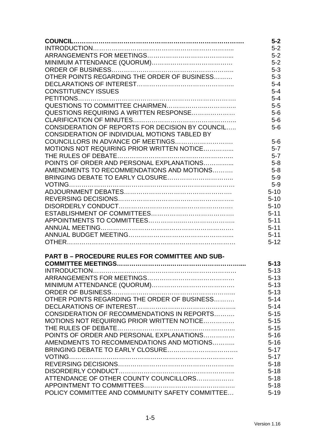|                                                        | $5-2$                |
|--------------------------------------------------------|----------------------|
|                                                        | $5-2$                |
|                                                        | $5 - 2$              |
|                                                        | $5 - 2$              |
|                                                        | $5-3$                |
| OTHER POINTS REGARDING THE ORDER OF BUSINESS           | $5 - 3$              |
|                                                        | $5 - 4$              |
| <b>CONSTITUENCY ISSUES</b>                             | $5 - 4$              |
|                                                        | $5 - 4$              |
|                                                        | $5-5$                |
| QUESTIONS REQUIRING A WRITTEN RESPONSE                 | $5-6$                |
|                                                        | $5-6$                |
| CONSIDERATION OF REPORTS FOR DECISION BY COUNCIL       | $5-6$                |
| CONSIDERATION OF INDIVIDUAL MOTIONS TABLED BY          |                      |
|                                                        | $5-6$                |
| MOTIONS NOT REQUIRING PRIOR WRITTEN NOTICE             | $5 - 7$              |
|                                                        | $5 - 7$              |
| POINTS OF ORDER AND PERSONAL EXPLANATIONS              | $5 - 8$              |
| AMENDMENTS TO RECOMMENDATIONS AND MOTIONS              | $5-8$                |
|                                                        | $5-9$                |
|                                                        | $5-9$                |
|                                                        | $5 - 10$             |
|                                                        | $5 - 10$             |
|                                                        | $5 - 10$             |
|                                                        | $5 - 11$             |
|                                                        | $5 - 11$<br>$5 - 11$ |
|                                                        | $5 - 11$             |
|                                                        | $5 - 12$             |
|                                                        |                      |
| <b>PART B - PROCEDURE RULES FOR COMMITTEE AND SUB-</b> |                      |
|                                                        | $5 - 13$             |
|                                                        | $5 - 13$             |
|                                                        | $5 - 13$             |
|                                                        | $5 - 13$             |
|                                                        | $5 - 13$             |
| OTHER POINTS REGARDING THE ORDER OF BUSINESS           | $5 - 14$             |
|                                                        | $5 - 14$             |
| CONSIDERATION OF RECOMMENDATIONS IN REPORTS            | $5 - 15$             |
| MOTIONS NOT REQUIRING PRIOR WRITTEN NOTICE             | $5 - 15$             |
|                                                        | $5 - 15$             |
| POINTS OF ORDER AND PERSONAL EXPLANATIONS              | $5 - 16$             |
| AMENDMENTS TO RECOMMENDATIONS AND MOTIONS              | $5 - 16$             |
|                                                        | $5 - 17$             |
|                                                        | $5 - 17$             |
|                                                        | $5 - 18$             |
|                                                        | $5 - 18$             |
| ATTENDANCE OF OTHER COUNTY COUNCILLORS                 | $5 - 18$             |
|                                                        | $5 - 18$             |
| POLICY COMMITTEE AND COMMUNITY SAFETY COMMITTEE        | $5 - 19$             |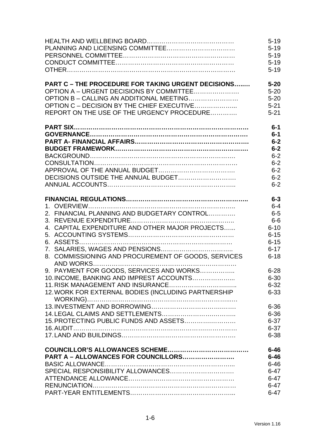|                                                           | $5 - 19$ |
|-----------------------------------------------------------|----------|
|                                                           | $5 - 19$ |
|                                                           | $5 - 19$ |
|                                                           | $5 - 19$ |
|                                                           | $5 - 19$ |
|                                                           |          |
| <b>PART C - THE PROCEDURE FOR TAKING URGENT DECISIONS</b> | $5 - 20$ |
| OPTION A - URGENT DECISIONS BY COMMITTEE                  | $5 - 20$ |
| OPTION B - CALLING AN ADDITIONAL MEETING                  | $5 - 20$ |
| OPTION C - DECISION BY THE CHIEF EXECUTIVE                | $5 - 21$ |
| REPORT ON THE USE OF THE URGENCY PROCEDURE                | $5 - 21$ |
|                                                           |          |
|                                                           | $6-1$    |
|                                                           | $6-1$    |
|                                                           | $6-2$    |
|                                                           | $6-2$    |
|                                                           | $6 - 2$  |
|                                                           | $6 - 2$  |
|                                                           | $6 - 2$  |
|                                                           | $6 - 2$  |
|                                                           | $6 - 2$  |
|                                                           |          |
|                                                           | $6 - 3$  |
|                                                           | $6 - 4$  |
| 2. FINANCIAL PLANNING AND BUDGETARY CONTROL               | $6-5$    |
|                                                           | $6-6$    |
| 4. CAPITAL EXPENDITURE AND OTHER MAJOR PROJECTS           | $6 - 10$ |
|                                                           | $6 - 15$ |
|                                                           | $6 - 15$ |
|                                                           | $6 - 17$ |
| 8. COMMISSIONING AND PROCUREMENT OF GOODS, SERVICES       | $6 - 18$ |
|                                                           |          |
| 9. PAYMENT FOR GOODS, SERVICES AND WORKS                  | $6 - 28$ |
| 10. INCOME, BANKING AND IMPREST ACCOUNTS                  | $6 - 30$ |
|                                                           | $6 - 32$ |
| 12. WORK FOR EXTERNAL BODIES (INCLUDING PARTNERSHIP       | $6 - 33$ |
|                                                           |          |
|                                                           | $6 - 36$ |
|                                                           | $6 - 36$ |
| 15. PROTECTING PUBLIC FUNDS AND ASSETS                    | $6 - 37$ |
|                                                           | $6 - 37$ |
|                                                           | $6 - 38$ |
|                                                           |          |
|                                                           | $6 - 46$ |
| PART A - ALLOWANCES FOR COUNCILLORS                       | $6 - 46$ |
|                                                           | $6 - 46$ |
|                                                           | $6 - 47$ |
|                                                           | $6 - 47$ |
|                                                           | $6 - 47$ |
|                                                           | $6 - 47$ |
|                                                           |          |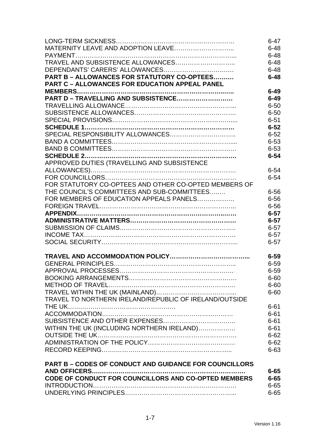|                                                               | $6 - 47$ |
|---------------------------------------------------------------|----------|
|                                                               | $6 - 48$ |
|                                                               | $6 - 48$ |
|                                                               | $6 - 48$ |
|                                                               | $6 - 48$ |
| PART B - ALLOWANCES FOR STATUTORY CO-OPTEES                   | $6 - 48$ |
| <b>PART C - ALLOWANCES FOR EDUCATION APPEAL PANEL</b>         |          |
|                                                               | $6 - 49$ |
| PART D - TRAVELLING AND SUBSISTENCE                           | $6 - 49$ |
|                                                               | $6 - 50$ |
|                                                               | $6 - 50$ |
|                                                               | $6 - 51$ |
|                                                               | $6 - 52$ |
|                                                               | $6 - 52$ |
|                                                               | $6 - 53$ |
|                                                               | $6 - 53$ |
|                                                               | $6 - 54$ |
| APPROVED DUTIES (TRAVELLING AND SUBSISTENCE                   |          |
|                                                               | $6 - 54$ |
|                                                               | $6 - 54$ |
| FOR STATUTORY CO-OPTEES AND OTHER CO-OPTED MEMBERS OF         |          |
| THE COUNCIL'S COMMITTEES AND SUB-COMMITTEES                   | $6 - 56$ |
| FOR MEMBERS OF EDUCATION APPEALS PANELS                       | $6 - 56$ |
|                                                               | $6 - 56$ |
|                                                               | $6 - 57$ |
|                                                               | $6 - 57$ |
|                                                               | $6 - 57$ |
|                                                               | $6 - 57$ |
|                                                               | $6 - 57$ |
|                                                               | $6 - 59$ |
|                                                               | $6 - 59$ |
|                                                               | $6 - 59$ |
|                                                               | $6 - 60$ |
|                                                               | $6 - 60$ |
|                                                               | $6 - 60$ |
| TRAVEL TO NORTHERN IRELAND/REPUBLIC OF IRELAND/OUTSIDE        |          |
|                                                               | $6 - 61$ |
|                                                               | $6 - 61$ |
|                                                               | $6 - 61$ |
| WITHIN THE UK (INCLUDING NORTHERN IRELAND)                    | $6 - 61$ |
|                                                               | $6 - 62$ |
|                                                               | $6 - 62$ |
|                                                               | $6 - 63$ |
| <b>PART B - CODES OF CONDUCT AND GUIDANCE FOR COUNCILLORS</b> |          |
|                                                               | $6 - 65$ |
| CODE OF CONDUCT FOR COUNCILLORS AND CO-OPTED MEMBERS          | $6 - 65$ |
|                                                               | $6 - 65$ |
|                                                               | $6 - 65$ |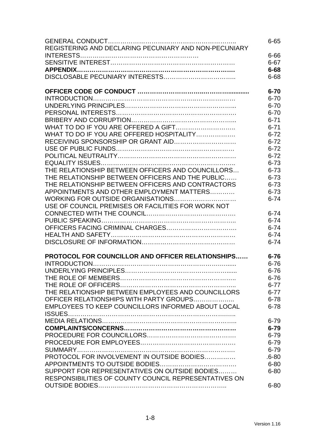|                                                       | $6 - 65$  |
|-------------------------------------------------------|-----------|
| REGISTERING AND DECLARING PECUNIARY AND NON-PECUNIARY |           |
|                                                       | $6 - 66$  |
|                                                       | $6 - 67$  |
|                                                       | $6 - 68$  |
|                                                       | $6 - 68$  |
|                                                       |           |
|                                                       | $6 - 70$  |
|                                                       | $6 - 70$  |
|                                                       |           |
|                                                       | $6 - 70$  |
|                                                       | $6 - 70$  |
|                                                       | $6 - 71$  |
|                                                       | $6 - 71$  |
| WHAT TO DO IF YOU ARE OFFERED HOSPITALITY             | $6 - 72$  |
|                                                       | $6 - 72$  |
|                                                       | $6 - 72$  |
|                                                       | $6 - 72$  |
|                                                       | $6 - 73$  |
| THE RELATIONSHIP BETWEEN OFFICERS AND COUNCILLORS     | $6 - 73$  |
|                                                       |           |
| THE RELATIONSHIP BETWEEN OFFICERS AND THE PUBLIC      | $6 - 73$  |
| THE RELATIONSHIP BETWEEN OFFICERS AND CONTRACTORS     | $6 - 73$  |
| APPOINTMENTS AND OTHER EMPLOYMENT MATTERS             | $6 - 73$  |
| WORKING FOR OUTSIDE ORGANISATIONS                     | $6 - 74$  |
| USE OF COUNCIL PREMISES OR FACILITIES FOR WORK NOT    |           |
|                                                       | $6 - 74$  |
|                                                       | $6 - 74$  |
|                                                       | $6 - 74$  |
|                                                       | $6 - 74$  |
|                                                       | $6 - 74$  |
|                                                       |           |
| PROTOCOL FOR COUNCILLOR AND OFFICER RELATIONSHIPS     | $6 - 76$  |
|                                                       | $6 - 76$  |
|                                                       |           |
|                                                       | $6 - 76$  |
|                                                       | $6 - 76$  |
|                                                       | $6 - 77$  |
| THE RELATIONSHIP BETWEEN EMPLOYEES AND COUNCILLORS    | $6 - 77$  |
| OFFICER RELATIONSHIPS WITH PARTY GROUPS               | $6 - 78$  |
| EMPLOYEES TO KEEP COUNCILLORS INFORMED ABOUT LOCAL    | $6 - 78$  |
|                                                       |           |
|                                                       | $6 - 79$  |
|                                                       | $6 - 79$  |
|                                                       | $6 - 79$  |
|                                                       | $6 - 79$  |
|                                                       |           |
|                                                       | $6 - 79$  |
| PROTOCOL FOR INVOLVEMENT IN OUTSIDE BODIES            | $.6 - 80$ |
|                                                       | $6 - 80$  |
| SUPPORT FOR REPRESENTATIVES ON OUTSIDE BODIES         | $6 - 80$  |
| RESPONSIBILITIES OF COUNTY COUNCIL REPRESENTATIVES ON |           |
|                                                       | $6 - 80$  |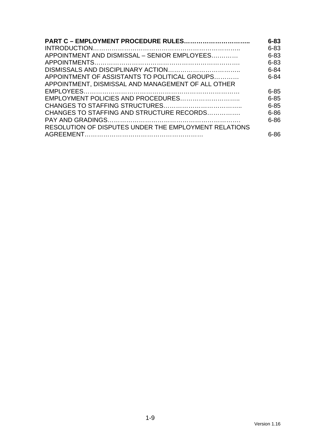| <b>PART C - EMPLOYMENT PROCEDURE RULES</b>            | $6 - 83$ |
|-------------------------------------------------------|----------|
|                                                       | $6 - 83$ |
| APPOINTMENT AND DISMISSAL - SENIOR EMPLOYEES          | $6 - 83$ |
|                                                       | $6 - 83$ |
|                                                       | $6 - 84$ |
| APPOINTMENT OF ASSISTANTS TO POLITICAL GROUPS         | $6 - 84$ |
| APPOINTMENT, DISMISSAL AND MANAGEMENT OF ALL OTHER    |          |
|                                                       | $6 - 85$ |
| EMPLOYMENT POLICIES AND PROCEDURES                    | $6 - 85$ |
|                                                       | $6 - 85$ |
| CHANGES TO STAFFING AND STRUCTURE RECORDS             | $6 - 86$ |
|                                                       | $6 - 86$ |
| RESOLUTION OF DISPUTES UNDER THE EMPLOYMENT RELATIONS |          |
|                                                       | $6 - 86$ |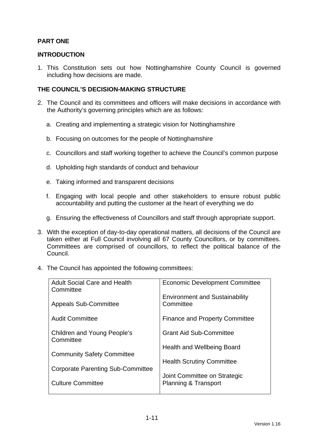# **PART ONE**

#### **INTRODUCTION**

1. This Constitution sets out how Nottinghamshire County Council is governed including how decisions are made.

# **THE COUNCIL'S DECISION-MAKING STRUCTURE**

- 2. The Council and its committees and officers will make decisions in accordance with the Authority's governing principles which are as follows:
	- a. Creating and implementing a strategic vision for Nottinghamshire
	- b. Focusing on outcomes for the people of Nottinghamshire
	- c. Councillors and staff working together to achieve the Council's common purpose
	- d. Upholding high standards of conduct and behaviour
	- e. Taking informed and transparent decisions
	- f. Engaging with local people and other stakeholders to ensure robust public accountability and putting the customer at the heart of everything we do
	- g. Ensuring the effectiveness of Councillors and staff through appropriate support.
- 3. With the exception of day-to-day operational matters, all decisions of the Council are taken either at Full Council involving all 67 County Councillors, or by committees. Committees are comprised of councillors, to reflect the political balance of the Council.
- 4. The Council has appointed the following committees:

| <b>Adult Social Care and Health</b><br>Committee | <b>Economic Development Committee</b>              |
|--------------------------------------------------|----------------------------------------------------|
| <b>Appeals Sub-Committee</b>                     | <b>Environment and Sustainability</b><br>Committee |
| <b>Audit Committee</b>                           | <b>Finance and Property Committee</b>              |
| Children and Young People's<br>Committee         | <b>Grant Aid Sub-Committee</b>                     |
|                                                  | <b>Health and Wellbeing Board</b>                  |
| <b>Community Safety Committee</b>                | <b>Health Scrutiny Committee</b>                   |
| <b>Corporate Parenting Sub-Committee</b>         | Joint Committee on Strategic                       |
| <b>Culture Committee</b>                         | <b>Planning &amp; Transport</b>                    |
|                                                  |                                                    |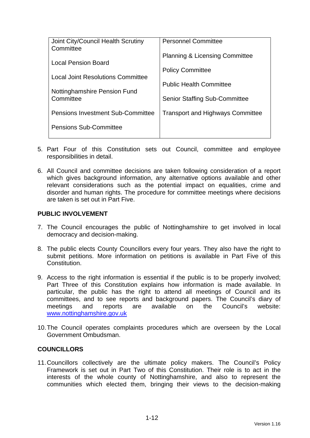| Joint City/Council Health Scrutiny<br>Committee | <b>Personnel Committee</b>                |
|-------------------------------------------------|-------------------------------------------|
| Local Pension Board                             | <b>Planning &amp; Licensing Committee</b> |
| <b>Local Joint Resolutions Committee</b>        | <b>Policy Committee</b>                   |
| Nottinghamshire Pension Fund                    | <b>Public Health Committee</b>            |
| Committee                                       | <b>Senior Staffing Sub-Committee</b>      |
| <b>Pensions Investment Sub-Committee</b>        | <b>Transport and Highways Committee</b>   |
| <b>Pensions Sub-Committee</b>                   |                                           |

- 5. Part Four of this Constitution sets out Council, committee and employee responsibilities in detail.
- 6. All Council and committee decisions are taken following consideration of a report which gives background information, any alternative options available and other relevant considerations such as the potential impact on equalities, crime and disorder and human rights. The procedure for committee meetings where decisions are taken is set out in Part Five.

### **PUBLIC INVOLVEMENT**

- 7. The Council encourages the public of Nottinghamshire to get involved in local democracy and decision-making.
- 8. The public elects County Councillors every four years. They also have the right to submit petitions. More information on petitions is available in Part Five of this **Constitution**
- 9. Access to the right information is essential if the public is to be properly involved; Part Three of this Constitution explains how information is made available. In particular, the public has the right to attend all meetings of Council and its committees, and to see reports and background papers. The Council's diary of meetings and reports are available on the Council's website: www.nottinghamshire.gov.uk
- 10. The Council operates complaints procedures which are overseen by the Local Government Ombudsman.

#### **COUNCILLORS**

11. Councillors collectively are the ultimate policy makers. The Council's Policy Framework is set out in Part Two of this Constitution. Their role is to act in the interests of the whole county of Nottinghamshire, and also to represent the communities which elected them, bringing their views to the decision-making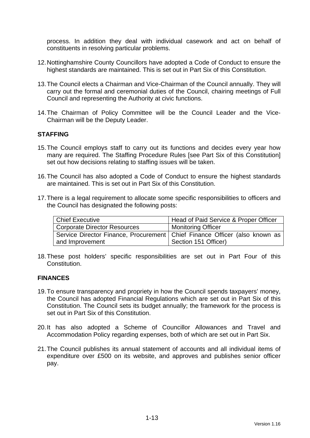process. In addition they deal with individual casework and act on behalf of constituents in resolving particular problems.

- 12. Nottinghamshire County Councillors have adopted a Code of Conduct to ensure the highest standards are maintained. This is set out in Part Six of this Constitution.
- 13. The Council elects a Chairman and Vice-Chairman of the Council annually. They will carry out the formal and ceremonial duties of the Council, chairing meetings of Full Council and representing the Authority at civic functions.
- 14. The Chairman of Policy Committee will be the Council Leader and the Vice-Chairman will be the Deputy Leader.

### **STAFFING**

- 15. The Council employs staff to carry out its functions and decides every year how many are required. The Staffing Procedure Rules [see Part Six of this Constitution] set out how decisions relating to staffing issues will be taken.
- 16. The Council has also adopted a Code of Conduct to ensure the highest standards are maintained. This is set out in Part Six of this Constitution.
- 17. There is a legal requirement to allocate some specific responsibilities to officers and the Council has designated the following posts:

| <b>Chief Executive</b>                                                       | Head of Paid Service & Proper Officer |
|------------------------------------------------------------------------------|---------------------------------------|
| <b>Corporate Director Resources</b>                                          | <b>Monitoring Officer</b>             |
| Service Director Finance, Procurement   Chief Finance Officer (also known as |                                       |
| and Improvement                                                              | Section 151 Officer)                  |

18. These post holders' specific responsibilities are set out in Part Four of this Constitution.

#### **FINANCES**

- 19. To ensure transparency and propriety in how the Council spends taxpayers' money, the Council has adopted Financial Regulations which are set out in Part Six of this Constitution. The Council sets its budget annually; the framework for the process is set out in Part Six of this Constitution.
- 20. It has also adopted a Scheme of Councillor Allowances and Travel and Accommodation Policy regarding expenses, both of which are set out in Part Six.
- 21. The Council publishes its annual statement of accounts and all individual items of expenditure over £500 on its website, and approves and publishes senior officer pay.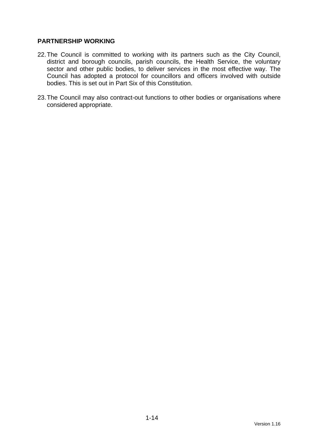### **PARTNERSHIP WORKING**

- 22. The Council is committed to working with its partners such as the City Council, district and borough councils, parish councils, the Health Service, the voluntary sector and other public bodies, to deliver services in the most effective way. The Council has adopted a protocol for councillors and officers involved with outside bodies. This is set out in Part Six of this Constitution.
- 23. The Council may also contract-out functions to other bodies or organisations where considered appropriate.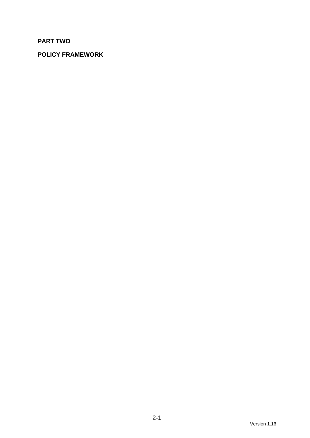# **PART TWO**

# **POLICY FRAMEWORK**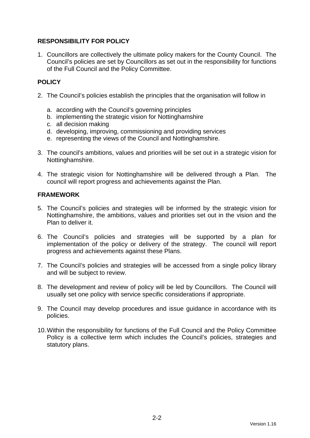# **RESPONSIBILITY FOR POLICY**

1. Councillors are collectively the ultimate policy makers for the County Council. The Council's policies are set by Councillors as set out in the responsibility for functions of the Full Council and the Policy Committee.

# **POLICY**

- 2. The Council's policies establish the principles that the organisation will follow in
	- a. according with the Council's governing principles
	- b. implementing the strategic vision for Nottinghamshire
	- c. all decision making
	- d. developing, improving, commissioning and providing services
	- e. representing the views of the Council and Nottinghamshire.
- 3. The council's ambitions, values and priorities will be set out in a strategic vision for Nottinghamshire.
- 4. The strategic vision for Nottinghamshire will be delivered through a Plan. The council will report progress and achievements against the Plan.

### **FRAMEWORK**

- 5. The Council's policies and strategies will be informed by the strategic vision for Nottinghamshire, the ambitions, values and priorities set out in the vision and the Plan to deliver it.
- 6. The Council's policies and strategies will be supported by a plan for implementation of the policy or delivery of the strategy. The council will report progress and achievements against these Plans.
- 7. The Council's policies and strategies will be accessed from a single policy library and will be subject to review.
- 8. The development and review of policy will be led by Councillors. The Council will usually set one policy with service specific considerations if appropriate.
- 9. The Council may develop procedures and issue guidance in accordance with its policies.
- 10. Within the responsibility for functions of the Full Council and the Policy Committee Policy is a collective term which includes the Council's policies, strategies and statutory plans.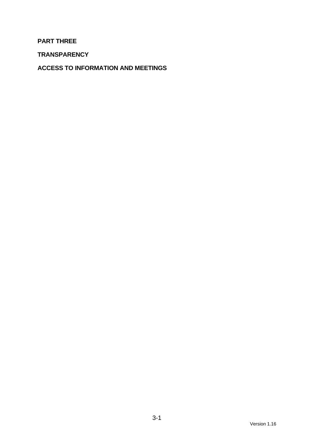# **PART THREE**

**TRANSPARENCY** 

**ACCESS TO INFORMATION AND MEETINGS**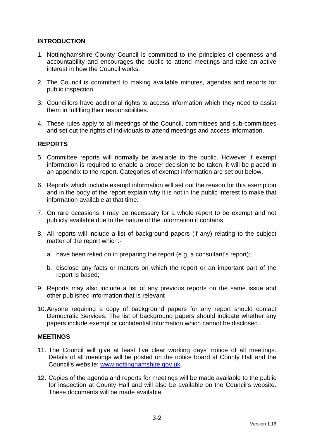# **INTRODUCTION**

- 1. Nottinghamshire County Council is committed to the principles of openness and accountability and encourages the public to attend meetings and take an active interest in how the Council works.
- 2. The Council is committed to making available minutes, agendas and reports for public inspection.
- 3. Councillors have additional rights to access information which they need to assist them in fulfilling their responsibilities.
- 4. These rules apply to all meetings of the Council, committees and sub-committees and set out the rights of individuals to attend meetings and access information.

### **REPORTS**

- 5. Committee reports will normally be available to the public. However if exempt information is required to enable a proper decision to be taken, it will be placed in an appendix to the report. Categories of exempt information are set out below.
- 6. Reports which include exempt information will set out the reason for this exemption and in the body of the report explain why it is not in the public interest to make that information available at that time.
- 7. On rare occasions it may be necessary for a whole report to be exempt and not publicly available due to the nature of the information it contains.
- 8. All reports will include a list of background papers (if any) relating to the subject matter of the report which:
	- a. have been relied on in preparing the report (e.g. a consultant's report);
	- b. disclose any facts or matters on which the report or an important part of the report is based;
- 9. Reports may also include a list of any previous reports on the same issue and other published information that is relevant
- 10. Anyone requiring a copy of background papers for any report should contact Democratic Services. The list of background papers should indicate whether any papers include exempt or confidential information which cannot be disclosed.

#### **MEETINGS**

- 11. The Council will give at least five clear working days' notice of all meetings. Details of all meetings will be posted on the notice board at County Hall and the Council's website: www.nottinghamshire.gov.uk.
- 12. Copies of the agenda and reports for meetings will be made available to the public for inspection at County Hall and will also be available on the Council's website. These documents will be made available: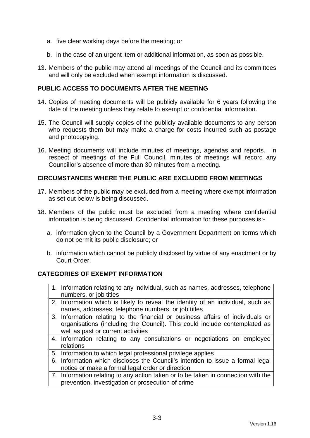- a. five clear working days before the meeting; or
- b. in the case of an urgent item or additional information, as soon as possible.
- 13. Members of the public may attend all meetings of the Council and its committees and will only be excluded when exempt information is discussed.

#### **PUBLIC ACCESS TO DOCUMENTS AFTER THE MEETING**

- 14. Copies of meeting documents will be publicly available for 6 years following the date of the meeting unless they relate to exempt or confidential information.
- 15. The Council will supply copies of the publicly available documents to any person who requests them but may make a charge for costs incurred such as postage and photocopying.
- 16. Meeting documents will include minutes of meetings, agendas and reports. In respect of meetings of the Full Council, minutes of meetings will record any Councillor's absence of more than 30 minutes from a meeting.

#### **CIRCUMSTANCES WHERE THE PUBLIC ARE EXCLUDED FROM MEETINGS**

- 17. Members of the public may be excluded from a meeting where exempt information as set out below is being discussed.
- 18. Members of the public must be excluded from a meeting where confidential information is being discussed. Confidential information for these purposes is:
	- a. information given to the Council by a Government Department on terms which do not permit its public disclosure; or
	- b. information which cannot be publicly disclosed by virtue of any enactment or by Court Order.

#### **CATEGORIES OF EXEMPT INFORMATION**

- 1. Information relating to any individual, such as names, addresses, telephone numbers, or job titles
- 2. Information which is likely to reveal the identity of an individual, such as names, addresses, telephone numbers, or job titles
- 3. Information relating to the financial or business affairs of individuals or organisations (including the Council). This could include contemplated as well as past or current activities
- 4. Information relating to any consultations or negotiations on employee relations
- 5. Information to which legal professional privilege applies
- 6. Information which discloses the Council's intention to issue a formal legal notice or make a formal legal order or direction
- 7. Information relating to any action taken or to be taken in connection with the prevention, investigation or prosecution of crime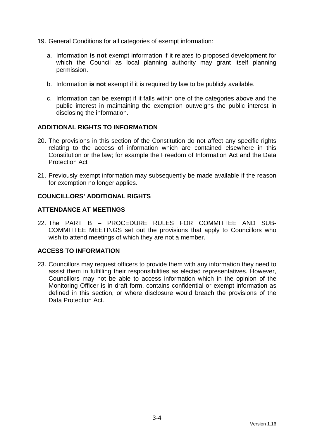- 19. General Conditions for all categories of exempt information:
	- a. Information **is not** exempt information if it relates to proposed development for which the Council as local planning authority may grant itself planning permission.
	- b. Information **is not** exempt if it is required by law to be publicly available.
	- c. Information can be exempt if it falls within one of the categories above and the public interest in maintaining the exemption outweighs the public interest in disclosing the information.

#### **ADDITIONAL RIGHTS TO INFORMATION**

- 20. The provisions in this section of the Constitution do not affect any specific rights relating to the access of information which are contained elsewhere in this Constitution or the law; for example the Freedom of Information Act and the Data Protection Act
- 21. Previously exempt information may subsequently be made available if the reason for exemption no longer applies.

#### **COUNCILLORS' ADDITIONAL RIGHTS**

#### **ATTENDANCE AT MEETINGS**

22. The PART B – PROCEDURE RULES FOR COMMITTEE AND SUB-COMMITTEE MEETINGS set out the provisions that apply to Councillors who wish to attend meetings of which they are not a member.

#### **ACCESS TO INFORMATION**

23. Councillors may request officers to provide them with any information they need to assist them in fulfilling their responsibilities as elected representatives. However, Councillors may not be able to access information which in the opinion of the Monitoring Officer is in draft form, contains confidential or exempt information as defined in this section, or where disclosure would breach the provisions of the Data Protection Act.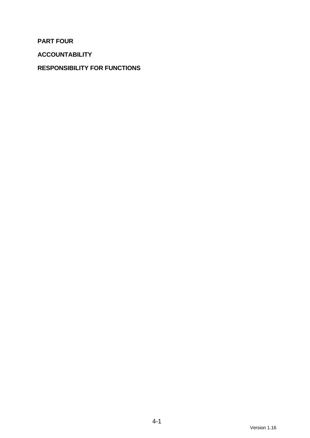**PART FOUR** 

**ACCOUNTABILITY** 

# **RESPONSIBILITY FOR FUNCTIONS**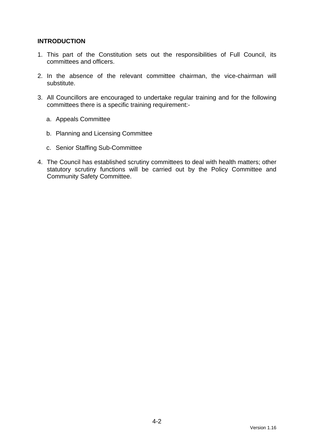# **INTRODUCTION**

- 1. This part of the Constitution sets out the responsibilities of Full Council, its committees and officers.
- 2. In the absence of the relevant committee chairman, the vice-chairman will substitute.
- 3. All Councillors are encouraged to undertake regular training and for the following committees there is a specific training requirement:
	- a. Appeals Committee
	- b. Planning and Licensing Committee
	- c. Senior Staffing Sub-Committee
- 4. The Council has established scrutiny committees to deal with health matters; other statutory scrutiny functions will be carried out by the Policy Committee and Community Safety Committee.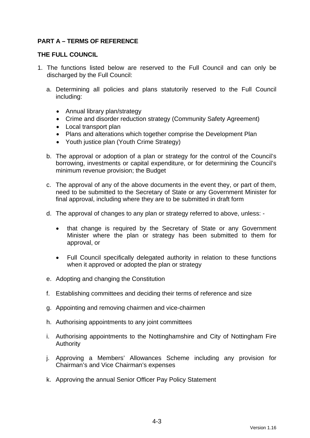# **PART A – TERMS OF REFERENCE**

#### **THE FULL COUNCIL**

- 1. The functions listed below are reserved to the Full Council and can only be discharged by the Full Council:
	- a. Determining all policies and plans statutorily reserved to the Full Council including:
		- Annual library plan/strategy
		- Crime and disorder reduction strategy (Community Safety Agreement)
		- Local transport plan
		- Plans and alterations which together comprise the Development Plan
		- Youth justice plan (Youth Crime Strategy)
	- b. The approval or adoption of a plan or strategy for the control of the Council's borrowing, investments or capital expenditure, or for determining the Council's minimum revenue provision; the Budget
	- c. The approval of any of the above documents in the event they, or part of them, need to be submitted to the Secretary of State or any Government Minister for final approval, including where they are to be submitted in draft form
	- d. The approval of changes to any plan or strategy referred to above, unless:
		- that change is required by the Secretary of State or any Government Minister where the plan or strategy has been submitted to them for approval, or
		- Full Council specifically delegated authority in relation to these functions when it approved or adopted the plan or strategy
	- e. Adopting and changing the Constitution
	- f. Establishing committees and deciding their terms of reference and size
	- g. Appointing and removing chairmen and vice-chairmen
	- h. Authorising appointments to any joint committees
	- i. Authorising appointments to the Nottinghamshire and City of Nottingham Fire Authority
	- j. Approving a Members' Allowances Scheme including any provision for Chairman's and Vice Chairman's expenses
	- k. Approving the annual Senior Officer Pay Policy Statement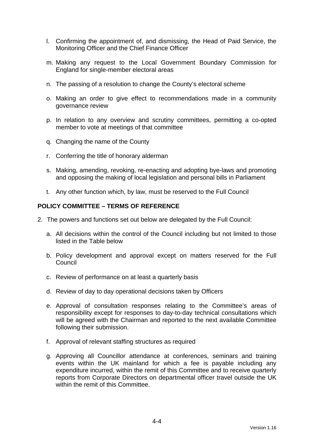- l. Confirming the appointment of, and dismissing, the Head of Paid Service, the Monitoring Officer and the Chief Finance Officer
- m. Making any request to the Local Government Boundary Commission for England for single-member electoral areas
- n. The passing of a resolution to change the County's electoral scheme
- o. Making an order to give effect to recommendations made in a community governance review
- p. In relation to any overview and scrutiny committees, permitting a co-opted member to vote at meetings of that committee
- q. Changing the name of the County
- r. Conferring the title of honorary alderman
- s. Making, amending, revoking, re-enacting and adopting bye-laws and promoting and opposing the making of local legislation and personal bills in Parliament
- t. Any other function which, by law, must be reserved to the Full Council

#### **POLICY COMMITTEE – TERMS OF REFERENCE**

- 2. The powers and functions set out below are delegated by the Full Council:
	- a. All decisions within the control of the Council including but not limited to those listed in the Table below
	- b. Policy development and approval except on matters reserved for the Full **Council**
	- c. Review of performance on at least a quarterly basis
	- d. Review of day to day operational decisions taken by Officers
	- e. Approval of consultation responses relating to the Committee's areas of responsibility except for responses to day-to-day technical consultations which will be agreed with the Chairman and reported to the next available Committee following their submission.
	- f. Approval of relevant staffing structures as required
	- g. Approving all Councillor attendance at conferences, seminars and training events within the UK mainland for which a fee is payable including any expenditure incurred, within the remit of this Committee and to receive quarterly reports from Corporate Directors on departmental officer travel outside the UK within the remit of this Committee.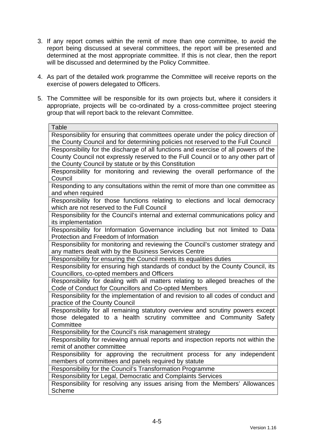- 3. If any report comes within the remit of more than one committee, to avoid the report being discussed at several committees, the report will be presented and determined at the most appropriate committee. If this is not clear, then the report will be discussed and determined by the Policy Committee.
- 4. As part of the detailed work programme the Committee will receive reports on the exercise of powers delegated to Officers.
- 5. The Committee will be responsible for its own projects but, where it considers it appropriate, projects will be co-ordinated by a cross-committee project steering group that will report back to the relevant Committee.

| Table                                                                               |
|-------------------------------------------------------------------------------------|
| Responsibility for ensuring that committees operate under the policy direction of   |
| the County Council and for determining policies not reserved to the Full Council    |
| Responsibility for the discharge of all functions and exercise of all powers of the |
| County Council not expressly reserved to the Full Council or to any other part of   |
| the County Council by statute or by this Constitution                               |
| Responsibility for monitoring and reviewing the overall performance of the          |
| Council                                                                             |
| Responding to any consultations within the remit of more than one committee as      |
| and when required                                                                   |
| Responsibility for those functions relating to elections and local democracy        |
| which are not reserved to the Full Council                                          |
| Responsibility for the Council's internal and external communications policy and    |
| its implementation                                                                  |
| Responsibility for Information Governance including but not limited to Data         |
| Protection and Freedom of Information                                               |
| Responsibility for monitoring and reviewing the Council's customer strategy and     |
| any matters dealt with by the Business Services Centre                              |
| Responsibility for ensuring the Council meets its equalities duties                 |
| Responsibility for ensuring high standards of conduct by the County Council, its    |
| Councillors, co-opted members and Officers                                          |
| Responsibility for dealing with all matters relating to alleged breaches of the     |
| Code of Conduct for Councillors and Co-opted Members                                |
| Responsibility for the implementation of and revision to all codes of conduct and   |
| practice of the County Council                                                      |
| Responsibility for all remaining statutory overview and scrutiny powers except      |
| those delegated to a health scrutiny committee and Community Safety                 |
| Committee                                                                           |
| Responsibility for the Council's risk management strategy                           |
| Responsibility for reviewing annual reports and inspection reports not within the   |
| remit of another committee                                                          |
| Responsibility for approving the recruitment process for any independent            |
| members of committees and panels required by statute                                |
| Responsibility for the Council's Transformation Programme                           |
| Responsibility for Legal, Democratic and Complaints Services                        |
| Responsibility for resolving any issues arising from the Members' Allowances        |
| Scheme                                                                              |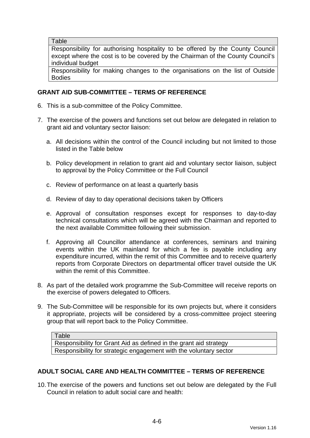**Table** 

Responsibility for authorising hospitality to be offered by the County Council except where the cost is to be covered by the Chairman of the County Council's individual budget

Responsibility for making changes to the organisations on the list of Outside Bodies

# **GRANT AID SUB-COMMITTEE – TERMS OF REFERENCE**

- 6. This is a sub-committee of the Policy Committee.
- 7. The exercise of the powers and functions set out below are delegated in relation to grant aid and voluntary sector liaison:
	- a. All decisions within the control of the Council including but not limited to those listed in the Table below
	- b. Policy development in relation to grant aid and voluntary sector liaison, subject to approval by the Policy Committee or the Full Council
	- c. Review of performance on at least a quarterly basis
	- d. Review of day to day operational decisions taken by Officers
	- e. Approval of consultation responses except for responses to day-to-day technical consultations which will be agreed with the Chairman and reported to the next available Committee following their submission.
	- f. Approving all Councillor attendance at conferences, seminars and training events within the UK mainland for which a fee is payable including any expenditure incurred, within the remit of this Committee and to receive quarterly reports from Corporate Directors on departmental officer travel outside the UK within the remit of this Committee.
- 8. As part of the detailed work programme the Sub-Committee will receive reports on the exercise of powers delegated to Officers.
- 9. The Sub-Committee will be responsible for its own projects but, where it considers it appropriate, projects will be considered by a cross-committee project steering group that will report back to the Policy Committee.

Responsibility for Grant Aid as defined in the grant aid strategy Responsibility for strategic engagement with the voluntary sector

#### **ADULT SOCIAL CARE AND HEALTH COMMITTEE – TERMS OF REFERENCE**

10. The exercise of the powers and functions set out below are delegated by the Full Council in relation to adult social care and health:

Table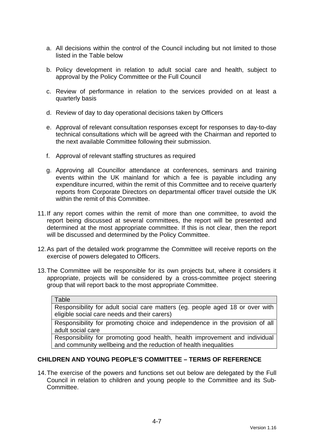- a. All decisions within the control of the Council including but not limited to those listed in the Table below
- b. Policy development in relation to adult social care and health, subject to approval by the Policy Committee or the Full Council
- c. Review of performance in relation to the services provided on at least a quarterly basis
- d. Review of day to day operational decisions taken by Officers
- e. Approval of relevant consultation responses except for responses to day-to-day technical consultations which will be agreed with the Chairman and reported to the next available Committee following their submission.
- f. Approval of relevant staffing structures as required
- g. Approving all Councillor attendance at conferences, seminars and training events within the UK mainland for which a fee is payable including any expenditure incurred, within the remit of this Committee and to receive quarterly reports from Corporate Directors on departmental officer travel outside the UK within the remit of this Committee.
- 11. If any report comes within the remit of more than one committee, to avoid the report being discussed at several committees, the report will be presented and determined at the most appropriate committee. If this is not clear, then the report will be discussed and determined by the Policy Committee.
- 12. As part of the detailed work programme the Committee will receive reports on the exercise of powers delegated to Officers.
- 13. The Committee will be responsible for its own projects but, where it considers it appropriate, projects will be considered by a cross-committee project steering group that will report back to the most appropriate Committee.

| <b>Table</b>                                                                                                                  |
|-------------------------------------------------------------------------------------------------------------------------------|
| Responsibility for adult social care matters (eg. people aged 18 or over with<br>eligible social care needs and their carers) |
| Responsibility for promoting choice and independence in the provision of all                                                  |

adult social care

Responsibility for promoting good health, health improvement and individual and community wellbeing and the reduction of health inequalities

#### **CHILDREN AND YOUNG PEOPLE'S COMMITTEE – TERMS OF REFERENCE**

14. The exercise of the powers and functions set out below are delegated by the Full Council in relation to children and young people to the Committee and its Sub-Committee.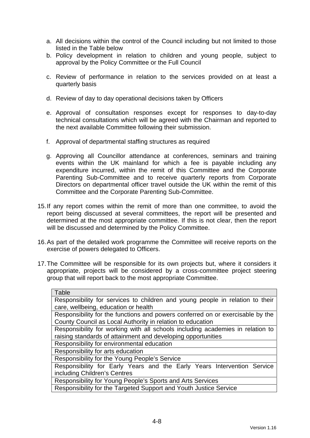- a. All decisions within the control of the Council including but not limited to those listed in the Table below
- b. Policy development in relation to children and young people, subject to approval by the Policy Committee or the Full Council
- c. Review of performance in relation to the services provided on at least a quarterly basis
- d. Review of day to day operational decisions taken by Officers
- e. Approval of consultation responses except for responses to day-to-day technical consultations which will be agreed with the Chairman and reported to the next available Committee following their submission.
- f. Approval of departmental staffing structures as required
- g. Approving all Councillor attendance at conferences, seminars and training events within the UK mainland for which a fee is payable including any expenditure incurred, within the remit of this Committee and the Corporate Parenting Sub-Committee and to receive quarterly reports from Corporate Directors on departmental officer travel outside the UK within the remit of this Committee and the Corporate Parenting Sub-Committee.
- 15. If any report comes within the remit of more than one committee, to avoid the report being discussed at several committees, the report will be presented and determined at the most appropriate committee. If this is not clear, then the report will be discussed and determined by the Policy Committee.
- 16. As part of the detailed work programme the Committee will receive reports on the exercise of powers delegated to Officers.
- 17. The Committee will be responsible for its own projects but, where it considers it appropriate, projects will be considered by a cross-committee project steering group that will report back to the most appropriate Committee.

| Table                                                                          |
|--------------------------------------------------------------------------------|
| Responsibility for services to children and young people in relation to their  |
| care, wellbeing, education or health                                           |
| Responsibility for the functions and powers conferred on or exercisable by the |
| County Council as Local Authority in relation to education                     |
| Responsibility for working with all schools including academies in relation to |
| raising standards of attainment and developing opportunities                   |
| Responsibility for environmental education                                     |
| Responsibility for arts education                                              |
| Responsibility for the Young People's Service                                  |
| Responsibility for Early Years and the Early Years Intervention Service        |
| including Children's Centres                                                   |
| Responsibility for Young People's Sports and Arts Services                     |
| Responsibility for the Targeted Support and Youth Justice Service              |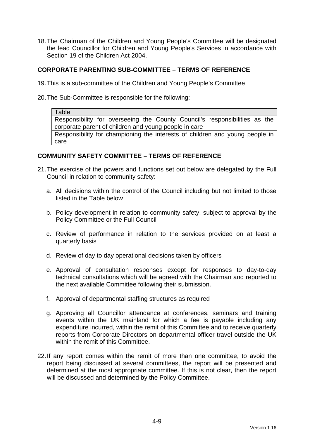18. The Chairman of the Children and Young People's Committee will be designated the lead Councillor for Children and Young People's Services in accordance with Section 19 of the Children Act 2004.

#### **CORPORATE PARENTING SUB-COMMITTEE – TERMS OF REFERENCE**

- 19. This is a sub-committee of the Children and Young People's Committee
- 20. The Sub-Committee is responsible for the following:

**Table** Responsibility for overseeing the County Council's responsibilities as the corporate parent of children and young people in care Responsibility for championing the interests of children and young people in care

#### **COMMUNITY SAFETY COMMITTEE – TERMS OF REFERENCE**

- 21. The exercise of the powers and functions set out below are delegated by the Full Council in relation to community safety:
	- a. All decisions within the control of the Council including but not limited to those listed in the Table below
	- b. Policy development in relation to community safety, subject to approval by the Policy Committee or the Full Council
	- c. Review of performance in relation to the services provided on at least a quarterly basis
	- d. Review of day to day operational decisions taken by officers
	- e. Approval of consultation responses except for responses to day-to-day technical consultations which will be agreed with the Chairman and reported to the next available Committee following their submission.
	- f. Approval of departmental staffing structures as required
	- g. Approving all Councillor attendance at conferences, seminars and training events within the UK mainland for which a fee is payable including any expenditure incurred, within the remit of this Committee and to receive quarterly reports from Corporate Directors on departmental officer travel outside the UK within the remit of this Committee.
- 22. If any report comes within the remit of more than one committee, to avoid the report being discussed at several committees, the report will be presented and determined at the most appropriate committee. If this is not clear, then the report will be discussed and determined by the Policy Committee.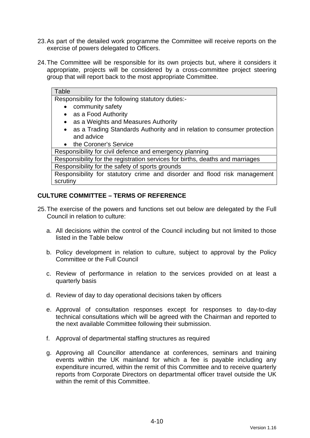- 23. As part of the detailed work programme the Committee will receive reports on the exercise of powers delegated to Officers.
- 24. The Committee will be responsible for its own projects but, where it considers it appropriate, projects will be considered by a cross-committee project steering group that will report back to the most appropriate Committee.

#### **Table** Responsibility for the following statutory duties:- • community safety • as a Food Authority

- as a Weights and Measures Authority
- as a Trading Standards Authority and in relation to consumer protection and advice

#### • the Coroner's Service

Responsibility for civil defence and emergency planning

Responsibility for the registration services for births, deaths and marriages Responsibility for the safety of sports grounds

Responsibility for statutory crime and disorder and flood risk management scrutiny

# **CULTURE COMMITTEE – TERMS OF REFERENCE**

- 25. The exercise of the powers and functions set out below are delegated by the Full Council in relation to culture:
	- a. All decisions within the control of the Council including but not limited to those listed in the Table below
	- b. Policy development in relation to culture, subject to approval by the Policy Committee or the Full Council
	- c. Review of performance in relation to the services provided on at least a quarterly basis
	- d. Review of day to day operational decisions taken by officers
	- e. Approval of consultation responses except for responses to day-to-day technical consultations which will be agreed with the Chairman and reported to the next available Committee following their submission.
	- f. Approval of departmental staffing structures as required
	- g. Approving all Councillor attendance at conferences, seminars and training events within the UK mainland for which a fee is payable including any expenditure incurred, within the remit of this Committee and to receive quarterly reports from Corporate Directors on departmental officer travel outside the UK within the remit of this Committee.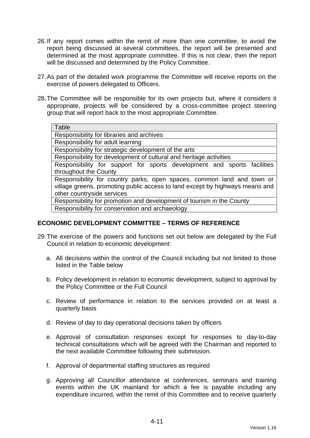- 26. If any report comes within the remit of more than one committee, to avoid the report being discussed at several committees, the report will be presented and determined at the most appropriate committee. If this is not clear, then the report will be discussed and determined by the Policy Committee.
- 27. As part of the detailed work programme the Committee will receive reports on the exercise of powers delegated to Officers.
- 28. The Committee will be responsible for its own projects but, where it considers it appropriate, projects will be considered by a cross-committee project steering group that will report back to the most appropriate Committee.

| Table                                                                        |
|------------------------------------------------------------------------------|
| Responsibility for libraries and archives                                    |
| Responsibility for adult learning                                            |
| Responsibility for strategic development of the arts                         |
| Responsibility for development of cultural and heritage activities           |
| Responsibility for support for sports development and sports facilities      |
| throughout the County                                                        |
| Responsibility for country parks, open spaces, common land and town or       |
| village greens, promoting public access to land except by highways means and |
| other countryside services                                                   |
| Responsibility for promotion and development of tourism in the County        |
| Responsibility for conservation and archaeology                              |

#### **ECONOMIC DEVELOPMENT COMMITTEE – TERMS OF REFERENCE**

- 29. The exercise of the powers and functions set out below are delegated by the Full Council in relation to economic development:
	- a. All decisions within the control of the Council including but not limited to those listed in the Table below
	- b. Policy development in relation to economic development, subject to approval by the Policy Committee or the Full Council
	- c. Review of performance in relation to the services provided on at least a quarterly basis
	- d. Review of day to day operational decisions taken by officers
	- e. Approval of consultation responses except for responses to day-to-day technical consultations which will be agreed with the Chairman and reported to the next available Committee following their submission.
	- f. Approval of departmental staffing structures as required
	- g. Approving all Councillor attendance at conferences, seminars and training events within the UK mainland for which a fee is payable including any expenditure incurred, within the remit of this Committee and to receive quarterly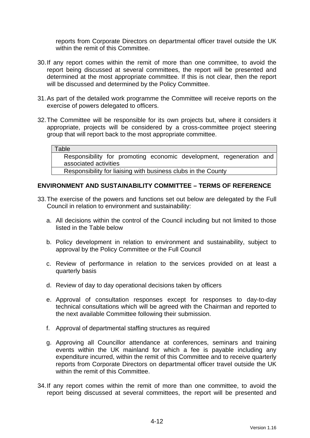reports from Corporate Directors on departmental officer travel outside the UK within the remit of this Committee.

- 30. If any report comes within the remit of more than one committee, to avoid the report being discussed at several committees, the report will be presented and determined at the most appropriate committee. If this is not clear, then the report will be discussed and determined by the Policy Committee.
- 31. As part of the detailed work programme the Committee will receive reports on the exercise of powers delegated to officers.
- 32. The Committee will be responsible for its own projects but, where it considers it appropriate, projects will be considered by a cross-committee project steering group that will report back to the most appropriate committee.

#### Table

Responsibility for promoting economic development, regeneration and associated activities

Responsibility for liaising with business clubs in the County

#### **ENVIRONMENT AND SUSTAINABILITY COMMITTEE – TERMS OF REFERENCE**

- 33. The exercise of the powers and functions set out below are delegated by the Full Council in relation to environment and sustainability:
	- a. All decisions within the control of the Council including but not limited to those listed in the Table below
	- b. Policy development in relation to environment and sustainability, subject to approval by the Policy Committee or the Full Council
	- c. Review of performance in relation to the services provided on at least a quarterly basis
	- d. Review of day to day operational decisions taken by officers
	- e. Approval of consultation responses except for responses to day-to-day technical consultations which will be agreed with the Chairman and reported to the next available Committee following their submission.
	- f. Approval of departmental staffing structures as required
	- g. Approving all Councillor attendance at conferences, seminars and training events within the UK mainland for which a fee is payable including any expenditure incurred, within the remit of this Committee and to receive quarterly reports from Corporate Directors on departmental officer travel outside the UK within the remit of this Committee.
- 34. If any report comes within the remit of more than one committee, to avoid the report being discussed at several committees, the report will be presented and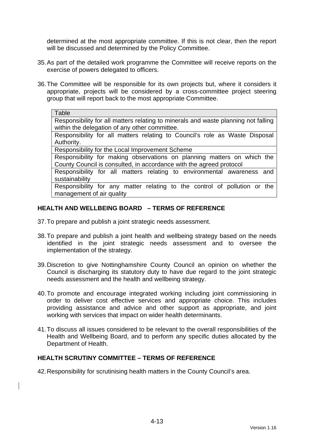determined at the most appropriate committee. If this is not clear, then the report will be discussed and determined by the Policy Committee.

- 35. As part of the detailed work programme the Committee will receive reports on the exercise of powers delegated to officers.
- 36. The Committee will be responsible for its own projects but, where it considers it appropriate, projects will be considered by a cross-committee project steering group that will report back to the most appropriate Committee.

#### Table

Responsibility for all matters relating to minerals and waste planning not falling within the delegation of any other committee.

Responsibility for all matters relating to Council's role as Waste Disposal Authority.

Responsibility for the Local Improvement Scheme

Responsibility for making observations on planning matters on which the County Council is consulted, in accordance with the agreed protocol

Responsibility for all matters relating to environmental awareness and sustainability

Responsibility for any matter relating to the control of pollution or the management of air quality

### **HEALTH AND WELLBEING BOARD – TERMS OF REFERENCE**

- 37. To prepare and publish a joint strategic needs assessment.
- 38. To prepare and publish a joint health and wellbeing strategy based on the needs identified in the joint strategic needs assessment and to oversee the implementation of the strategy.
- 39. Discretion to give Nottinghamshire County Council an opinion on whether the Council is discharging its statutory duty to have due regard to the joint strategic needs assessment and the health and wellbeing strategy.
- 40. To promote and encourage integrated working including joint commissioning in order to deliver cost effective services and appropriate choice. This includes providing assistance and advice and other support as appropriate, and joint working with services that impact on wider health determinants.
- 41. To discuss all issues considered to be relevant to the overall responsibilities of the Health and Wellbeing Board, and to perform any specific duties allocated by the Department of Health.

#### **HEALTH SCRUTINY COMMITTEE – TERMS OF REFERENCE**

42. Responsibility for scrutinising health matters in the County Council's area.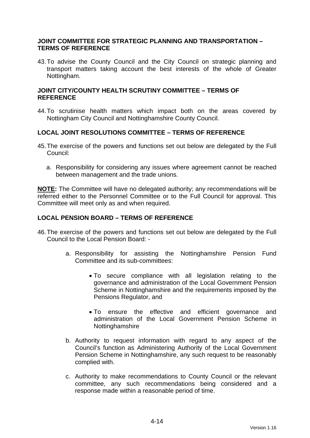#### **JOINT COMMITTEE FOR STRATEGIC PLANNING AND TRANSPORTATION – TERMS OF REFERENCE**

43. To advise the County Council and the City Council on strategic planning and transport matters taking account the best interests of the whole of Greater Nottingham.

#### **JOINT CITY/COUNTY HEALTH SCRUTINY COMMITTEE – TERMS OF REFERENCE**

44. To scrutinise health matters which impact both on the areas covered by Nottingham City Council and Nottinghamshire County Council.

#### **LOCAL JOINT RESOLUTIONS COMMITTEE – TERMS OF REFERENCE**

- 45. The exercise of the powers and functions set out below are delegated by the Full Council:
	- a. Responsibility for considering any issues where agreement cannot be reached between management and the trade unions.

**NOTE:** The Committee will have no delegated authority; any recommendations will be referred either to the Personnel Committee or to the Full Council for approval. This Committee will meet only as and when required.

#### **LOCAL PENSION BOARD – TERMS OF REFERENCE**

- 46. The exercise of the powers and functions set out below are delegated by the Full Council to the Local Pension Board:
	- a. Responsibility for assisting the Nottinghamshire Pension Fund Committee and its sub-committees:
		- To secure compliance with all legislation relating to the governance and administration of the Local Government Pension Scheme in Nottinghamshire and the requirements imposed by the Pensions Regulator, and
		- To ensure the effective and efficient governance and administration of the Local Government Pension Scheme in Nottinghamshire
	- b. Authority to request information with regard to any aspect of the Council's function as Administering Authority of the Local Government Pension Scheme in Nottinghamshire, any such request to be reasonably complied with.
	- c. Authority to make recommendations to County Council or the relevant committee, any such recommendations being considered and a response made within a reasonable period of time.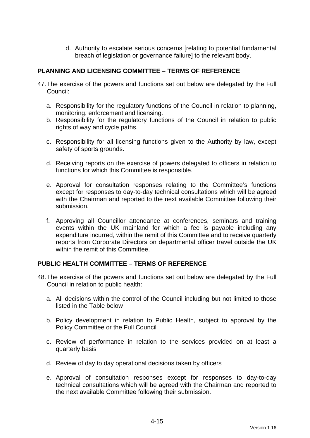d. Authority to escalate serious concerns [relating to potential fundamental breach of legislation or governance failure] to the relevant body.

# **PLANNING AND LICENSING COMMITTEE – TERMS OF REFERENCE**

- 47. The exercise of the powers and functions set out below are delegated by the Full Council:
	- a. Responsibility for the regulatory functions of the Council in relation to planning, monitoring, enforcement and licensing.
	- b. Responsibility for the regulatory functions of the Council in relation to public rights of way and cycle paths.
	- c. Responsibility for all licensing functions given to the Authority by law, except safety of sports grounds.
	- d. Receiving reports on the exercise of powers delegated to officers in relation to functions for which this Committee is responsible.
	- e. Approval for consultation responses relating to the Committee's functions except for responses to day-to-day technical consultations which will be agreed with the Chairman and reported to the next available Committee following their submission.
	- f. Approving all Councillor attendance at conferences, seminars and training events within the UK mainland for which a fee is payable including any expenditure incurred, within the remit of this Committee and to receive quarterly reports from Corporate Directors on departmental officer travel outside the UK within the remit of this Committee.

# **PUBLIC HEALTH COMMITTEE – TERMS OF REFERENCE**

- 48. The exercise of the powers and functions set out below are delegated by the Full Council in relation to public health:
	- a. All decisions within the control of the Council including but not limited to those listed in the Table below
	- b. Policy development in relation to Public Health, subject to approval by the Policy Committee or the Full Council
	- c. Review of performance in relation to the services provided on at least a quarterly basis
	- d. Review of day to day operational decisions taken by officers
	- e. Approval of consultation responses except for responses to day-to-day technical consultations which will be agreed with the Chairman and reported to the next available Committee following their submission.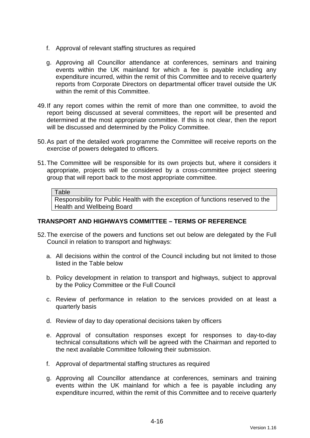- f. Approval of relevant staffing structures as required
- g. Approving all Councillor attendance at conferences, seminars and training events within the UK mainland for which a fee is payable including any expenditure incurred, within the remit of this Committee and to receive quarterly reports from Corporate Directors on departmental officer travel outside the UK within the remit of this Committee.
- 49. If any report comes within the remit of more than one committee, to avoid the report being discussed at several committees, the report will be presented and determined at the most appropriate committee. If this is not clear, then the report will be discussed and determined by the Policy Committee.
- 50. As part of the detailed work programme the Committee will receive reports on the exercise of powers delegated to officers.
- 51. The Committee will be responsible for its own projects but, where it considers it appropriate, projects will be considered by a cross-committee project steering group that will report back to the most appropriate committee.

#### **Table**

Responsibility for Public Health with the exception of functions reserved to the Health and Wellbeing Board

# **TRANSPORT AND HIGHWAYS COMMITTEE – TERMS OF REFERENCE**

- 52. The exercise of the powers and functions set out below are delegated by the Full Council in relation to transport and highways:
	- a. All decisions within the control of the Council including but not limited to those listed in the Table below
	- b. Policy development in relation to transport and highways, subject to approval by the Policy Committee or the Full Council
	- c. Review of performance in relation to the services provided on at least a quarterly basis
	- d. Review of day to day operational decisions taken by officers
	- e. Approval of consultation responses except for responses to day-to-day technical consultations which will be agreed with the Chairman and reported to the next available Committee following their submission.
	- f. Approval of departmental staffing structures as required
	- g. Approving all Councillor attendance at conferences, seminars and training events within the UK mainland for which a fee is payable including any expenditure incurred, within the remit of this Committee and to receive quarterly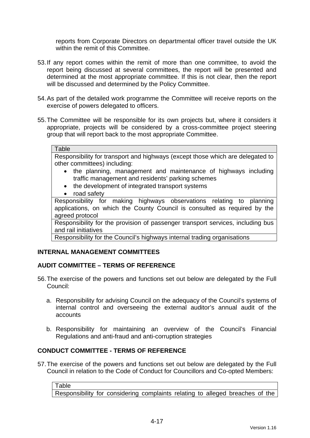reports from Corporate Directors on departmental officer travel outside the UK within the remit of this Committee.

- 53. If any report comes within the remit of more than one committee, to avoid the report being discussed at several committees, the report will be presented and determined at the most appropriate committee. If this is not clear, then the report will be discussed and determined by the Policy Committee.
- 54. As part of the detailed work programme the Committee will receive reports on the exercise of powers delegated to officers.
- 55. The Committee will be responsible for its own projects but, where it considers it appropriate, projects will be considered by a cross-committee project steering group that will report back to the most appropriate Committee.

#### Table

Responsibility for transport and highways (except those which are delegated to other committees) including:

- the planning, management and maintenance of highways including traffic management and residents' parking schemes
- the development of integrated transport systems
- road safety

Responsibility for making highways observations relating to planning applications, on which the County Council is consulted as required by the agreed protocol

Responsibility for the provision of passenger transport services, including bus and rail initiatives

Responsibility for the Council's highways internal trading organisations

# **INTERNAL MANAGEMENT COMMITTEES**

# **AUDIT COMMITTEE – TERMS OF REFERENCE**

- 56. The exercise of the powers and functions set out below are delegated by the Full Council:
	- a. Responsibility for advising Council on the adequacy of the Council's systems of internal control and overseeing the external auditor's annual audit of the accounts
	- b. Responsibility for maintaining an overview of the Council's Financial Regulations and anti-fraud and anti-corruption strategies

# **CONDUCT COMMITTEE - TERMS OF REFERENCE**

57. The exercise of the powers and functions set out below are delegated by the Full Council in relation to the Code of Conduct for Councillors and Co-opted Members:

Table Responsibility for considering complaints relating to alleged breaches of the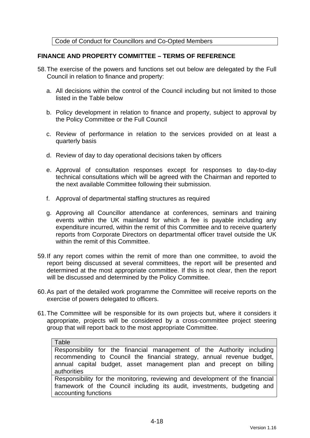Code of Conduct for Councillors and Co-Opted Members

# **FINANCE AND PROPERTY COMMITTEE – TERMS OF REFERENCE**

- 58. The exercise of the powers and functions set out below are delegated by the Full Council in relation to finance and property:
	- a. All decisions within the control of the Council including but not limited to those listed in the Table below
	- b. Policy development in relation to finance and property, subject to approval by the Policy Committee or the Full Council
	- c. Review of performance in relation to the services provided on at least a quarterly basis
	- d. Review of day to day operational decisions taken by officers
	- e. Approval of consultation responses except for responses to day-to-day technical consultations which will be agreed with the Chairman and reported to the next available Committee following their submission.
	- f. Approval of departmental staffing structures as required
	- g. Approving all Councillor attendance at conferences, seminars and training events within the UK mainland for which a fee is payable including any expenditure incurred, within the remit of this Committee and to receive quarterly reports from Corporate Directors on departmental officer travel outside the UK within the remit of this Committee.
- 59. If any report comes within the remit of more than one committee, to avoid the report being discussed at several committees, the report will be presented and determined at the most appropriate committee. If this is not clear, then the report will be discussed and determined by the Policy Committee.
- 60. As part of the detailed work programme the Committee will receive reports on the exercise of powers delegated to officers.
- 61. The Committee will be responsible for its own projects but, where it considers it appropriate, projects will be considered by a cross-committee project steering group that will report back to the most appropriate Committee.

#### Table

Responsibility for the financial management of the Authority including recommending to Council the financial strategy, annual revenue budget, annual capital budget, asset management plan and precept on billing authorities

Responsibility for the monitoring, reviewing and development of the financial framework of the Council including its audit, investments, budgeting and accounting functions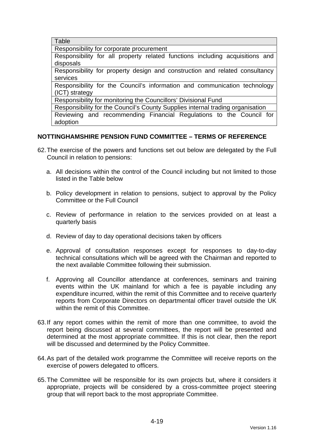**Table** 

Responsibility for corporate procurement

Responsibility for all property related functions including acquisitions and disposals

Responsibility for property design and construction and related consultancy services

Responsibility for the Council's information and communication technology (ICT) strategy

Responsibility for monitoring the Councillors' Divisional Fund

Responsibility for the Council's County Supplies internal trading organisation Reviewing and recommending Financial Regulations to the Council for adoption

# **NOTTINGHAMSHIRE PENSION FUND COMMITTEE – TERMS OF REFERENCE**

- 62. The exercise of the powers and functions set out below are delegated by the Full Council in relation to pensions:
	- a. All decisions within the control of the Council including but not limited to those listed in the Table below
	- b. Policy development in relation to pensions, subject to approval by the Policy Committee or the Full Council
	- c. Review of performance in relation to the services provided on at least a quarterly basis
	- d. Review of day to day operational decisions taken by officers
	- e. Approval of consultation responses except for responses to day-to-day technical consultations which will be agreed with the Chairman and reported to the next available Committee following their submission.
	- f. Approving all Councillor attendance at conferences, seminars and training events within the UK mainland for which a fee is payable including any expenditure incurred, within the remit of this Committee and to receive quarterly reports from Corporate Directors on departmental officer travel outside the UK within the remit of this Committee.
- 63. If any report comes within the remit of more than one committee, to avoid the report being discussed at several committees, the report will be presented and determined at the most appropriate committee. If this is not clear, then the report will be discussed and determined by the Policy Committee.
- 64. As part of the detailed work programme the Committee will receive reports on the exercise of powers delegated to officers.
- 65. The Committee will be responsible for its own projects but, where it considers it appropriate, projects will be considered by a cross-committee project steering group that will report back to the most appropriate Committee.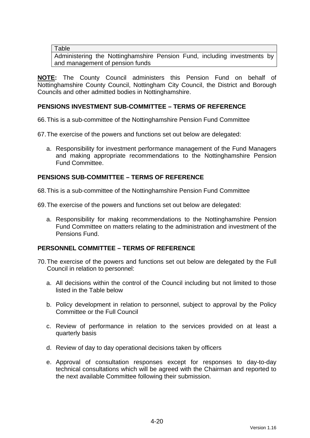**Table** 

Administering the Nottinghamshire Pension Fund, including investments by and management of pension funds

**NOTE:** The County Council administers this Pension Fund on behalf of Nottinghamshire County Council, Nottingham City Council, the District and Borough Councils and other admitted bodies in Nottinghamshire.

# **PENSIONS INVESTMENT SUB-COMMITTEE – TERMS OF REFERENCE**

66. This is a sub-committee of the Nottinghamshire Pension Fund Committee

67. The exercise of the powers and functions set out below are delegated:

a. Responsibility for investment performance management of the Fund Managers and making appropriate recommendations to the Nottinghamshire Pension Fund Committee.

# **PENSIONS SUB-COMMITTEE – TERMS OF REFERENCE**

68. This is a sub-committee of the Nottinghamshire Pension Fund Committee

69. The exercise of the powers and functions set out below are delegated:

a. Responsibility for making recommendations to the Nottinghamshire Pension Fund Committee on matters relating to the administration and investment of the Pensions Fund.

# **PERSONNEL COMMITTEE – TERMS OF REFERENCE**

- 70. The exercise of the powers and functions set out below are delegated by the Full Council in relation to personnel:
	- a. All decisions within the control of the Council including but not limited to those listed in the Table below
	- b. Policy development in relation to personnel, subject to approval by the Policy Committee or the Full Council
	- c. Review of performance in relation to the services provided on at least a quarterly basis
	- d. Review of day to day operational decisions taken by officers
	- e. Approval of consultation responses except for responses to day-to-day technical consultations which will be agreed with the Chairman and reported to the next available Committee following their submission.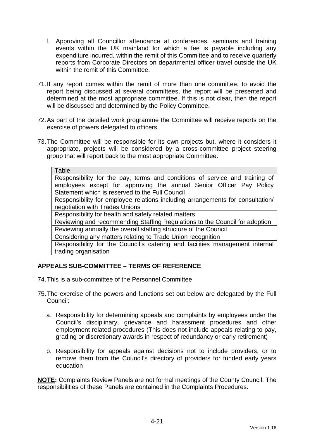- f. Approving all Councillor attendance at conferences, seminars and training events within the UK mainland for which a fee is payable including any expenditure incurred, within the remit of this Committee and to receive quarterly reports from Corporate Directors on departmental officer travel outside the UK within the remit of this Committee.
- 71. If any report comes within the remit of more than one committee, to avoid the report being discussed at several committees, the report will be presented and determined at the most appropriate committee. If this is not clear, then the report will be discussed and determined by the Policy Committee.
- 72. As part of the detailed work programme the Committee will receive reports on the exercise of powers delegated to officers.
- 73. The Committee will be responsible for its own projects but, where it considers it appropriate, projects will be considered by a cross-committee project steering group that will report back to the most appropriate Committee.

| Table                                                                          |  |  |  |  |  |
|--------------------------------------------------------------------------------|--|--|--|--|--|
| Responsibility for the pay, terms and conditions of service and training of    |  |  |  |  |  |
| employees except for approving the annual Senior Officer Pay Policy            |  |  |  |  |  |
| Statement which is reserved to the Full Council                                |  |  |  |  |  |
| Responsibility for employee relations including arrangements for consultation/ |  |  |  |  |  |
| negotiation with Trades Unions                                                 |  |  |  |  |  |
| Responsibility for health and safety related matters                           |  |  |  |  |  |
| Reviewing and recommending Staffing Regulations to the Council for adoption    |  |  |  |  |  |
| Reviewing annually the overall staffing structure of the Council               |  |  |  |  |  |
| Considering any matters relating to Trade Union recognition                    |  |  |  |  |  |
| Responsibility for the Council's catering and facilities management internal   |  |  |  |  |  |
| trading organisation                                                           |  |  |  |  |  |

# **APPEALS SUB-COMMITTEE – TERMS OF REFERENCE**

- 74. This is a sub-committee of the Personnel Committee
- 75. The exercise of the powers and functions set out below are delegated by the Full Council:
	- a. Responsibility for determining appeals and complaints by employees under the Council's disciplinary, grievance and harassment procedures and other employment related procedures (This does not include appeals relating to pay, grading or discretionary awards in respect of redundancy or early retirement)
	- b. Responsibility for appeals against decisions not to include providers, or to remove them from the Council's directory of providers for funded early years education

**NOTE:** Complaints Review Panels are not formal meetings of the County Council. The responsibilities of these Panels are contained in the Complaints Procedures.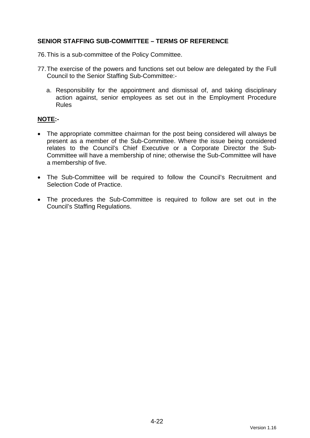# **SENIOR STAFFING SUB-COMMITTEE – TERMS OF REFERENCE**

- 76. This is a sub-committee of the Policy Committee.
- 77. The exercise of the powers and functions set out below are delegated by the Full Council to the Senior Staffing Sub-Committee:
	- a. Responsibility for the appointment and dismissal of, and taking disciplinary action against, senior employees as set out in the Employment Procedure Rules

# **NOTE:-**

- The appropriate committee chairman for the post being considered will always be present as a member of the Sub-Committee. Where the issue being considered relates to the Council's Chief Executive or a Corporate Director the Sub-Committee will have a membership of nine; otherwise the Sub-Committee will have a membership of five.
- The Sub-Committee will be required to follow the Council's Recruitment and Selection Code of Practice.
- The procedures the Sub-Committee is required to follow are set out in the Council's Staffing Regulations.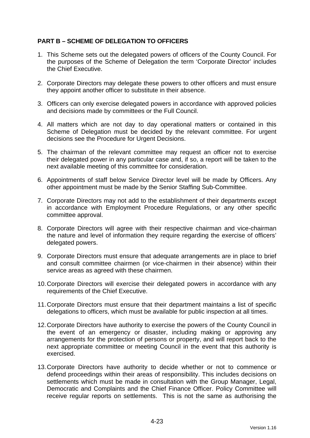# **PART B – SCHEME OF DELEGATION TO OFFICERS**

- 1. This Scheme sets out the delegated powers of officers of the County Council. For the purposes of the Scheme of Delegation the term 'Corporate Director' includes the Chief Executive.
- 2. Corporate Directors may delegate these powers to other officers and must ensure they appoint another officer to substitute in their absence.
- 3. Officers can only exercise delegated powers in accordance with approved policies and decisions made by committees or the Full Council.
- 4. All matters which are not day to day operational matters or contained in this Scheme of Delegation must be decided by the relevant committee. For urgent decisions see the Procedure for Urgent Decisions.
- 5. The chairman of the relevant committee may request an officer not to exercise their delegated power in any particular case and, if so, a report will be taken to the next available meeting of this committee for consideration.
- 6. Appointments of staff below Service Director level will be made by Officers. Any other appointment must be made by the Senior Staffing Sub-Committee.
- 7. Corporate Directors may not add to the establishment of their departments except in accordance with Employment Procedure Regulations, or any other specific committee approval.
- 8. Corporate Directors will agree with their respective chairman and vice-chairman the nature and level of information they require regarding the exercise of officers' delegated powers.
- 9. Corporate Directors must ensure that adequate arrangements are in place to brief and consult committee chairmen (or vice-chairmen in their absence) within their service areas as agreed with these chairmen.
- 10. Corporate Directors will exercise their delegated powers in accordance with any requirements of the Chief Executive.
- 11. Corporate Directors must ensure that their department maintains a list of specific delegations to officers, which must be available for public inspection at all times.
- 12. Corporate Directors have authority to exercise the powers of the County Council in the event of an emergency or disaster, including making or approving any arrangements for the protection of persons or property, and will report back to the next appropriate committee or meeting Council in the event that this authority is exercised.
- 13. Corporate Directors have authority to decide whether or not to commence or defend proceedings within their areas of responsibility. This includes decisions on settlements which must be made in consultation with the Group Manager, Legal, Democratic and Complaints and the Chief Finance Officer. Policy Committee will receive regular reports on settlements. This is not the same as authorising the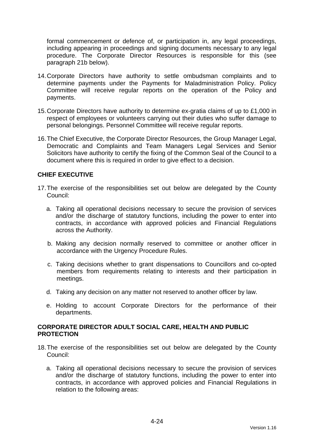formal commencement or defence of, or participation in, any legal proceedings, including appearing in proceedings and signing documents necessary to any legal procedure. The Corporate Director Resources is responsible for this (see paragraph 21b below).

- 14. Corporate Directors have authority to settle ombudsman complaints and to determine payments under the Payments for Maladministration Policy. Policy Committee will receive regular reports on the operation of the Policy and payments.
- 15. Corporate Directors have authority to determine ex-gratia claims of up to £1,000 in respect of employees or volunteers carrying out their duties who suffer damage to personal belongings. Personnel Committee will receive regular reports.
- 16. The Chief Executive, the Corporate Director Resources, the Group Manager Legal, Democratic and Complaints and Team Managers Legal Services and Senior Solicitors have authority to certify the fixing of the Common Seal of the Council to a document where this is required in order to give effect to a decision.

# **CHIEF EXECUTIVE**

- 17. The exercise of the responsibilities set out below are delegated by the County Council:
	- a. Taking all operational decisions necessary to secure the provision of services and/or the discharge of statutory functions, including the power to enter into contracts, in accordance with approved policies and Financial Regulations across the Authority.
	- b. Making any decision normally reserved to committee or another officer in accordance with the Urgency Procedure Rules.
	- c. Taking decisions whether to grant dispensations to Councillors and co-opted members from requirements relating to interests and their participation in meetings.
	- d. Taking any decision on any matter not reserved to another officer by law.
	- e. Holding to account Corporate Directors for the performance of their departments.

# **CORPORATE DIRECTOR ADULT SOCIAL CARE, HEALTH AND PUBLIC PROTECTION**

- 18. The exercise of the responsibilities set out below are delegated by the County Council:
	- a. Taking all operational decisions necessary to secure the provision of services and/or the discharge of statutory functions, including the power to enter into contracts, in accordance with approved policies and Financial Regulations in relation to the following areas: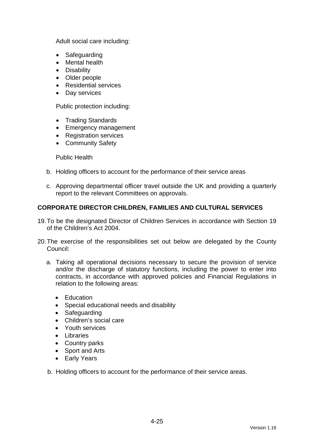Adult social care including:

- Safeguarding
- Mental health
- Disability
- Older people
- Residential services
- Day services

Public protection including:

- Trading Standards
- Emergency management
- Registration services
- Community Safety

Public Health

- b. Holding officers to account for the performance of their service areas
- c. Approving departmental officer travel outside the UK and providing a quarterly report to the relevant Committees on approvals.

# **CORPORATE DIRECTOR CHILDREN, FAMILIES AND CULTURAL SERVICES**

- 19. To be the designated Director of Children Services in accordance with Section 19 of the Children's Act 2004.
- 20. The exercise of the responsibilities set out below are delegated by the County Council:
	- a. Taking all operational decisions necessary to secure the provision of service and/or the discharge of statutory functions, including the power to enter into contracts, in accordance with approved policies and Financial Regulations in relation to the following areas:
		- Education
		- Special educational needs and disability
		- Safeguarding
		- Children's social care
		- Youth services
		- Libraries
		- Country parks
		- Sport and Arts
		- Early Years
	- b. Holding officers to account for the performance of their service areas.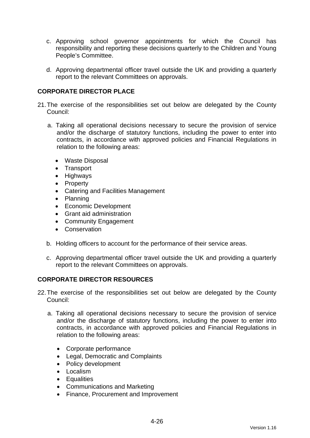- c. Approving school governor appointments for which the Council has responsibility and reporting these decisions quarterly to the Children and Young People's Committee.
- d. Approving departmental officer travel outside the UK and providing a quarterly report to the relevant Committees on approvals.

# **CORPORATE DIRECTOR PLACE**

- 21. The exercise of the responsibilities set out below are delegated by the County Council:
	- a. Taking all operational decisions necessary to secure the provision of service and/or the discharge of statutory functions, including the power to enter into contracts, in accordance with approved policies and Financial Regulations in relation to the following areas:
		- Waste Disposal
		- Transport
		- Highways
		- Property
		- Catering and Facilities Management
		- Planning
		- Economic Development
		- Grant aid administration
		- Community Engagement
		- Conservation
	- b. Holding officers to account for the performance of their service areas.
	- c. Approving departmental officer travel outside the UK and providing a quarterly report to the relevant Committees on approvals.

# **CORPORATE DIRECTOR RESOURCES**

- 22. The exercise of the responsibilities set out below are delegated by the County Council:
	- a. Taking all operational decisions necessary to secure the provision of service and/or the discharge of statutory functions, including the power to enter into contracts, in accordance with approved policies and Financial Regulations in relation to the following areas:
		- Corporate performance
		- Legal, Democratic and Complaints
		- Policy development
		- Localism
		- Equalities
		- Communications and Marketing
		- Finance, Procurement and Improvement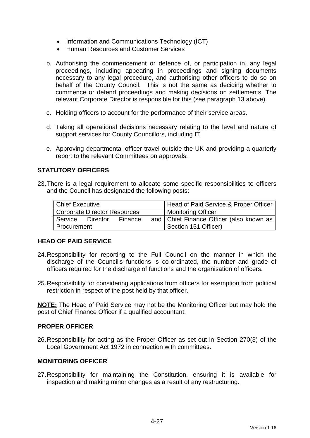- Information and Communications Technology (ICT)
- Human Resources and Customer Services
- b. Authorising the commencement or defence of, or participation in, any legal proceedings, including appearing in proceedings and signing documents necessary to any legal procedure, and authorising other officers to do so on behalf of the County Council. This is not the same as deciding whether to commence or defend proceedings and making decisions on settlements. The relevant Corporate Director is responsible for this (see paragraph 13 above).
- c. Holding officers to account for the performance of their service areas.
- d. Taking all operational decisions necessary relating to the level and nature of support services for County Councillors, including IT.
- e. Approving departmental officer travel outside the UK and providing a quarterly report to the relevant Committees on approvals.

# **STATUTORY OFFICERS**

23. There is a legal requirement to allocate some specific responsibilities to officers and the Council has designated the following posts:

| Chief Executive              |  |         |  | Head of Paid Service & Proper Officer      |
|------------------------------|--|---------|--|--------------------------------------------|
| Corporate Director Resources |  |         |  | <b>Monitoring Officer</b>                  |
| Service Director             |  | Finance |  | and   Chief Finance Officer (also known as |
| l Procurement                |  |         |  | Section 151 Officer)                       |

# **HEAD OF PAID SERVICE**

- 24. Responsibility for reporting to the Full Council on the manner in which the discharge of the Council's functions is co-ordinated, the number and grade of officers required for the discharge of functions and the organisation of officers.
- 25. Responsibility for considering applications from officers for exemption from political restriction in respect of the post held by that officer.

**NOTE:** The Head of Paid Service may not be the Monitoring Officer but may hold the post of Chief Finance Officer if a qualified accountant.

# **PROPER OFFICER**

26. Responsibility for acting as the Proper Officer as set out in Section 270(3) of the Local Government Act 1972 in connection with committees.

# **MONITORING OFFICER**

27. Responsibility for maintaining the Constitution, ensuring it is available for inspection and making minor changes as a result of any restructuring.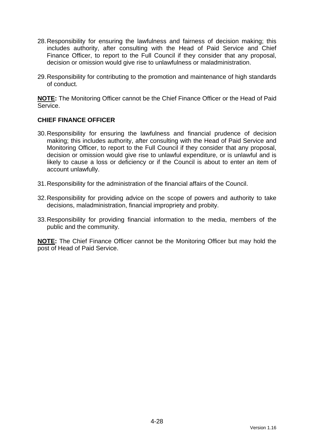- 28. Responsibility for ensuring the lawfulness and fairness of decision making; this includes authority, after consulting with the Head of Paid Service and Chief Finance Officer, to report to the Full Council if they consider that any proposal, decision or omission would give rise to unlawfulness or maladministration.
- 29. Responsibility for contributing to the promotion and maintenance of high standards of conduct.

**NOTE:** The Monitoring Officer cannot be the Chief Finance Officer or the Head of Paid **Service** 

# **CHIEF FINANCE OFFICER**

- 30. Responsibility for ensuring the lawfulness and financial prudence of decision making; this includes authority, after consulting with the Head of Paid Service and Monitoring Officer, to report to the Full Council if they consider that any proposal, decision or omission would give rise to unlawful expenditure, or is unlawful and is likely to cause a loss or deficiency or if the Council is about to enter an item of account unlawfully.
- 31. Responsibility for the administration of the financial affairs of the Council.
- 32. Responsibility for providing advice on the scope of powers and authority to take decisions, maladministration, financial impropriety and probity.
- 33. Responsibility for providing financial information to the media, members of the public and the community.

**NOTE:** The Chief Finance Officer cannot be the Monitoring Officer but may hold the post of Head of Paid Service.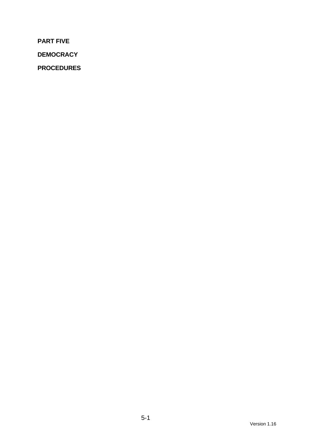**PART FIVE** 

**DEMOCRACY** 

**PROCEDURES**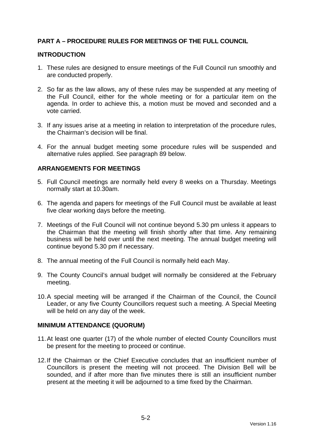# **PART A – PROCEDURE RULES FOR MEETINGS OF THE FULL COUNCIL**

#### **INTRODUCTION**

- 1. These rules are designed to ensure meetings of the Full Council run smoothly and are conducted properly.
- 2. So far as the law allows, any of these rules may be suspended at any meeting of the Full Council, either for the whole meeting or for a particular item on the agenda. In order to achieve this, a motion must be moved and seconded and a vote carried.
- 3. If any issues arise at a meeting in relation to interpretation of the procedure rules, the Chairman's decision will be final.
- 4. For the annual budget meeting some procedure rules will be suspended and alternative rules applied. See paragraph 89 below.

# **ARRANGEMENTS FOR MEETINGS**

- 5. Full Council meetings are normally held every 8 weeks on a Thursday. Meetings normally start at 10.30am.
- 6. The agenda and papers for meetings of the Full Council must be available at least five clear working days before the meeting.
- 7. Meetings of the Full Council will not continue beyond 5.30 pm unless it appears to the Chairman that the meeting will finish shortly after that time. Any remaining business will be held over until the next meeting. The annual budget meeting will continue beyond 5.30 pm if necessary.
- 8. The annual meeting of the Full Council is normally held each May.
- 9. The County Council's annual budget will normally be considered at the February meeting.
- 10. A special meeting will be arranged if the Chairman of the Council, the Council Leader, or any five County Councillors request such a meeting. A Special Meeting will be held on any day of the week.

#### **MINIMUM ATTENDANCE (QUORUM)**

- 11. At least one quarter (17) of the whole number of elected County Councillors must be present for the meeting to proceed or continue.
- 12. If the Chairman or the Chief Executive concludes that an insufficient number of Councillors is present the meeting will not proceed. The Division Bell will be sounded, and if after more than five minutes there is still an insufficient number present at the meeting it will be adjourned to a time fixed by the Chairman.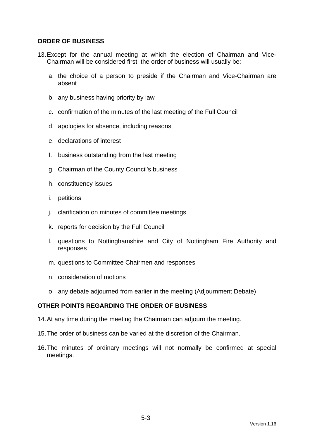## **ORDER OF BUSINESS**

- 13. Except for the annual meeting at which the election of Chairman and Vice-Chairman will be considered first, the order of business will usually be:
	- a. the choice of a person to preside if the Chairman and Vice-Chairman are absent
	- b. any business having priority by law
	- c. confirmation of the minutes of the last meeting of the Full Council
	- d. apologies for absence, including reasons
	- e. declarations of interest
	- f. business outstanding from the last meeting
	- g. Chairman of the County Council's business
	- h. constituency issues
	- i. petitions
	- j. clarification on minutes of committee meetings
	- k. reports for decision by the Full Council
	- l. questions to Nottinghamshire and City of Nottingham Fire Authority and responses
	- m. questions to Committee Chairmen and responses
	- n. consideration of motions
	- o. any debate adjourned from earlier in the meeting (Adjournment Debate)

# **OTHER POINTS REGARDING THE ORDER OF BUSINESS**

- 14. At any time during the meeting the Chairman can adjourn the meeting.
- 15. The order of business can be varied at the discretion of the Chairman.
- 16. The minutes of ordinary meetings will not normally be confirmed at special meetings.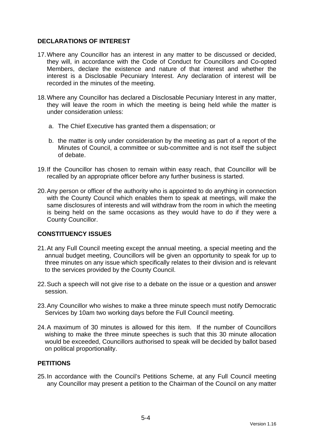# **DECLARATIONS OF INTEREST**

- 17. Where any Councillor has an interest in any matter to be discussed or decided, they will, in accordance with the Code of Conduct for Councillors and Co-opted Members, declare the existence and nature of that interest and whether the interest is a Disclosable Pecuniary Interest. Any declaration of interest will be recorded in the minutes of the meeting.
- 18. Where any Councillor has declared a Disclosable Pecuniary Interest in any matter, they will leave the room in which the meeting is being held while the matter is under consideration unless:
	- a. The Chief Executive has granted them a dispensation; or
	- b. the matter is only under consideration by the meeting as part of a report of the Minutes of Council, a committee or sub-committee and is not itself the subject of debate.
- 19. If the Councillor has chosen to remain within easy reach, that Councillor will be recalled by an appropriate officer before any further business is started.
- 20. Any person or officer of the authority who is appointed to do anything in connection with the County Council which enables them to speak at meetings, will make the same disclosures of interests and will withdraw from the room in which the meeting is being held on the same occasions as they would have to do if they were a County Councillor.

# **CONSTITUENCY ISSUES**

- 21. At any Full Council meeting except the annual meeting, a special meeting and the annual budget meeting, Councillors will be given an opportunity to speak for up to three minutes on any issue which specifically relates to their division and is relevant to the services provided by the County Council.
- 22. Such a speech will not give rise to a debate on the issue or a question and answer session.
- 23. Any Councillor who wishes to make a three minute speech must notify Democratic Services by 10am two working days before the Full Council meeting.
- 24. A maximum of 30 minutes is allowed for this item. If the number of Councillors wishing to make the three minute speeches is such that this 30 minute allocation would be exceeded, Councillors authorised to speak will be decided by ballot based on political proportionality.

# **PETITIONS**

25. In accordance with the Council's Petitions Scheme, at any Full Council meeting any Councillor may present a petition to the Chairman of the Council on any matter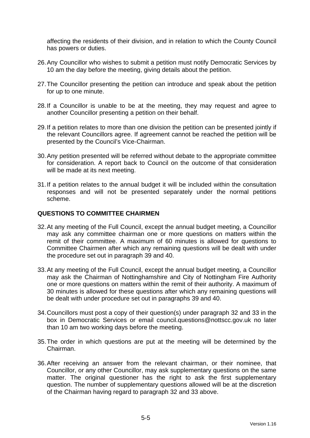affecting the residents of their division, and in relation to which the County Council has powers or duties.

- 26. Any Councillor who wishes to submit a petition must notify Democratic Services by 10 am the day before the meeting, giving details about the petition.
- 27. The Councillor presenting the petition can introduce and speak about the petition for up to one minute.
- 28. If a Councillor is unable to be at the meeting, they may request and agree to another Councillor presenting a petition on their behalf.
- 29. If a petition relates to more than one division the petition can be presented jointly if the relevant Councillors agree. If agreement cannot be reached the petition will be presented by the Council's Vice-Chairman.
- 30. Any petition presented will be referred without debate to the appropriate committee for consideration. A report back to Council on the outcome of that consideration will be made at its next meeting.
- 31. If a petition relates to the annual budget it will be included within the consultation responses and will not be presented separately under the normal petitions scheme.

#### **QUESTIONS TO COMMITTEE CHAIRMEN**

- 32. At any meeting of the Full Council, except the annual budget meeting, a Councillor may ask any committee chairman one or more questions on matters within the remit of their committee. A maximum of 60 minutes is allowed for questions to Committee Chairmen after which any remaining questions will be dealt with under the procedure set out in paragraph 39 and 40.
- 33. At any meeting of the Full Council, except the annual budget meeting, a Councillor may ask the Chairman of Nottinghamshire and City of Nottingham Fire Authority one or more questions on matters within the remit of their authority. A maximum of 30 minutes is allowed for these questions after which any remaining questions will be dealt with under procedure set out in paragraphs 39 and 40.
- 34. Councillors must post a copy of their question(s) under paragraph 32 and 33 in the box in Democratic Services or email council.questions@nottscc.gov.uk no later than 10 am two working days before the meeting.
- 35. The order in which questions are put at the meeting will be determined by the Chairman.
- 36. After receiving an answer from the relevant chairman, or their nominee, that Councillor, or any other Councillor, may ask supplementary questions on the same matter. The original questioner has the right to ask the first supplementary question. The number of supplementary questions allowed will be at the discretion of the Chairman having regard to paragraph 32 and 33 above.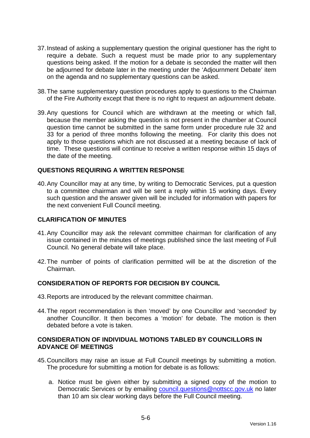- 37. Instead of asking a supplementary question the original questioner has the right to require a debate. Such a request must be made prior to any supplementary questions being asked. If the motion for a debate is seconded the matter will then be adjourned for debate later in the meeting under the 'Adjournment Debate' item on the agenda and no supplementary questions can be asked.
- 38. The same supplementary question procedures apply to questions to the Chairman of the Fire Authority except that there is no right to request an adjournment debate.
- 39. Any questions for Council which are withdrawn at the meeting or which fall, because the member asking the question is not present in the chamber at Council question time cannot be submitted in the same form under procedure rule 32 and 33 for a period of three months following the meeting. For clarity this does not apply to those questions which are not discussed at a meeting because of lack of time. These questions will continue to receive a written response within 15 days of the date of the meeting.

#### **QUESTIONS REQUIRING A WRITTEN RESPONSE**

40. Any Councillor may at any time, by writing to Democratic Services, put a question to a committee chairman and will be sent a reply within 15 working days. Every such question and the answer given will be included for information with papers for the next convenient Full Council meeting.

#### **CLARIFICATION OF MINUTES**

- 41. Any Councillor may ask the relevant committee chairman for clarification of any issue contained in the minutes of meetings published since the last meeting of Full Council. No general debate will take place.
- 42. The number of points of clarification permitted will be at the discretion of the Chairman.

#### **CONSIDERATION OF REPORTS FOR DECISION BY COUNCIL**

- 43. Reports are introduced by the relevant committee chairman.
- 44. The report recommendation is then 'moved' by one Councillor and 'seconded' by another Councillor. It then becomes a 'motion' for debate. The motion is then debated before a vote is taken.

### **CONSIDERATION OF INDIVIDUAL MOTIONS TABLED BY COUNCILLORS IN ADVANCE OF MEETINGS**

- 45. Councillors may raise an issue at Full Council meetings by submitting a motion. The procedure for submitting a motion for debate is as follows:
	- a. Notice must be given either by submitting a signed copy of the motion to Democratic Services or by emailing council.questions@nottscc.gov.uk no later than 10 am six clear working days before the Full Council meeting.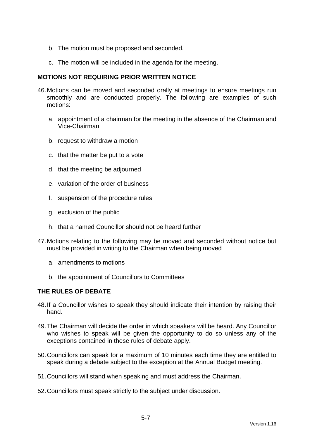- b. The motion must be proposed and seconded.
- c. The motion will be included in the agenda for the meeting.

### **MOTIONS NOT REQUIRING PRIOR WRITTEN NOTICE**

- 46. Motions can be moved and seconded orally at meetings to ensure meetings run smoothly and are conducted properly. The following are examples of such motions:
	- a. appointment of a chairman for the meeting in the absence of the Chairman and Vice-Chairman
	- b. request to withdraw a motion
	- c. that the matter be put to a vote
	- d. that the meeting be adjourned
	- e. variation of the order of business
	- f. suspension of the procedure rules
	- g. exclusion of the public
	- h. that a named Councillor should not be heard further
- 47. Motions relating to the following may be moved and seconded without notice but must be provided in writing to the Chairman when being moved
	- a. amendments to motions
	- b. the appointment of Councillors to Committees

# **THE RULES OF DEBATE**

- 48. If a Councillor wishes to speak they should indicate their intention by raising their hand.
- 49. The Chairman will decide the order in which speakers will be heard. Any Councillor who wishes to speak will be given the opportunity to do so unless any of the exceptions contained in these rules of debate apply.
- 50. Councillors can speak for a maximum of 10 minutes each time they are entitled to speak during a debate subject to the exception at the Annual Budget meeting.
- 51. Councillors will stand when speaking and must address the Chairman.
- 52. Councillors must speak strictly to the subject under discussion.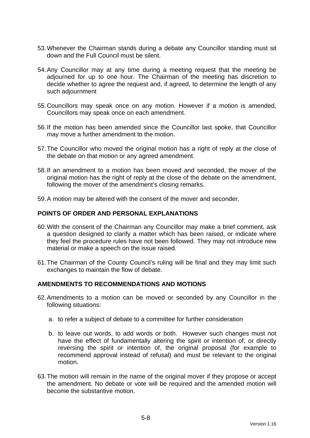- 53. Whenever the Chairman stands during a debate any Councillor standing must sit down and the Full Council must be silent.
- 54. Any Councillor may at any time during a meeting request that the meeting be adjourned for up to one hour. The Chairman of the meeting has discretion to decide whether to agree the request and, if agreed, to determine the length of any such adjournment
- 55. Councillors may speak once on any motion. However if a motion is amended, Councillors may speak once on each amendment.
- 56. If the motion has been amended since the Councillor last spoke, that Councillor may move a further amendment to the motion.
- 57. The Councillor who moved the original motion has a right of reply at the close of the debate on that motion or any agreed amendment.
- 58. If an amendment to a motion has been moved and seconded, the mover of the original motion has the right of reply at the close of the debate on the amendment, following the mover of the amendment's closing remarks.
- 59. A motion may be altered with the consent of the mover and seconder.

### **POINTS OF ORDER AND PERSONAL EXPLANATIONS**

- 60. With the consent of the Chairman any Councillor may make a brief comment, ask a question designed to clarify a matter which has been raised, or indicate where they feel the procedure rules have not been followed. They may not introduce new material or make a speech on the issue raised.
- 61. The Chairman of the County Council's ruling will be final and they may limit such exchanges to maintain the flow of debate.

#### **AMENDMENTS TO RECOMMENDATIONS AND MOTIONS**

- 62. Amendments to a motion can be moved or seconded by any Councillor in the following situations:
	- a. to refer a subject of debate to a committee for further consideration
	- b. to leave out words, to add words or both. However such changes must not have the effect of fundamentally altering the spirit or intention of, or directly reversing the spirit or intention of, the original proposal (for example to recommend approval instead of refusal) and must be relevant to the original motion.
- 63. The motion will remain in the name of the original mover if they propose or accept the amendment. No debate or vote will be required and the amended motion will become the substantive motion.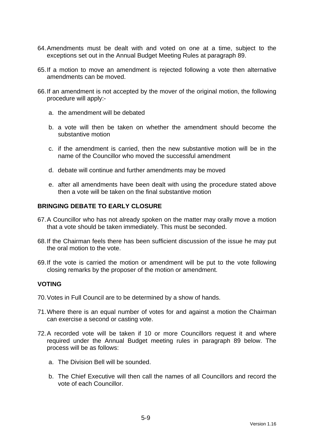- 64. Amendments must be dealt with and voted on one at a time, subject to the exceptions set out in the Annual Budget Meeting Rules at paragraph 89.
- 65. If a motion to move an amendment is rejected following a vote then alternative amendments can be moved.
- 66. If an amendment is not accepted by the mover of the original motion, the following procedure will apply:
	- a. the amendment will be debated
	- b. a vote will then be taken on whether the amendment should become the substantive motion
	- c. if the amendment is carried, then the new substantive motion will be in the name of the Councillor who moved the successful amendment
	- d. debate will continue and further amendments may be moved
	- e. after all amendments have been dealt with using the procedure stated above then a vote will be taken on the final substantive motion

#### **BRINGING DEBATE TO EARLY CLOSURE**

- 67. A Councillor who has not already spoken on the matter may orally move a motion that a vote should be taken immediately. This must be seconded.
- 68. If the Chairman feels there has been sufficient discussion of the issue he may put the oral motion to the vote.
- 69. If the vote is carried the motion or amendment will be put to the vote following closing remarks by the proposer of the motion or amendment.

#### **VOTING**

- 70. Votes in Full Council are to be determined by a show of hands.
- 71. Where there is an equal number of votes for and against a motion the Chairman can exercise a second or casting vote.
- 72. A recorded vote will be taken if 10 or more Councillors request it and where required under the Annual Budget meeting rules in paragraph 89 below. The process will be as follows:
	- a. The Division Bell will be sounded.
	- b. The Chief Executive will then call the names of all Councillors and record the vote of each Councillor.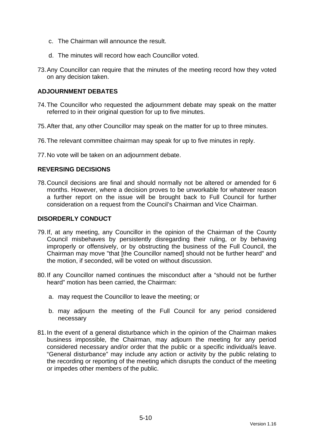- c. The Chairman will announce the result.
- d. The minutes will record how each Councillor voted.
- 73. Any Councillor can require that the minutes of the meeting record how they voted on any decision taken.

# **ADJOURNMENT DEBATES**

- 74. The Councillor who requested the adjournment debate may speak on the matter referred to in their original question for up to five minutes.
- 75. After that, any other Councillor may speak on the matter for up to three minutes.
- 76. The relevant committee chairman may speak for up to five minutes in reply.
- 77. No vote will be taken on an adjournment debate.

# **REVERSING DECISIONS**

78. Council decisions are final and should normally not be altered or amended for 6 months. However, where a decision proves to be unworkable for whatever reason a further report on the issue will be brought back to Full Council for further consideration on a request from the Council's Chairman and Vice Chairman.

#### **DISORDERLY CONDUCT**

- 79. If, at any meeting, any Councillor in the opinion of the Chairman of the County Council misbehaves by persistently disregarding their ruling, or by behaving improperly or offensively, or by obstructing the business of the Full Council, the Chairman may move "that [the Councillor named] should not be further heard" and the motion, if seconded, will be voted on without discussion.
- 80. If any Councillor named continues the misconduct after a "should not be further heard" motion has been carried, the Chairman:
	- a. may request the Councillor to leave the meeting; or
	- b. may adjourn the meeting of the Full Council for any period considered necessary
- 81. In the event of a general disturbance which in the opinion of the Chairman makes business impossible, the Chairman, may adjourn the meeting for any period considered necessary and/or order that the public or a specific individual/s leave. "General disturbance" may include any action or activity by the public relating to the recording or reporting of the meeting which disrupts the conduct of the meeting or impedes other members of the public.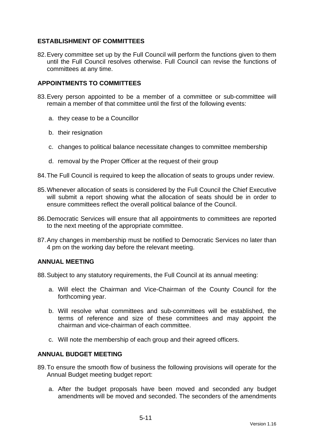# **ESTABLISHMENT OF COMMITTEES**

82. Every committee set up by the Full Council will perform the functions given to them until the Full Council resolves otherwise. Full Council can revise the functions of committees at any time.

# **APPOINTMENTS TO COMMITTEES**

- 83. Every person appointed to be a member of a committee or sub-committee will remain a member of that committee until the first of the following events:
	- a. they cease to be a Councillor
	- b. their resignation
	- c. changes to political balance necessitate changes to committee membership
	- d. removal by the Proper Officer at the request of their group
- 84. The Full Council is required to keep the allocation of seats to groups under review.
- 85. Whenever allocation of seats is considered by the Full Council the Chief Executive will submit a report showing what the allocation of seats should be in order to ensure committees reflect the overall political balance of the Council.
- 86. Democratic Services will ensure that all appointments to committees are reported to the next meeting of the appropriate committee.
- 87. Any changes in membership must be notified to Democratic Services no later than 4 pm on the working day before the relevant meeting.

# **ANNUAL MEETING**

88. Subject to any statutory requirements, the Full Council at its annual meeting:

- a. Will elect the Chairman and Vice-Chairman of the County Council for the forthcoming year.
- b. Will resolve what committees and sub-committees will be established, the terms of reference and size of these committees and may appoint the chairman and vice-chairman of each committee.
- c. Will note the membership of each group and their agreed officers.

# **ANNUAL BUDGET MEETING**

- 89. To ensure the smooth flow of business the following provisions will operate for the Annual Budget meeting budget report:
	- a. After the budget proposals have been moved and seconded any budget amendments will be moved and seconded. The seconders of the amendments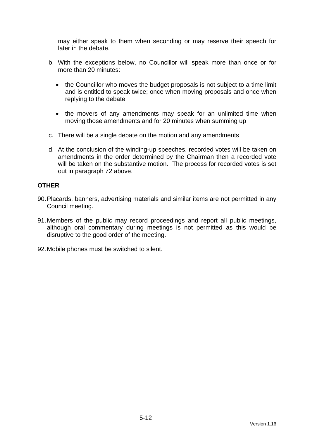may either speak to them when seconding or may reserve their speech for later in the debate.

- b. With the exceptions below, no Councillor will speak more than once or for more than 20 minutes:
	- the Councillor who moves the budget proposals is not subject to a time limit and is entitled to speak twice; once when moving proposals and once when replying to the debate
	- the movers of any amendments may speak for an unlimited time when moving those amendments and for 20 minutes when summing up
- c. There will be a single debate on the motion and any amendments
- d. At the conclusion of the winding-up speeches, recorded votes will be taken on amendments in the order determined by the Chairman then a recorded vote will be taken on the substantive motion. The process for recorded votes is set out in paragraph 72 above.

# **OTHER**

- 90. Placards, banners, advertising materials and similar items are not permitted in any Council meeting.
- 91. Members of the public may record proceedings and report all public meetings, although oral commentary during meetings is not permitted as this would be disruptive to the good order of the meeting.
- 92. Mobile phones must be switched to silent.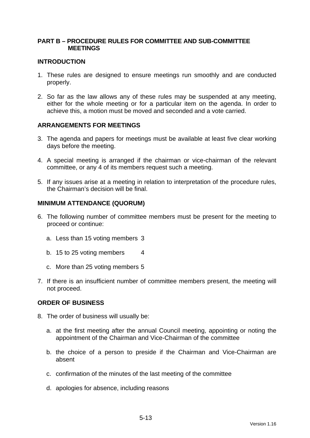# **PART B – PROCEDURE RULES FOR COMMITTEE AND SUB-COMMITTEE MEETINGS**

### **INTRODUCTION**

- 1. These rules are designed to ensure meetings run smoothly and are conducted properly.
- 2. So far as the law allows any of these rules may be suspended at any meeting, either for the whole meeting or for a particular item on the agenda. In order to achieve this, a motion must be moved and seconded and a vote carried.

# **ARRANGEMENTS FOR MEETINGS**

- 3. The agenda and papers for meetings must be available at least five clear working days before the meeting.
- 4. A special meeting is arranged if the chairman or vice-chairman of the relevant committee, or any 4 of its members request such a meeting.
- 5. If any issues arise at a meeting in relation to interpretation of the procedure rules, the Chairman's decision will be final.

#### **MINIMUM ATTENDANCE (QUORUM)**

- 6. The following number of committee members must be present for the meeting to proceed or continue:
	- a. Less than 15 voting members 3
	- b. 15 to 25 voting members 4
	- c. More than 25 voting members 5
- 7. If there is an insufficient number of committee members present, the meeting will not proceed.

#### **ORDER OF BUSINESS**

- 8. The order of business will usually be:
	- a. at the first meeting after the annual Council meeting, appointing or noting the appointment of the Chairman and Vice-Chairman of the committee
	- b. the choice of a person to preside if the Chairman and Vice-Chairman are absent
	- c. confirmation of the minutes of the last meeting of the committee
	- d. apologies for absence, including reasons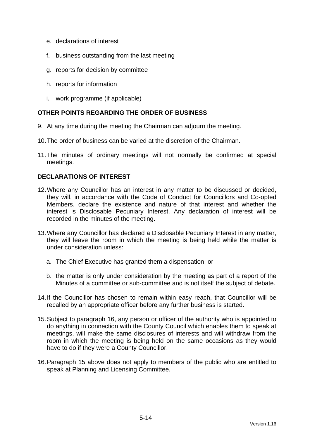- e. declarations of interest
- f. business outstanding from the last meeting
- g. reports for decision by committee
- h. reports for information
- i. work programme (if applicable)

# **OTHER POINTS REGARDING THE ORDER OF BUSINESS**

- 9. At any time during the meeting the Chairman can adjourn the meeting.
- 10. The order of business can be varied at the discretion of the Chairman.
- 11. The minutes of ordinary meetings will not normally be confirmed at special meetings.

# **DECLARATIONS OF INTEREST**

- 12. Where any Councillor has an interest in any matter to be discussed or decided, they will, in accordance with the Code of Conduct for Councillors and Co-opted Members, declare the existence and nature of that interest and whether the interest is Disclosable Pecuniary Interest. Any declaration of interest will be recorded in the minutes of the meeting.
- 13. Where any Councillor has declared a Disclosable Pecuniary Interest in any matter, they will leave the room in which the meeting is being held while the matter is under consideration unless:
	- a. The Chief Executive has granted them a dispensation; or
	- b. the matter is only under consideration by the meeting as part of a report of the Minutes of a committee or sub-committee and is not itself the subject of debate.
- 14. If the Councillor has chosen to remain within easy reach, that Councillor will be recalled by an appropriate officer before any further business is started.
- 15. Subject to paragraph 16, any person or officer of the authority who is appointed to do anything in connection with the County Council which enables them to speak at meetings, will make the same disclosures of interests and will withdraw from the room in which the meeting is being held on the same occasions as they would have to do if they were a County Councillor.
- 16. Paragraph 15 above does not apply to members of the public who are entitled to speak at Planning and Licensing Committee.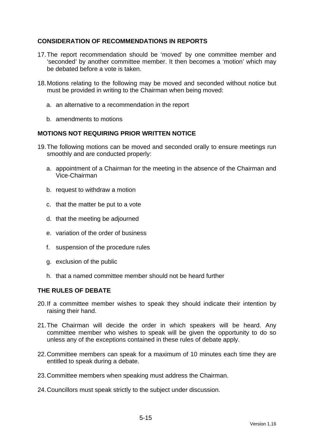# **CONSIDERATION OF RECOMMENDATIONS IN REPORTS**

- 17. The report recommendation should be 'moved' by one committee member and 'seconded' by another committee member. It then becomes a 'motion' which may be debated before a vote is taken.
- 18. Motions relating to the following may be moved and seconded without notice but must be provided in writing to the Chairman when being moved:
	- a. an alternative to a recommendation in the report
	- b. amendments to motions

# **MOTIONS NOT REQUIRING PRIOR WRITTEN NOTICE**

- 19. The following motions can be moved and seconded orally to ensure meetings run smoothly and are conducted properly:
	- a. appointment of a Chairman for the meeting in the absence of the Chairman and Vice-Chairman
	- b. request to withdraw a motion
	- c. that the matter be put to a vote
	- d. that the meeting be adjourned
	- e. variation of the order of business
	- f. suspension of the procedure rules
	- g. exclusion of the public
	- h. that a named committee member should not be heard further

# **THE RULES OF DEBATE**

- 20. If a committee member wishes to speak they should indicate their intention by raising their hand.
- 21. The Chairman will decide the order in which speakers will be heard. Any committee member who wishes to speak will be given the opportunity to do so unless any of the exceptions contained in these rules of debate apply.
- 22. Committee members can speak for a maximum of 10 minutes each time they are entitled to speak during a debate.
- 23. Committee members when speaking must address the Chairman.
- 24. Councillors must speak strictly to the subject under discussion.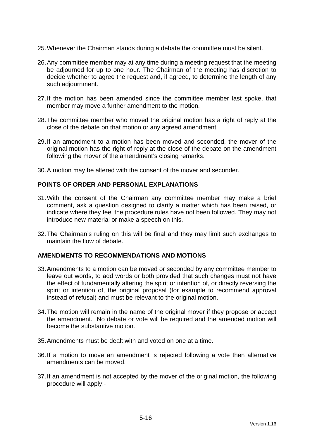- 25. Whenever the Chairman stands during a debate the committee must be silent.
- 26. Any committee member may at any time during a meeting request that the meeting be adjourned for up to one hour. The Chairman of the meeting has discretion to decide whether to agree the request and, if agreed, to determine the length of any such adjournment.
- 27. If the motion has been amended since the committee member last spoke, that member may move a further amendment to the motion.
- 28. The committee member who moved the original motion has a right of reply at the close of the debate on that motion or any agreed amendment.
- 29. If an amendment to a motion has been moved and seconded, the mover of the original motion has the right of reply at the close of the debate on the amendment following the mover of the amendment's closing remarks.
- 30. A motion may be altered with the consent of the mover and seconder.

# **POINTS OF ORDER AND PERSONAL EXPLANATIONS**

- 31. With the consent of the Chairman any committee member may make a brief comment, ask a question designed to clarify a matter which has been raised, or indicate where they feel the procedure rules have not been followed. They may not introduce new material or make a speech on this.
- 32. The Chairman's ruling on this will be final and they may limit such exchanges to maintain the flow of debate.

# **AMENDMENTS TO RECOMMENDATIONS AND MOTIONS**

- 33. Amendments to a motion can be moved or seconded by any committee member to leave out words, to add words or both provided that such changes must not have the effect of fundamentally altering the spirit or intention of, or directly reversing the spirit or intention of, the original proposal (for example to recommend approval instead of refusal) and must be relevant to the original motion.
- 34. The motion will remain in the name of the original mover if they propose or accept the amendment. No debate or vote will be required and the amended motion will become the substantive motion.
- 35. Amendments must be dealt with and voted on one at a time.
- 36. If a motion to move an amendment is rejected following a vote then alternative amendments can be moved.
- 37. If an amendment is not accepted by the mover of the original motion, the following procedure will apply:-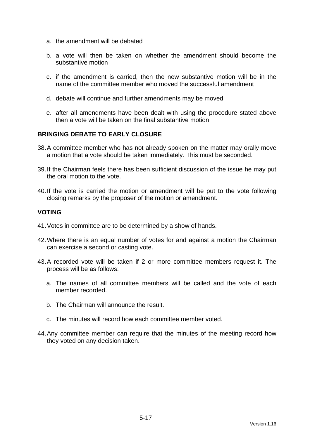- a. the amendment will be debated
- b. a vote will then be taken on whether the amendment should become the substantive motion
- c. if the amendment is carried, then the new substantive motion will be in the name of the committee member who moved the successful amendment
- d. debate will continue and further amendments may be moved
- e. after all amendments have been dealt with using the procedure stated above then a vote will be taken on the final substantive motion

# **BRINGING DEBATE TO EARLY CLOSURE**

- 38. A committee member who has not already spoken on the matter may orally move a motion that a vote should be taken immediately. This must be seconded.
- 39. If the Chairman feels there has been sufficient discussion of the issue he may put the oral motion to the vote.
- 40. If the vote is carried the motion or amendment will be put to the vote following closing remarks by the proposer of the motion or amendment.

#### **VOTING**

- 41. Votes in committee are to be determined by a show of hands.
- 42. Where there is an equal number of votes for and against a motion the Chairman can exercise a second or casting vote.
- 43. A recorded vote will be taken if 2 or more committee members request it. The process will be as follows:
	- a. The names of all committee members will be called and the vote of each member recorded.
	- b. The Chairman will announce the result.
	- c. The minutes will record how each committee member voted.
- 44. Any committee member can require that the minutes of the meeting record how they voted on any decision taken.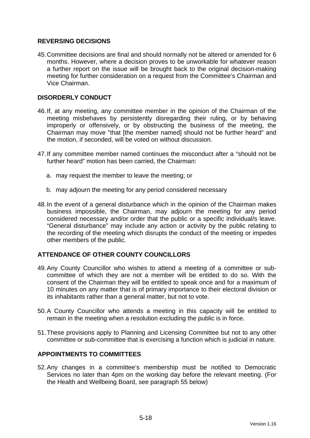# **REVERSING DECISIONS**

45. Committee decisions are final and should normally not be altered or amended for 6 months. However, where a decision proves to be unworkable for whatever reason a further report on the issue will be brought back to the original decision-making meeting for further consideration on a request from the Committee's Chairman and Vice Chairman.

# **DISORDERLY CONDUCT**

- 46. If, at any meeting, any committee member in the opinion of the Chairman of the meeting misbehaves by persistently disregarding their ruling, or by behaving improperly or offensively, or by obstructing the business of the meeting, the Chairman may move "that [the member named] should not be further heard" and the motion, if seconded, will be voted on without discussion.
- 47. If any committee member named continues the misconduct after a "should not be further heard" motion has been carried, the Chairman:
	- a. may request the member to leave the meeting; or
	- b. may adjourn the meeting for any period considered necessary
- 48. In the event of a general disturbance which in the opinion of the Chairman makes business impossible, the Chairman, may adjourn the meeting for any period considered necessary and/or order that the public or a specific individual/s leave. "General disturbance" may include any action or activity by the public relating to the recording of the meeting which disrupts the conduct of the meeting or impedes other members of the public.

# **ATTENDANCE OF OTHER COUNTY COUNCILLORS**

- 49. Any County Councillor who wishes to attend a meeting of a committee or subcommittee of which they are not a member will be entitled to do so. With the consent of the Chairman they will be entitled to speak once and for a maximum of 10 minutes on any matter that is of primary importance to their electoral division or its inhabitants rather than a general matter, but not to vote.
- 50. A County Councillor who attends a meeting in this capacity will be entitled to remain in the meeting when a resolution excluding the public is in force.
- 51. These provisions apply to Planning and Licensing Committee but not to any other committee or sub-committee that is exercising a function which is judicial in nature.

# **APPOINTMENTS TO COMMITTEES**

52. Any changes in a committee's membership must be notified to Democratic Services no later than 4pm on the working day before the relevant meeting. (For the Health and Wellbeing Board, see paragraph 55 below)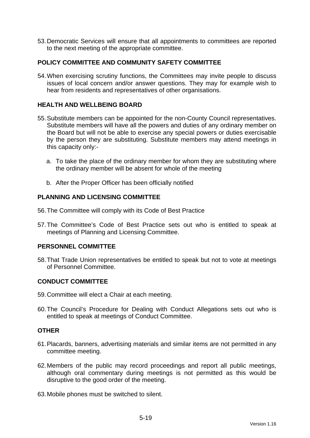53. Democratic Services will ensure that all appointments to committees are reported to the next meeting of the appropriate committee.

# **POLICY COMMITTEE AND COMMUNITY SAFETY COMMITTEE**

54. When exercising scrutiny functions, the Committees may invite people to discuss issues of local concern and/or answer questions. They may for example wish to hear from residents and representatives of other organisations.

# **HEALTH AND WELLBEING BOARD**

- 55. Substitute members can be appointed for the non-County Council representatives. Substitute members will have all the powers and duties of any ordinary member on the Board but will not be able to exercise any special powers or duties exercisable by the person they are substituting. Substitute members may attend meetings in this capacity only:
	- a. To take the place of the ordinary member for whom they are substituting where the ordinary member will be absent for whole of the meeting
	- b. After the Proper Officer has been officially notified

# **PLANNING AND LICENSING COMMITTEE**

- 56. The Committee will comply with its Code of Best Practice
- 57. The Committee's Code of Best Practice sets out who is entitled to speak at meetings of Planning and Licensing Committee.

# **PERSONNEL COMMITTEE**

58. That Trade Union representatives be entitled to speak but not to vote at meetings of Personnel Committee.

# **CONDUCT COMMITTEE**

- 59. Committee will elect a Chair at each meeting.
- 60. The Council's Procedure for Dealing with Conduct Allegations sets out who is entitled to speak at meetings of Conduct Committee.

#### **OTHER**

- 61. Placards, banners, advertising materials and similar items are not permitted in any committee meeting.
- 62. Members of the public may record proceedings and report all public meetings, although oral commentary during meetings is not permitted as this would be disruptive to the good order of the meeting.
- 63. Mobile phones must be switched to silent.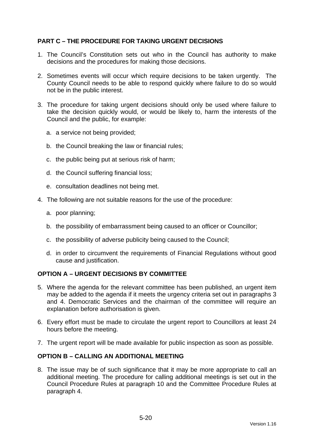# **PART C – THE PROCEDURE FOR TAKING URGENT DECISIONS**

- 1. The Council's Constitution sets out who in the Council has authority to make decisions and the procedures for making those decisions.
- 2. Sometimes events will occur which require decisions to be taken urgently. The County Council needs to be able to respond quickly where failure to do so would not be in the public interest.
- 3. The procedure for taking urgent decisions should only be used where failure to take the decision quickly would, or would be likely to, harm the interests of the Council and the public, for example:
	- a. a service not being provided;
	- b. the Council breaking the law or financial rules;
	- c. the public being put at serious risk of harm;
	- d. the Council suffering financial loss;
	- e. consultation deadlines not being met.
- 4. The following are not suitable reasons for the use of the procedure:
	- a. poor planning;
	- b. the possibility of embarrassment being caused to an officer or Councillor;
	- c. the possibility of adverse publicity being caused to the Council;
	- d. in order to circumvent the requirements of Financial Regulations without good cause and justification.

# **OPTION A – URGENT DECISIONS BY COMMITTEE**

- 5. Where the agenda for the relevant committee has been published, an urgent item may be added to the agenda if it meets the urgency criteria set out in paragraphs 3 and 4. Democratic Services and the chairman of the committee will require an explanation before authorisation is given.
- 6. Every effort must be made to circulate the urgent report to Councillors at least 24 hours before the meeting.
- 7. The urgent report will be made available for public inspection as soon as possible.

# **OPTION B – CALLING AN ADDITIONAL MEETING**

8. The issue may be of such significance that it may be more appropriate to call an additional meeting. The procedure for calling additional meetings is set out in the Council Procedure Rules at paragraph 10 and the Committee Procedure Rules at paragraph 4.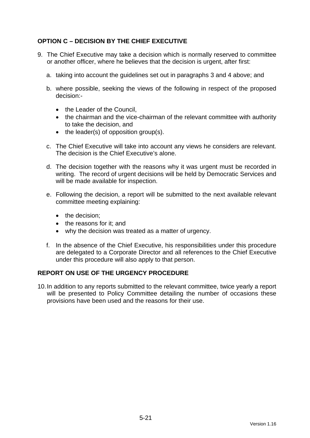# **OPTION C – DECISION BY THE CHIEF EXECUTIVE**

- 9. The Chief Executive may take a decision which is normally reserved to committee or another officer, where he believes that the decision is urgent, after first:
	- a. taking into account the guidelines set out in paragraphs 3 and 4 above; and
	- b. where possible, seeking the views of the following in respect of the proposed decision:-
		- the Leader of the Council.
		- the chairman and the vice-chairman of the relevant committee with authority to take the decision, and
		- $\bullet$  the leader(s) of opposition group(s).
	- c. The Chief Executive will take into account any views he considers are relevant. The decision is the Chief Executive's alone.
	- d. The decision together with the reasons why it was urgent must be recorded in writing. The record of urgent decisions will be held by Democratic Services and will be made available for inspection.
	- e. Following the decision, a report will be submitted to the next available relevant committee meeting explaining:
		- the decision:
		- the reasons for it: and
		- why the decision was treated as a matter of urgency.
	- f. In the absence of the Chief Executive, his responsibilities under this procedure are delegated to a Corporate Director and all references to the Chief Executive under this procedure will also apply to that person.

# **REPORT ON USE OF THE URGENCY PROCEDURE**

10. In addition to any reports submitted to the relevant committee, twice yearly a report will be presented to Policy Committee detailing the number of occasions these provisions have been used and the reasons for their use.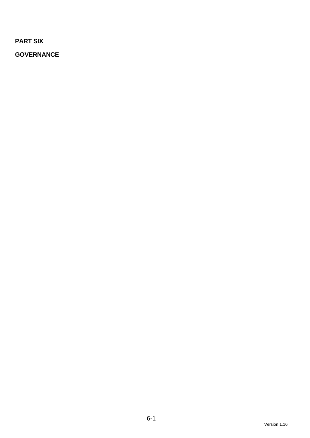**PART SIX** 

**GOVERNANCE**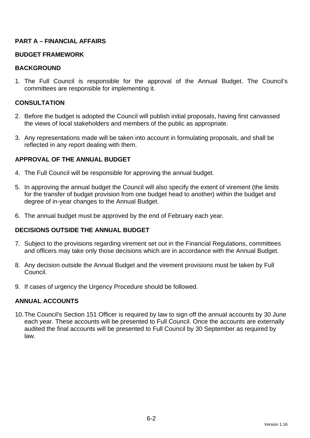# **PART A – FINANCIAL AFFAIRS**

# **BUDGET FRAMEWORK**

#### **BACKGROUND**

1. The Full Council is responsible for the approval of the Annual Budget. The Council's committees are responsible for implementing it.

#### **CONSULTATION**

- 2. Before the budget is adopted the Council will publish initial proposals, having first canvassed the views of local stakeholders and members of the public as appropriate.
- 3. Any representations made will be taken into account in formulating proposals, and shall be reflected in any report dealing with them.

# **APPROVAL OF THE ANNUAL BUDGET**

- 4. The Full Council will be responsible for approving the annual budget.
- 5. In approving the annual budget the Council will also specify the extent of virement (the limits for the transfer of budget provision from one budget head to another) within the budget and degree of in-year changes to the Annual Budget.
- 6. The annual budget must be approved by the end of February each year.

# **DECISIONS OUTSIDE THE ANNUAL BUDGET**

- 7. Subject to the provisions regarding virement set out in the Financial Regulations, committees and officers may take only those decisions which are in accordance with the Annual Budget.
- 8. Any decision outside the Annual Budget and the virement provisions must be taken by Full Council.
- 9. If cases of urgency the Urgency Procedure should be followed.

# **ANNUAL ACCOUNTS**

10. The Council's Section 151 Officer is required by law to sign off the annual accounts by 30 June each year. These accounts will be presented to Full Council. Once the accounts are externally audited the final accounts will be presented to Full Council by 30 September as required by law.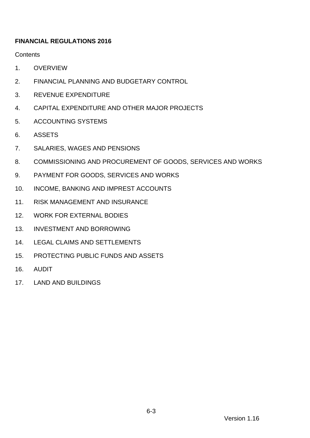# **FINANCIAL REGULATIONS 2016**

**Contents** 

- 1. [OVERVIEW](#page-73-0)
- 2. [FINANCIAL PLANNING AND BUDGETARY CONTROL](#page-74-0)
- 3. [REVENUE EXPENDITURE](#page-75-0)
- <span id="page-72-0"></span>4. [CAPITAL EXPENDITURE AND OTHER MAJOR PROJECTS](#page-79-0)
- 5. [ACCOUNTING SYSTEMS](#page-84-0)
- 6. [ASSETS](#page-84-1)
- 7. [SALARIES, WAGES AND PENSIONS](#page-86-0)
- 8. [COMMISSIONING AND PROCUREMENT OF GOODS, SERVICES AND WORKS](#page-87-0)
- 9. [PAYMENT FOR GOODS, SERVICES AND WORKS](#page-97-0)
- 10. [INCOME, BANKING AND IMPREST ACCOUNTS](#page-99-0)
- 11. [RISK MANAGEMENT AND INSURANCE](#page-101-0)
- 12. [WORK FOR EXTERNAL BODIES](#page-102-0)
- 13. [INVESTMENT AND BORROWING](#page-105-0)
- 14. [LEGAL CLAIMS AND SETTLEMENTS](#page-105-1)
- 15. [PROTECTING PUBLIC FUNDS AND ASSETS](#page-106-0)
- 16. [AUDIT](#page-106-1)
- 17. [LAND AND BUILDINGS](#page-107-0)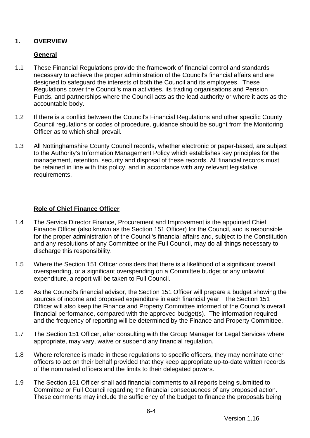# <span id="page-73-0"></span>**1. OVERVIEW**

# **General**

- 1.1 These Financial Regulations provide the framework of financial control and standards necessary to achieve the proper administration of the Council's financial affairs and are designed to safeguard the interests of both the Council and its employees. These Regulations cover the Council's main activities, its trading organisations and Pension Funds, and partnerships where the Council acts as the lead authority or where it acts as the accountable body.
- 1.2 If there is a conflict between the Council's Financial Regulations and other specific County Council regulations or codes of procedure, guidance should be sought from the Monitoring Officer as to which shall prevail.
- 1.3 All Nottinghamshire County Council records, whether electronic or paper-based, are subject to the Authority's Information Management Policy which establishes key principles for the management, retention, security and disposal of these records. All financial records must be retained in line with this policy, and in accordance with any relevant legislative requirements.

# **Role of Chief Finance Officer**

- 1.4 The Service Director Finance, Procurement and Improvement is the appointed Chief Finance Officer (also known as the Section 151 Officer) for the Council, and is responsible for the proper administration of the Council's financial affairs and, subject to the Constitution and any resolutions of any Committee or the Full Council, may do all things necessary to discharge this responsibility.
- 1.5 Where the Section 151 Officer considers that there is a likelihood of a significant overall overspending, or a significant overspending on a Committee budget or any unlawful expenditure, a report will be taken to Full Council.
- 1.6 As the Council's financial advisor, the Section 151 Officer will prepare a budget showing the sources of income and proposed expenditure in each financial year. The Section 151 Officer will also keep the Finance and Property Committee informed of the Council's overall financial performance, compared with the approved budget(s). The information required and the frequency of reporting will be determined by the Finance and Property Committee.
- 1.7 The Section 151 Officer, after consulting with the Group Manager for Legal Services where appropriate, may vary, waive or suspend any financial regulation.
- 1.8 Where reference is made in these regulations to specific officers, they may nominate other officers to act on their behalf provided that they keep appropriate up-to-date written records of the nominated officers and the limits to their delegated powers.
- 1.9 The Section 151 Officer shall add financial comments to all reports being submitted to Committee or Full Council regarding the financial consequences of any proposed action. These comments may include the sufficiency of the budget to finance the proposals being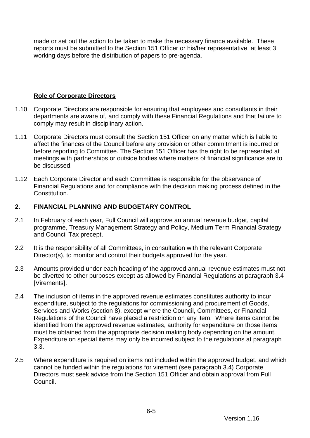made or set out the action to be taken to make the necessary finance available. These reports must be submitted to the Section 151 Officer or his/her representative, at least 3 working days before the distribution of papers to pre-agenda.

# **Role of Corporate Directors**

- 1.10 Corporate Directors are responsible for ensuring that employees and consultants in their departments are aware of, and comply with these Financial Regulations and that failure to comply may result in disciplinary action.
- 1.11 Corporate Directors must consult the Section 151 Officer on any matter which is liable to affect the finances of the Council before any provision or other commitment is incurred or before reporting to Committee. The Section 151 Officer has the right to be represented at meetings with partnerships or outside bodies where matters of financial significance are to be discussed.
- 1.12 Each Corporate Director and each Committee is responsible for the observance of Financial Regulations and for compliance with the decision making process defined in the **Constitution**

# <span id="page-74-0"></span>**2. FINANCIAL PLANNING AND BUDGETARY CONTROL**

- 2.1 In February of each year, Full Council will approve an annual revenue budget, capital programme, Treasury Management Strategy and Policy, Medium Term Financial Strategy and Council Tax precept.
- 2.2 It is the responsibility of all Committees, in consultation with the relevant Corporate Director(s), to monitor and control their budgets approved for the year.
- 2.3 Amounts provided under each heading of the approved annual revenue estimates must not be diverted to other purposes except as allowed by Financial Regulations at paragraph [3.4](#page-78-0) [Virements].
- 2.4 The inclusion of items in the approved revenue estimates constitutes authority to incur expenditure, subject to the regulations for commissioning and procurement of Goods, Services and Works (section [8\)](#page-87-0), except where the Council, Committees, or Financial Regulations of the Council have placed a restriction on any item. Where items cannot be identified from the approved revenue estimates, authority for expenditure on those items must be obtained from the appropriate decision making body depending on the amount. Expenditure on special items may only be incurred subject to the regulations at paragraph [3.3.](#page-76-0)
- 2.5 Where expenditure is required on items not included within the approved budget, and which cannot be funded within the regulations for virement (see paragraph [3.4\)](#page-78-0) Corporate Directors must seek advice from the Section 151 Officer and obtain approval from Full Council.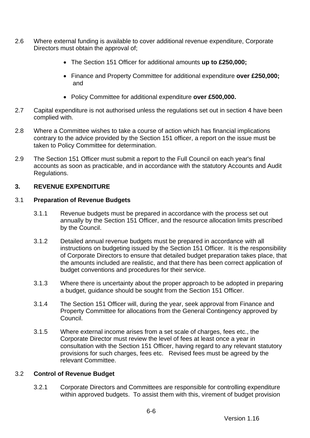- 2.6 Where external funding is available to cover additional revenue expenditure, Corporate Directors must obtain the approval of;
	- The Section 151 Officer for additional amounts **up to £250,000;**
	- Finance and Property Committee for additional expenditure **over £250,000;** and
	- Policy Committee for additional expenditure **over £500,000.**
- 2.7 Capital expenditure is not authorised unless the regulations set out in section [4](#page-79-0) have been complied with.
- 2.8 Where a Committee wishes to take a course of action which has financial implications contrary to the advice provided by the Section 151 officer, a report on the issue must be taken to Policy Committee for determination.
- 2.9 The Section 151 Officer must submit a report to the Full Council on each year's final accounts as soon as practicable, and in accordance with the statutory Accounts and Audit Regulations.

# <span id="page-75-0"></span>**3. REVENUE EXPENDITURE**

## 3.1 **Preparation of Revenue Budgets**

- 3.1.1 Revenue budgets must be prepared in accordance with the process set out annually by the Section 151 Officer, and the resource allocation limits prescribed by the Council.
- 3.1.2 Detailed annual revenue budgets must be prepared in accordance with all instructions on budgeting issued by the Section 151 Officer. It is the responsibility of Corporate Directors to ensure that detailed budget preparation takes place, that the amounts included are realistic, and that there has been correct application of budget conventions and procedures for their service.
- 3.1.3 Where there is uncertainty about the proper approach to be adopted in preparing a budget, guidance should be sought from the Section 151 Officer.
- 3.1.4 The Section 151 Officer will, during the year, seek approval from Finance and Property Committee for allocations from the General Contingency approved by Council.
- 3.1.5 Where external income arises from a set scale of charges, fees etc., the Corporate Director must review the level of fees at least once a year in consultation with the Section 151 Officer, having regard to any relevant statutory provisions for such charges, fees etc. Revised fees must be agreed by the relevant Committee.

# 3.2 **Control of Revenue Budget**

3.2.1 Corporate Directors and Committees are responsible for controlling expenditure within approved budgets. To assist them with this, virement of budget provision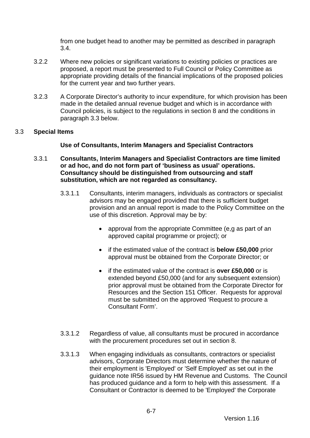from one budget head to another may be permitted as described in paragraph [3.4.](#page-78-0)

- 3.2.2 Where new policies or significant variations to existing policies or practices are proposed, a report must be presented to Full Council or Policy Committee as appropriate providing details of the financial implications of the proposed policies for the current year and two further years.
- 3.2.3 A Corporate Director's authority to incur expenditure, for which provision has been made in the detailed annual revenue budget and which is in accordance with Council policies, is subject to the regulations in section [8](#page-87-0) and the conditions in paragraph [3.3](#page-76-0) below.

## <span id="page-76-0"></span>3.3 **Special Items**

## **Use of Consultants, Interim Managers and Specialist Contractors**

- <span id="page-76-1"></span>3.3.1 **Consultants, Interim Managers and Specialist Contractors are time limited or ad hoc, and do not form part of 'business as usual' operations. Consultancy should be distinguished from outsourcing and staff substitution, which are not regarded as consultancy.**
	- 3.3.1.1 Consultants, interim managers, individuals as contractors or specialist advisors may be engaged provided that there is sufficient budget provision and an annual report is made to the Policy Committee on the use of this discretion. Approval may be by:
		- approval from the appropriate Committee (e, q as part of an approved capital programme or project); or
		- if the estimated value of the contract is **below £50,000** prior approval must be obtained from the Corporate Director; or
		- if the estimated value of the contract is **over £50,000** or is extended beyond £50,000 (and for any subsequent extension) prior approval must be obtained from the Corporate Director for Resources and the Section 151 Officer. Requests for approval must be submitted on the approved 'Request to procure a Consultant Form'.
	- 3.3.1.2 Regardless of value, all consultants must be procured in accordance with the procurement procedures set out in section [8.](#page-87-0)
	- 3.3.1.3 When engaging individuals as consultants, contractors or specialist advisors, Corporate Directors must determine whether the nature of their employment is 'Employed' or 'Self Employed' as set out in the guidance note IR56 issued by HM Revenue and Customs. The Council has produced guidance and a form to help with this assessment. If a Consultant or Contractor is deemed to be 'Employed' the Corporate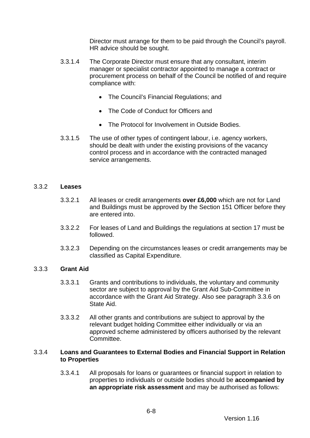Director must arrange for them to be paid through the Council's payroll. HR advice should be sought.

- 3.3.1.4 The Corporate Director must ensure that any consultant, interim manager or specialist contractor appointed to manage a contract or procurement process on behalf of the Council be notified of and require compliance with:
	- The Council's Financial Regulations; and
	- The Code of Conduct for Officers and
	- The Protocol for Involvement in Outside Bodies.
- 3.3.1.5 The use of other types of contingent labour, i.e. agency workers, should be dealt with under the existing provisions of the vacancy control process and in accordance with the contracted managed service arrangements.

#### <span id="page-77-0"></span>3.3.2 **Leases**

- 3.3.2.1 All leases or credit arrangements **over £6,000** which are not for Land and Buildings must be approved by the Section 151 Officer before they are entered into.
- 3.3.2.2 For leases of Land and Buildings the regulations at section [17](#page-107-0) must be followed.
- 3.3.2.3 Depending on the circumstances leases or credit arrangements may be classified as Capital Expenditure.

### 3.3.3 **Grant Aid**

- 3.3.3.1 Grants and contributions to individuals, the voluntary and community sector are subject to approval by the Grant Aid Sub-Committee in accordance with the Grant Aid Strategy. Also see paragraph 3.3.6 on State Aid.
- 3.3.3.2 All other grants and contributions are subject to approval by the relevant budget holding Committee either individually or via an approved scheme administered by officers authorised by the relevant Committee.

#### 3.3.4 **Loans and Guarantees to External Bodies and Financial Support in Relation to Properties**

3.3.4.1 All proposals for loans or guarantees or financial support in relation to properties to individuals or outside bodies should be **accompanied by an appropriate risk assessment** and may be authorised as follows: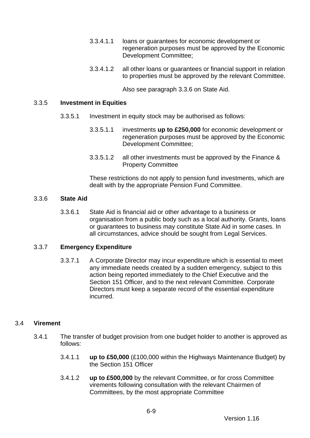- 3.3.4.1.1 loans or guarantees for economic development or regeneration purposes must be approved by the Economic Development Committee;
- 3.3.4.1.2 all other loans or guarantees or financial support in relation to properties must be approved by the relevant Committee.

Also see paragraph 3.3.6 on State Aid.

#### 3.3.5 **Investment in Equities**

- 3.3.5.1 Investment in equity stock may be authorised as follows:
	- 3.3.5.1.1 investments **up to £250,000** for economic development or regeneration purposes must be approved by the Economic Development Committee;
	- 3.3.5.1.2 all other investments must be approved by the Finance & Property Committee

These restrictions do not apply to pension fund investments, which are dealt with by the appropriate Pension Fund Committee.

#### 3.3.6 **State Aid**

3.3.6.1 State Aid is financial aid or other advantage to a business or organisation from a public body such as a local authority. Grants, loans or guarantees to business may constitute State Aid in some cases. In all circumstances, advice should be sought from Legal Services.

### 3.3.7 **Emergency Expenditure**

3.3.7.1 A Corporate Director may incur expenditure which is essential to meet any immediate needs created by a sudden emergency, subject to this action being reported immediately to the Chief Executive and the Section 151 Officer, and to the next relevant Committee. Corporate Directors must keep a separate record of the essential expenditure incurred.

### <span id="page-78-0"></span>3.4 **Virement**

- 3.4.1 The transfer of budget provision from one budget holder to another is approved as follows:
	- 3.4.1.1 **up to £50,000** (£100,000 within the Highways Maintenance Budget) by the Section 151 Officer
	- 3.4.1.2 **up to £500,000** by the relevant Committee, or for cross Committee virements following consultation with the relevant Chairmen of Committees, by the most appropriate Committee

6-9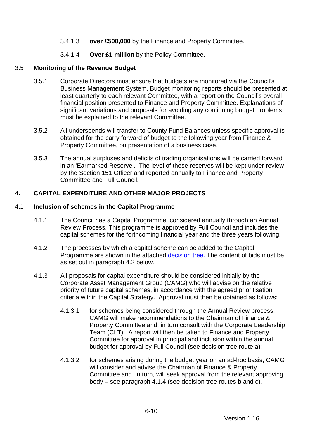- 3.4.1.3 **over £500,000** by the Finance and Property Committee.
- 3.4.1.4 **Over £1 million** by the Policy Committee.

## 3.5 **Monitoring of the Revenue Budget**

- 3.5.1 Corporate Directors must ensure that budgets are monitored via the Council's Business Management System. Budget monitoring reports should be presented at least quarterly to each relevant Committee, with a report on the Council's overall financial position presented to Finance and Property Committee. Explanations of significant variations and proposals for avoiding any continuing budget problems must be explained to the relevant Committee.
- 3.5.2 All underspends will transfer to County Fund Balances unless specific approval is obtained for the carry forward of budget to the following year from Finance & Property Committee, on presentation of a business case.
- 3.5.3 The annual surpluses and deficits of trading organisations will be carried forward in an 'Earmarked Reserve'. The level of these reserves will be kept under review by the Section 151 Officer and reported annually to Finance and Property Committee and Full Council.

# <span id="page-79-0"></span>**4. CAPITAL EXPENDITURE AND OTHER MAJOR PROJECTS**

## <span id="page-79-2"></span>4.1 **Inclusion of schemes in the Capital Programme**

- 4.1.1 The Council has a Capital Programme, considered annually through an Annual Review Process. This programme is approved by Full Council and includes the capital schemes for the forthcoming financial year and the three years following.
- 4.1.2 The processes by which a capital scheme can be added to the Capital Programme are shown in the attached [decision tree.](#page-112-0) The content of bids must be as set out in paragraph [4.2](#page-80-0) below.
- <span id="page-79-1"></span>4.1.3 All proposals for capital expenditure should be considered initially by the Corporate Asset Management Group (CAMG) who will advise on the relative priority of future capital schemes, in accordance with the agreed prioritisation criteria within the Capital Strategy. Approval must then be obtained as follows:
	- 4.1.3.1 for schemes being considered through the Annual Review process, CAMG will make recommendations to the Chairman of Finance & Property Committee and, in turn consult with the Corporate Leadership Team (CLT). A report will then be taken to Finance and Property Committee for approval in principal and inclusion within the annual budget for approval by Full Council (see decision tree route a);
	- 4.1.3.2 for schemes arising during the budget year on an ad-hoc basis, CAMG will consider and advise the Chairman of Finance & Property Committee and, in turn, will seek approval from the relevant approving body – see paragraph [4.1.4](#page-80-1) (see decision tree routes b and c).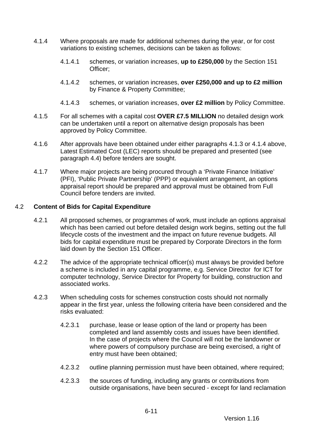- <span id="page-80-1"></span>4.1.4 Where proposals are made for additional schemes during the year, or for cost variations to existing schemes, decisions can be taken as follows:
	- 4.1.4.1 schemes, or variation increases, **up to £250,000** by the Section 151 Officer;
	- 4.1.4.2 schemes, or variation increases, **over £250,000 and up to £2 million** by Finance & Property Committee;
	- 4.1.4.3 schemes, or variation increases, **over £2 million** by Policy Committee.
- <span id="page-80-2"></span>4.1.5 For all schemes with a capital cost **OVER £7.5 MILLION** no detailed design work can be undertaken until a report on alternative design proposals has been approved by Policy Committee.
- 4.1.6 After approvals have been obtained under either paragraphs [4.1.3](#page-79-1) or [4.1.4](#page-80-1) above, Latest Estimated Cost (LEC) reports should be prepared and presented (see paragraph [4.4\)](#page-82-0) before tenders are sought.
- 4.1.7 Where major projects are being procured through a 'Private Finance Initiative' (PFI), 'Public Private Partnership' (PPP) or equivalent arrangement, an options appraisal report should be prepared and approval must be obtained from Full Council before tenders are invited.

### <span id="page-80-0"></span>4.2 **Content of Bids for Capital Expenditure**

- 4.2.1 All proposed schemes, or programmes of work, must include an options appraisal which has been carried out before detailed design work begins, setting out the full lifecycle costs of the investment and the impact on future revenue budgets. All bids for capital expenditure must be prepared by Corporate Directors in the form laid down by the Section 151 Officer.
- 4.2.2 The advice of the appropriate technical officer(s) must always be provided before a scheme is included in any capital programme, e.g. Service Director for ICT for computer technology, Service Director for Property for building, construction and associated works.
- 4.2.3 When scheduling costs for schemes construction costs should not normally appear in the first year, unless the following criteria have been considered and the risks evaluated:
	- 4.2.3.1 purchase, lease or lease option of the land or property has been completed and land assembly costs and issues have been identified. In the case of projects where the Council will not be the landowner or where powers of compulsory purchase are being exercised, a right of entry must have been obtained;
	- 4.2.3.2 outline planning permission must have been obtained, where required;
	- 4.2.3.3 the sources of funding, including any grants or contributions from outside organisations, have been secured - except for land reclamation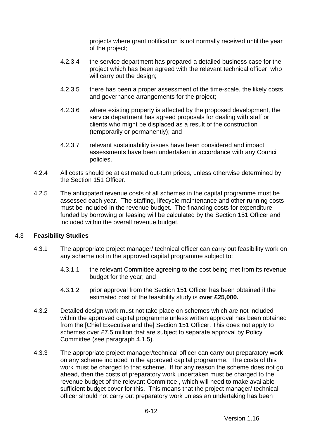projects where grant notification is not normally received until the year of the project;

- 4.2.3.4 the service department has prepared a detailed business case for the project which has been agreed with the relevant technical officer who will carry out the design:
- 4.2.3.5 there has been a proper assessment of the time-scale, the likely costs and governance arrangements for the project;
- 4.2.3.6 where existing property is affected by the proposed development, the service department has agreed proposals for dealing with staff or clients who might be displaced as a result of the construction (temporarily or permanently); and
- 4.2.3.7 relevant sustainability issues have been considered and impact assessments have been undertaken in accordance with any Council policies.
- 4.2.4 All costs should be at estimated out-turn prices, unless otherwise determined by the Section 151 Officer.
- 4.2.5 The anticipated revenue costs of all schemes in the capital programme must be assessed each year. The staffing, lifecycle maintenance and other running costs must be included in the revenue budget. The financing costs for expenditure funded by borrowing or leasing will be calculated by the Section 151 Officer and included within the overall revenue budget.

### 4.3 **Feasibility Studies**

- 4.3.1 The appropriate project manager/ technical officer can carry out feasibility work on any scheme not in the approved capital programme subject to:
	- 4.3.1.1 the relevant Committee agreeing to the cost being met from its revenue budget for the year; and
	- 4.3.1.2 prior approval from the Section 151 Officer has been obtained if the estimated cost of the feasibility study is **over £25,000.**
- 4.3.2 Detailed design work must not take place on schemes which are not included within the approved capital programme unless written approval has been obtained from the [Chief Executive and the] Section 151 Officer. This does not apply to schemes over £7.5 million that are subject to separate approval by Policy Committee (see paragraph [4.1.5\)](#page-80-2).
- 4.3.3 The appropriate project manager/technical officer can carry out preparatory work on any scheme included in the approved capital programme. The costs of this work must be charged to that scheme. If for any reason the scheme does not go ahead, then the costs of preparatory work undertaken must be charged to the revenue budget of the relevant Committee , which will need to make available sufficient budget cover for this. This means that the project manager/ technical officer should not carry out preparatory work unless an undertaking has been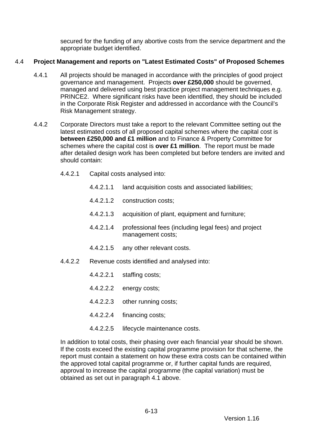secured for the funding of any abortive costs from the service department and the appropriate budget identified.

# <span id="page-82-0"></span>4.4 **Project Management and reports on "Latest Estimated Costs" of Proposed Schemes**

- 4.4.1 All projects should be managed in accordance with the principles of good project governance and management. Projects **over £250,000** should be governed, managed and delivered using best practice project management techniques e.g. PRINCE2. Where significant risks have been identified, they should be included in the Corporate Risk Register and addressed in accordance with the Council's Risk Management strategy.
- 4.4.2 Corporate Directors must take a report to the relevant Committee setting out the latest estimated costs of all proposed capital schemes where the capital cost is **between £250,000 and £1 million** and to Finance & Property Committee for schemes where the capital cost is **over £1 million**. The report must be made after detailed design work has been completed but before tenders are invited and should contain:
	- 4.4.2.1 Capital costs analysed into:
		- 4.4.2.1.1 land acquisition costs and associated liabilities;
		- 4.4.2.1.2 construction costs;
		- 4.4.2.1.3 acquisition of plant, equipment and furniture;
		- 4.4.2.1.4 professional fees (including legal fees) and project management costs;
		- 4.4.2.1.5 any other relevant costs.
	- 4.4.2.2 Revenue costs identified and analysed into:
		- 4.4.2.2.1 staffing costs;
		- 4.4.2.2.2 energy costs;
		- 4.4.2.2.3 other running costs;
		- 4.4.2.2.4 financing costs;
		- 4.4.2.2.5 lifecycle maintenance costs.

In addition to total costs, their phasing over each financial year should be shown. If the costs exceed the existing capital programme provision for that scheme, the report must contain a statement on how these extra costs can be contained within the approved total capital programme or, if further capital funds are required, approval to increase the capital programme (the capital variation) must be obtained as set out in paragraph [4.1](#page-79-2) above.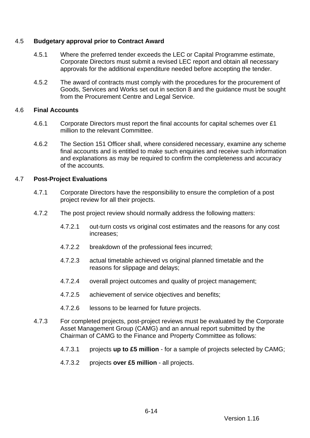## 4.5 **Budgetary approval prior to Contract Award**

- 4.5.1 Where the preferred tender exceeds the LEC or Capital Programme estimate, Corporate Directors must submit a revised LEC report and obtain all necessary approvals for the additional expenditure needed before accepting the tender.
- 4.5.2 The award of contracts must comply with the procedures for the procurement of Goods, Services and Works set out in section [8](#page-87-0) and the guidance must be sought from the Procurement Centre and Legal Service.

#### 4.6 **Final Accounts**

- 4.6.1 Corporate Directors must report the final accounts for capital schemes over £1 million to the relevant Committee.
- 4.6.2 The Section 151 Officer shall, where considered necessary, examine any scheme final accounts and is entitled to make such enquiries and receive such information and explanations as may be required to confirm the completeness and accuracy of the accounts.

### 4.7 **Post-Project Evaluations**

- 4.7.1 Corporate Directors have the responsibility to ensure the completion of a post project review for all their projects.
- 4.7.2 The post project review should normally address the following matters:
	- 4.7.2.1 out-turn costs vs original cost estimates and the reasons for any cost increases;
	- 4.7.2.2 breakdown of the professional fees incurred;
	- 4.7.2.3 actual timetable achieved vs original planned timetable and the reasons for slippage and delays;
	- 4.7.2.4 overall project outcomes and quality of project management;
	- 4.7.2.5 achievement of service objectives and benefits;
	- 4.7.2.6 lessons to be learned for future projects.
- 4.7.3 For completed projects, post-project reviews must be evaluated by the Corporate Asset Management Group (CAMG) and an annual report submitted by the Chairman of CAMG to the Finance and Property Committee as follows:

6-14

- 4.7.3.1 projects **up to £5 million** for a sample of projects selected by CAMG;
- 4.7.3.2 projects **over £5 million** all projects.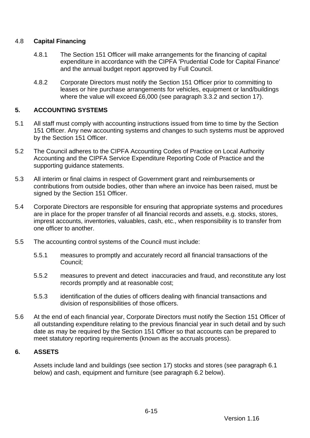## 4.8 **Capital Financing**

- 4.8.1 The Section 151 Officer will make arrangements for the financing of capital expenditure in accordance with the CIPFA 'Prudential Code for Capital Finance' and the annual budget report approved by Full Council.
- 4.8.2 Corporate Directors must notify the Section 151 Officer prior to committing to leases or hire purchase arrangements for vehicles, equipment or land/buildings where the value will exceed £6,000 (see paragraph [3.3.2](#page-77-0) and section [17\)](#page-107-0).

## <span id="page-84-0"></span>**5. ACCOUNTING SYSTEMS**

- 5.1 All staff must comply with accounting instructions issued from time to time by the Section 151 Officer. Any new accounting systems and changes to such systems must be approved by the Section 151 Officer.
- 5.2 The Council adheres to the CIPFA Accounting Codes of Practice on Local Authority Accounting and the CIPFA Service Expenditure Reporting Code of Practice and the supporting guidance statements.
- 5.3 All interim or final claims in respect of Government grant and reimbursements or contributions from outside bodies, other than where an invoice has been raised, must be signed by the Section 151 Officer.
- 5.4 Corporate Directors are responsible for ensuring that appropriate systems and procedures are in place for the proper transfer of all financial records and assets, e.g. stocks, stores, imprest accounts, inventories, valuables, cash, etc., when responsibility is to transfer from one officer to another.
- 5.5 The accounting control systems of the Council must include:
	- 5.5.1 measures to promptly and accurately record all financial transactions of the Council;
	- 5.5.2 measures to prevent and detect inaccuracies and fraud, and reconstitute any lost records promptly and at reasonable cost;
	- 5.5.3 identification of the duties of officers dealing with financial transactions and division of responsibilities of those officers.
- 5.6 At the end of each financial year, Corporate Directors must notify the Section 151 Officer of all outstanding expenditure relating to the previous financial year in such detail and by such date as may be required by the Section 151 Officer so that accounts can be prepared to meet statutory reporting requirements (known as the accruals process).

# <span id="page-84-1"></span>**6. ASSETS**

Assets include land and buildings (see section [17\)](#page-107-0) stocks and stores (see paragraph [6.1](#page-85-0) below) and cash, equipment and furniture (see paragraph [6.2](#page-85-1) below).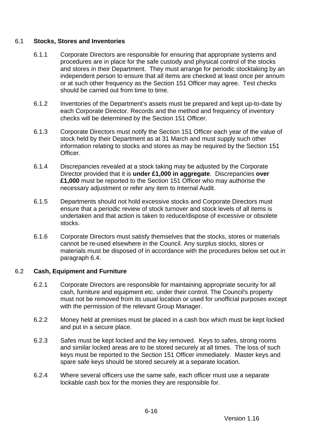## <span id="page-85-0"></span>6.1 **Stocks, Stores and Inventories**

- 6.1.1 Corporate Directors are responsible for ensuring that appropriate systems and procedures are in place for the safe custody and physical control of the stocks and stores in their Department. They must arrange for periodic stocktaking by an independent person to ensure that all items are checked at least once per annum or at such other frequency as the Section 151 Officer may agree. Test checks should be carried out from time to time.
- 6.1.2 Inventories of the Department's assets must be prepared and kept up-to-date by each Corporate Director. Records and the method and frequency of inventory checks will be determined by the Section 151 Officer.
- 6.1.3 Corporate Directors must notify the Section 151 Officer each year of the value of stock held by their Department as at 31 March and must supply such other information relating to stocks and stores as may be required by the Section 151 Officer.
- 6.1.4 Discrepancies revealed at a stock taking may be adjusted by the Corporate Director provided that it is **under £1,000 in aggregate**. Discrepancies **over £1,000** must be reported to the Section 151 Officer who may authorise the necessary adjustment or refer any item to Internal Audit.
- 6.1.5 Departments should not hold excessive stocks and Corporate Directors must ensure that a periodic review of stock turnover and stock levels of all items is undertaken and that action is taken to reduce/dispose of excessive or obsolete stocks.
- 6.1.6 Corporate Directors must satisfy themselves that the stocks, stores or materials cannot be re-used elsewhere in the Council. Any surplus stocks, stores or materials must be disposed of in accordance with the procedures below set out in paragraph [6.4.](#page-86-1)

### <span id="page-85-1"></span>6.2 **Cash, Equipment and Furniture**

- 6.2.1 Corporate Directors are responsible for maintaining appropriate security for all cash, furniture and equipment etc. under their control. The Council's property must not be removed from its usual location or used for unofficial purposes except with the permission of the relevant Group Manager.
- 6.2.2 Money held at premises must be placed in a cash box which must be kept locked and put in a secure place.
- 6.2.3 Safes must be kept locked and the key removed. Keys to safes, strong rooms and similar locked areas are to be stored securely at all times. The loss of such keys must be reported to the Section 151 Officer immediately. Master keys and spare safe keys should be stored securely at a separate location.
- 6.2.4 Where several officers use the same safe, each officer must use a separate lockable cash box for the monies they are responsible for.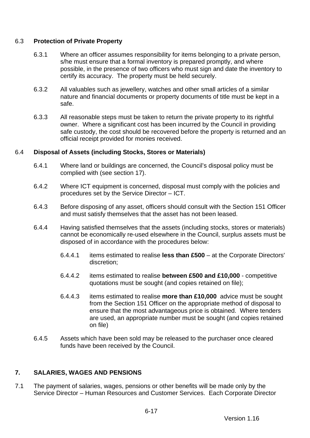## 6.3 **Protection of Private Property**

- 6.3.1 Where an officer assumes responsibility for items belonging to a private person, s/he must ensure that a formal inventory is prepared promptly, and where possible, in the presence of two officers who must sign and date the inventory to certify its accuracy. The property must be held securely.
- 6.3.2 All valuables such as jewellery, watches and other small articles of a similar nature and financial documents or property documents of title must be kept in a safe.
- 6.3.3 All reasonable steps must be taken to return the private property to its rightful owner. Where a significant cost has been incurred by the Council in providing safe custody, the cost should be recovered before the property is returned and an official receipt provided for monies received.

## <span id="page-86-1"></span>6.4 **Disposal of Assets (including Stocks, Stores or Materials)**

- 6.4.1 Where land or buildings are concerned, the Council's disposal policy must be complied with (see section [17\)](#page-107-0).
- 6.4.2 Where ICT equipment is concerned, disposal must comply with the policies and procedures set by the Service Director – ICT.
- 6.4.3 Before disposing of any asset, officers should consult with the Section 151 Officer and must satisfy themselves that the asset has not been leased.
- 6.4.4 Having satisfied themselves that the assets (including stocks, stores or materials) cannot be economically re-used elsewhere in the Council, surplus assets must be disposed of in accordance with the procedures below:
	- 6.4.4.1 items estimated to realise **less than £500** at the Corporate Directors' discretion;
	- 6.4.4.2 items estimated to realise **between £500 and £10,000** competitive quotations must be sought (and copies retained on file);
	- 6.4.4.3 items estimated to realise **more than £10,000** advice must be sought from the Section 151 Officer on the appropriate method of disposal to ensure that the most advantageous price is obtained. Where tenders are used, an appropriate number must be sought (and copies retained on file)
- 6.4.5 Assets which have been sold may be released to the purchaser once cleared funds have been received by the Council.

# <span id="page-86-0"></span>**7. SALARIES, WAGES AND PENSIONS**

7.1 The payment of salaries, wages, pensions or other benefits will be made only by the Service Director – Human Resources and Customer Services. Each Corporate Director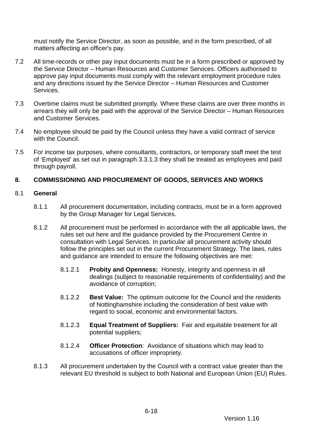must notify the Service Director, as soon as possible, and in the form prescribed, of all matters affecting an officer's pay.

- 7.2 All time-records or other pay input documents must be in a form prescribed or approved by the Service Director – Human Resources and Customer Services. Officers authorised to approve pay input documents must comply with the relevant employment procedure rules and any directions issued by the Service Director – Human Resources and Customer **Services**
- 7.3 Overtime claims must be submitted promptly. Where these claims are over three months in arrears they will only be paid with the approval of the Service Director – Human Resources and Customer Services.
- 7.4 No employee should be paid by the Council unless they have a valid contract of service with the Council.
- 7.5 For income tax purposes, where consultants, contractors, or temporary staff meet the test of 'Employed' as set out in paragraph [3.3.1.3](#page-76-1) they shall be treated as employees and paid through payroll.

## <span id="page-87-0"></span>**8. COMMISSIONING AND PROCUREMENT OF GOODS, SERVICES AND WORKS**

### 8.1 **General**

- 8.1.1 All procurement documentation, including contracts, must be in a form approved by the Group Manager for Legal Services.
- 8.1.2 All procurement must be performed in accordance with the all applicable laws, the rules set out here and the guidance provided by the Procurement Centre in consultation with Legal Services. In particular all procurement activity should follow the principles set out in the current Procurement Strategy. The laws, rules and guidance are intended to ensure the following objectives are met:
	- 8.1.2.1 **Probity and Openness:** Honesty, integrity and openness in all dealings (subject to reasonable requirements of confidentiality) and the avoidance of corruption;
	- 8.1.2.2 **Best Value:** The optimum outcome for the Council and the residents of Nottinghamshire including the consideration of best value with regard to social, economic and environmental factors.
	- 8.1.2.3 **Equal Treatment of Suppliers:** Fair and equitable treatment for all potential suppliers;
	- 8.1.2.4 **Officer Protection**: Avoidance of situations which may lead to accusations of officer impropriety.
- 8.1.3 All procurement undertaken by the Council with a contract value greater than the relevant EU threshold is subject to both National and European Union (EU) Rules.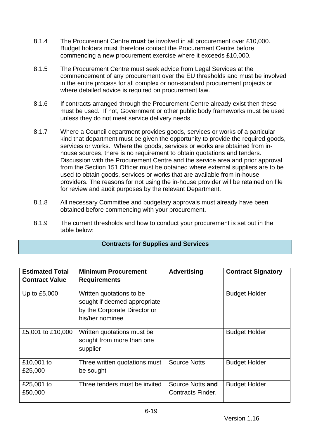- 8.1.4 The Procurement Centre **must** be involved in all procurement over £10,000. Budget holders must therefore contact the Procurement Centre before commencing a new procurement exercise where it exceeds £10,000.
- 8.1.5 The Procurement Centre must seek advice from Legal Services at the commencement of any procurement over the EU thresholds and must be involved in the entire process for all complex or non-standard procurement projects or where detailed advice is required on procurement law.
- 8.1.6 If contracts arranged through the Procurement Centre already exist then these must be used. If not, Government or other public body frameworks must be used unless they do not meet service delivery needs.
- 8.1.7 Where a Council department provides goods, services or works of a particular kind that department must be given the opportunity to provide the required goods, services or works. Where the goods, services or works are obtained from inhouse sources, there is no requirement to obtain quotations and tenders. Discussion with the Procurement Centre and the service area and prior approval from the Section 151 Officer must be obtained where external suppliers are to be used to obtain goods, services or works that are available from in-house providers. The reasons for not using the in-house provider will be retained on file for review and audit purposes by the relevant Department.
- 8.1.8 All necessary Committee and budgetary approvals must already have been obtained before commencing with your procurement.
- 8.1.9 The current thresholds and how to conduct your procurement is set out in the table below:

### **Contracts for Supplies and Services**

| <b>Estimated Total</b><br><b>Contract Value</b> | <b>Minimum Procurement</b><br><b>Requirements</b>                                                           | <b>Advertising</b>                           | <b>Contract Signatory</b> |
|-------------------------------------------------|-------------------------------------------------------------------------------------------------------------|----------------------------------------------|---------------------------|
| Up to £5,000                                    | Written quotations to be<br>sought if deemed appropriate<br>by the Corporate Director or<br>his/her nominee |                                              | <b>Budget Holder</b>      |
| £5,001 to £10,000                               | Written quotations must be<br>sought from more than one<br>supplier                                         |                                              | <b>Budget Holder</b>      |
| £10,001 to<br>£25,000                           | Three written quotations must<br>be sought                                                                  | <b>Source Notts</b>                          | <b>Budget Holder</b>      |
| £25,001 to<br>£50,000                           | Three tenders must be invited                                                                               | Source Notts and<br><b>Contracts Finder.</b> | <b>Budget Holder</b>      |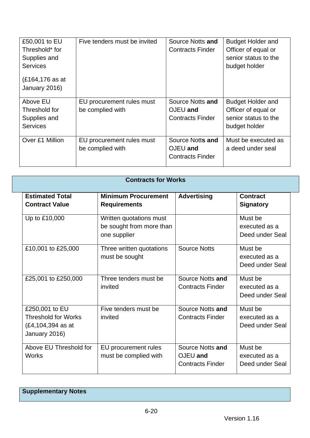| £50,001 to EU<br>Threshold* for<br>Supplies and<br><b>Services</b><br>(£164,176 as at<br>January 2016) | Five tenders must be invited                  | Source Notts and<br><b>Contracts Finder</b>             | <b>Budget Holder and</b><br>Officer of equal or<br>senior status to the<br>budget holder |
|--------------------------------------------------------------------------------------------------------|-----------------------------------------------|---------------------------------------------------------|------------------------------------------------------------------------------------------|
| Above EU<br>Threshold for<br>Supplies and<br><b>Services</b>                                           | EU procurement rules must<br>be complied with | Source Notts and<br>OJEU and<br><b>Contracts Finder</b> | <b>Budget Holder and</b><br>Officer of equal or<br>senior status to the<br>budget holder |
| Over £1 Million                                                                                        | EU procurement rules must<br>be complied with | Source Notts and<br>OJEU and<br><b>Contracts Finder</b> | Must be executed as<br>a deed under seal                                                 |

| <b>Contracts for Works</b>                                                         |                                                                     |                                                         |                                             |  |
|------------------------------------------------------------------------------------|---------------------------------------------------------------------|---------------------------------------------------------|---------------------------------------------|--|
| <b>Estimated Total</b><br><b>Contract Value</b>                                    | <b>Minimum Procurement</b><br><b>Requirements</b>                   | <b>Advertising</b>                                      | <b>Contract</b><br><b>Signatory</b>         |  |
| Up to £10,000                                                                      | Written quotations must<br>be sought from more than<br>one supplier |                                                         | Must be<br>executed as a<br>Deed under Seal |  |
| £10,001 to £25,000                                                                 | Three written quotations<br>must be sought                          | <b>Source Notts</b>                                     | Must be<br>executed as a<br>Deed under Seal |  |
| £25,001 to £250,000                                                                | Three tenders must be<br>invited                                    | Source Notts and<br><b>Contracts Finder</b>             | Must be<br>executed as a<br>Deed under Seal |  |
| £250,001 to EU<br><b>Threshold for Works</b><br>(£4,104,394 as at<br>January 2016) | Five tenders must be<br>invited                                     | Source Notts and<br><b>Contracts Finder</b>             | Must be<br>executed as a<br>Deed under Seal |  |
| Above EU Threshold for<br><b>Works</b>                                             | EU procurement rules<br>must be complied with                       | Source Notts and<br>OJEU and<br><b>Contracts Finder</b> | Must be<br>executed as a<br>Deed under Seal |  |

**Supplementary Notes**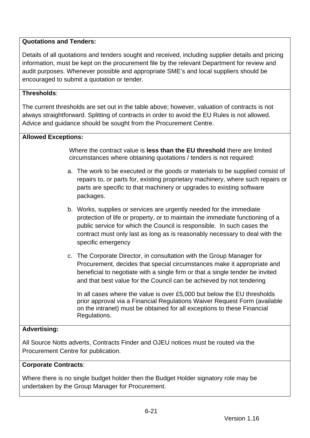# **Quotations and Tenders:**

Details of all quotations and tenders sought and received, including supplier details and pricing information, must be kept on the procurement file by the relevant Department for review and audit purposes. Whenever possible and appropriate SME's and local suppliers should be encouraged to submit a quotation or tender.

# **Thresholds**:

The current thresholds are set out in the table above; however, valuation of contracts is not always straightforward. Splitting of contracts in order to avoid the EU Rules is not allowed. Advice and guidance should be sought from the Procurement Centre.

# **Allowed Exceptions:**

Where the contract value is **less than the EU threshold** there are limited circumstances where obtaining quotations / tenders is not required:

- a. The work to be executed or the goods or materials to be supplied consist of repairs to, or parts for, existing proprietary machinery, where such repairs or parts are specific to that machinery or upgrades to existing software packages.
- b. Works, supplies or services are urgently needed for the immediate protection of life or property, or to maintain the immediate functioning of a public service for which the Council is responsible. In such cases the contract must only last as long as is reasonably necessary to deal with the specific emergency
- c. The Corporate Director, in consultation with the Group Manager for Procurement, decides that special circumstances make it appropriate and beneficial to negotiate with a single firm or that a single tender be invited and that best value for the Council can be achieved by not tendering

In all cases where the value is over £5,000 but below the EU thresholds prior approval via a Financial Regulations Waiver Request Form (available on the intranet) must be obtained for all exceptions to these Financial Regulations.

# **Advertising:**

All Source Notts adverts, Contracts Finder and OJEU notices must be routed via the Procurement Centre for publication.

### **Corporate Contracts**:

Where there is no single budget holder then the Budget Holder signatory role may be undertaken by the Group Manager for Procurement.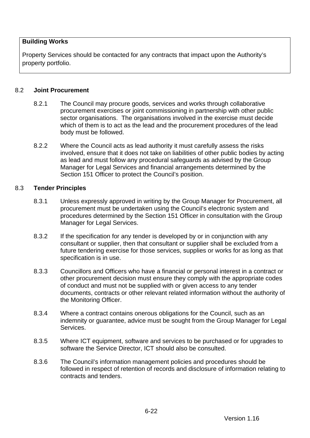## **Building Works**

Property Services should be contacted for any contracts that impact upon the Authority's property portfolio.

### 8.2 **Joint Procurement**

- 8.2.1 The Council may procure goods, services and works through collaborative procurement exercises or joint commissioning in partnership with other public sector organisations. The organisations involved in the exercise must decide which of them is to act as the lead and the procurement procedures of the lead body must be followed.
- 8.2.2 Where the Council acts as lead authority it must carefully assess the risks involved, ensure that it does not take on liabilities of other public bodies by acting as lead and must follow any procedural safeguards as advised by the Group Manager for Legal Services and financial arrangements determined by the Section 151 Officer to protect the Council's position.

### 8.3 **Tender Principles**

- 8.3.1 Unless expressly approved in writing by the Group Manager for Procurement, all procurement must be undertaken using the Council's electronic system and procedures determined by the Section 151 Officer in consultation with the Group Manager for Legal Services.
- 8.3.2 If the specification for any tender is developed by or in conjunction with any consultant or supplier, then that consultant or supplier shall be excluded from a future tendering exercise for those services, supplies or works for as long as that specification is in use.
- 8.3.3 Councillors and Officers who have a financial or personal interest in a contract or other procurement decision must ensure they comply with the appropriate codes of conduct and must not be supplied with or given access to any tender documents, contracts or other relevant related information without the authority of the Monitoring Officer.
- 8.3.4 Where a contract contains onerous obligations for the Council, such as an indemnity or guarantee, advice must be sought from the Group Manager for Legal Services.
- 8.3.5 Where ICT equipment, software and services to be purchased or for upgrades to software the Service Director, ICT should also be consulted.
- 8.3.6 The Council's information management policies and procedures should be followed in respect of retention of records and disclosure of information relating to contracts and tenders.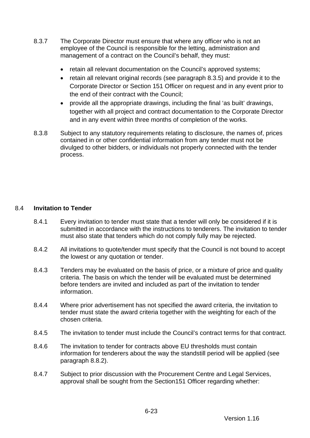- 8.3.7 The Corporate Director must ensure that where any officer who is not an employee of the Council is responsible for the letting, administration and management of a contract on the Council's behalf, they must:
	- retain all relevant documentation on the Council's approved systems;
	- retain all relevant original records (see paragraph 8.3.5) and provide it to the Corporate Director or Section 151 Officer on request and in any event prior to the end of their contract with the Council;
	- provide all the appropriate drawings, including the final 'as built' drawings, together with all project and contract documentation to the Corporate Director and in any event within three months of completion of the works.
- 8.3.8 Subject to any statutory requirements relating to disclosure, the names of, prices contained in or other confidential information from any tender must not be divulged to other bidders, or individuals not properly connected with the tender process.

## 8.4 **Invitation to Tender**

- 8.4.1 Every invitation to tender must state that a tender will only be considered if it is submitted in accordance with the instructions to tenderers. The invitation to tender must also state that tenders which do not comply fully may be rejected.
- 8.4.2 All invitations to quote/tender must specify that the Council is not bound to accept the lowest or any quotation or tender.
- 8.4.3 Tenders may be evaluated on the basis of price, or a mixture of price and quality criteria. The basis on which the tender will be evaluated must be determined before tenders are invited and included as part of the invitation to tender information.
- 8.4.4 Where prior advertisement has not specified the award criteria, the invitation to tender must state the award criteria together with the weighting for each of the chosen criteria.
- 8.4.5 The invitation to tender must include the Council's contract terms for that contract.
- 8.4.6 The invitation to tender for contracts above EU thresholds must contain information for tenderers about the way the standstill period will be applied (see paragraph 8.8.2).
- 8.4.7 Subject to prior discussion with the Procurement Centre and Legal Services, approval shall be sought from the Section151 Officer regarding whether: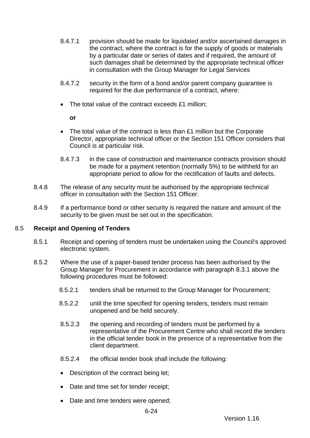- 8.4.7.1 provision should be made for liquidated and/or ascertained damages in the contract, where the contract is for the supply of goods or materials by a particular date or series of dates and if required, the amount of such damages shall be determined by the appropriate technical officer in consultation with the Group Manager for Legal Services
- 8.4.7.2 security in the form of a bond and/or parent company guarantee is required for the due performance of a contract, where:
- The total value of the contract exceeds £1 million;

**or**

- The total value of the contract is less than £1 million but the Corporate Director, appropriate technical officer or the Section 151 Officer considers that Council is at particular risk.
- 8.4.7.3 in the case of construction and maintenance contracts provision should be made for a payment retention (normally 5%) to be withheld for an appropriate period to allow for the rectification of faults and defects.
- 8.4.8 The release of any security must be authorised by the appropriate technical officer in consultation with the Section 151 Officer.
- 8.4.9 If a performance bond or other security is required the nature and amount of the security to be given must be set out in the specification.

### 8.5 **Receipt and Opening of Tenders**

- 8.5.1 Receipt and opening of tenders must be undertaken using the Council's approved electronic system.
- 8.5.2 Where the use of a paper-based tender process has been authorised by the Group Manager for Procurement in accordance with paragraph 8.3.1 above the following procedures must be followed:
	- 8.5.2.1 tenders shall be returned to the Group Manager for Procurement;
	- 8.5.2.2 until the time specified for opening tenders, tenders must remain unopened and be held securely.
	- 8.5.2.3 the opening and recording of tenders must be performed by a representative of the Procurement Centre who shall record the tenders in the official tender book in the presence of a representative from the client department.
	- 8.5.2.4 the official tender book shall include the following:
	- Description of the contract being let;
	- Date and time set for tender receipt;
	- Date and time tenders were opened;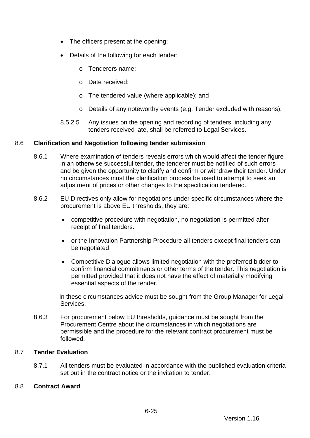- The officers present at the opening;
- Details of the following for each tender:
	- o Tenderers name;
	- o Date received:
	- o The tendered value (where applicable); and
	- o Details of any noteworthy events (e.g. Tender excluded with reasons).
- 8.5.2.5 Any issues on the opening and recording of tenders, including any tenders received late, shall be referred to Legal Services.

### 8.6 **Clarification and Negotiation following tender submission**

- 8.6.1 Where examination of tenders reveals errors which would affect the tender figure in an otherwise successful tender, the tenderer must be notified of such errors and be given the opportunity to clarify and confirm or withdraw their tender. Under no circumstances must the clarification process be used to attempt to seek an adjustment of prices or other changes to the specification tendered.
- 8.6.2 EU Directives only allow for negotiations under specific circumstances where the procurement is above EU thresholds, they are:
	- competitive procedure with negotiation, no negotiation is permitted after receipt of final tenders.
	- or the Innovation Partnership Procedure all tenders except final tenders can be negotiated
	- Competitive Dialogue allows limited negotiation with the preferred bidder to confirm financial commitments or other terms of the tender. This negotiation is permitted provided that it does not have the effect of materially modifying essential aspects of the tender.

In these circumstances advice must be sought from the Group Manager for Legal Services.

8.6.3 For procurement below EU thresholds, guidance must be sought from the Procurement Centre about the circumstances in which negotiations are permissible and the procedure for the relevant contract procurement must be followed.

### 8.7 **Tender Evaluation**

8.7.1 All tenders must be evaluated in accordance with the published evaluation criteria set out in the contract notice or the invitation to tender.

#### 8.8 **Contract Award**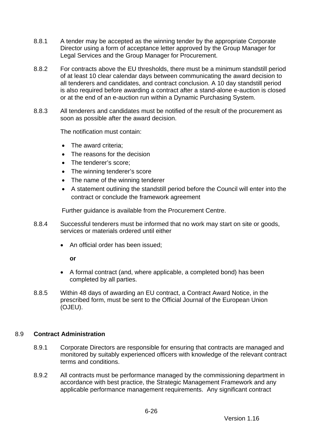- 8.8.1 A tender may be accepted as the winning tender by the appropriate Corporate Director using a form of acceptance letter approved by the Group Manager for Legal Services and the Group Manager for Procurement.
- 8.8.2 For contracts above the EU thresholds, there must be a minimum standstill period of at least 10 clear calendar days between communicating the award decision to all tenderers and candidates, and contract conclusion. A 10 day standstill period is also required before awarding a contract after a stand-alone e-auction is closed or at the end of an e-auction run within a Dynamic Purchasing System.
- 8.8.3 All tenderers and candidates must be notified of the result of the procurement as soon as possible after the award decision.

The notification must contain:

- The award criteria:
- The reasons for the decision
- The tenderer's score:
- The winning tenderer's score
- The name of the winning tenderer
- A statement outlining the standstill period before the Council will enter into the contract or conclude the framework agreement

Further guidance is available from the Procurement Centre.

- 8.8.4 Successful tenderers must be informed that no work may start on site or goods, services or materials ordered until either
	- An official order has been issued;

**or**

- A formal contract (and, where applicable, a completed bond) has been completed by all parties.
- 8.8.5 Within 48 days of awarding an EU contract, a Contract Award Notice, in the prescribed form, must be sent to the Official Journal of the European Union (OJEU).

### 8.9 **Contract Administration**

- 8.9.1 Corporate Directors are responsible for ensuring that contracts are managed and monitored by suitably experienced officers with knowledge of the relevant contract terms and conditions.
- 8.9.2 All contracts must be performance managed by the commissioning department in accordance with best practice, the Strategic Management Framework and any applicable performance management requirements. Any significant contract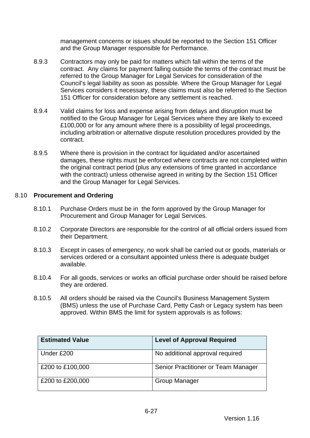management concerns or issues should be reported to the Section 151 Officer and the Group Manager responsible for Performance.

- 8.9.3 Contractors may only be paid for matters which fall within the terms of the contract. Any claims for payment falling outside the terms of the contract must be referred to the Group Manager for Legal Services for consideration of the Council's legal liability as soon as possible. Where the Group Manager for Legal Services considers it necessary, these claims must also be referred to the Section 151 Officer for consideration before any settlement is reached.
- 8.9.4 Valid claims for loss and expense arising from delays and disruption must be notified to the Group Manager for Legal Services where they are likely to exceed £100,000 or for any amount where there is a possibility of legal proceedings, including arbitration or alternative dispute resolution procedures provided by the contract.
- 8.9.5 Where there is provision in the contract for liquidated and/or ascertained damages, these rights must be enforced where contracts are not completed within the original contract period (plus any extensions of time granted in accordance with the contract) unless otherwise agreed in writing by the Section 151 Officer and the Group Manager for Legal Services.

### 8.10 **Procurement and Ordering**

- 8.10.1 Purchase Orders must be in the form approved by the Group Manager for Procurement and Group Manager for Legal Services.
- 8.10.2 Corporate Directors are responsible for the control of all official orders issued from their Department.
- 8.10.3 Except in cases of emergency, no work shall be carried out or goods, materials or services ordered or a consultant appointed unless there is adequate budget available.
- 8.10.4 For all goods, services or works an official purchase order should be raised before they are ordered.
- 8.10.5 All orders should be raised via the Council's Business Management System (BMS) unless the use of Purchase Card, Petty Cash or Legacy system has been approved. Within BMS the limit for system approvals is as follows:

| <b>Estimated Value</b> | <b>Level of Approval Required</b>   |
|------------------------|-------------------------------------|
| Under £200             | No additional approval required     |
| £200 to £100,000       | Senior Practitioner or Team Manager |
| £200 to £200,000       | <b>Group Manager</b>                |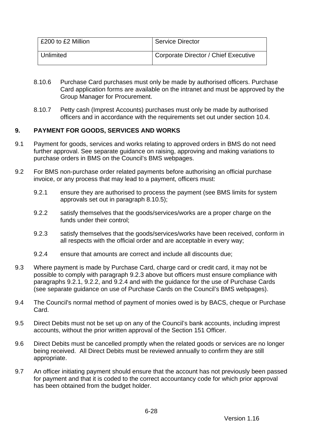| £200 to £2 Million | <b>Service Director</b>              |
|--------------------|--------------------------------------|
| Unlimited          | Corporate Director / Chief Executive |

- 8.10.6 Purchase Card purchases must only be made by authorised officers. Purchase Card application forms are available on the intranet and must be approved by the Group Manager for Procurement.
- 8.10.7 Petty cash (Imprest Accounts) purchases must only be made by authorised officers and in accordance with the requirements set out under section [10.4.](#page-100-0)

## <span id="page-97-0"></span>**9. PAYMENT FOR GOODS, SERVICES AND WORKS**

- 9.1 Payment for goods, services and works relating to approved orders in BMS do not need further approval. See separate guidance on raising, approving and making variations to purchase orders in BMS on the Council's BMS webpages.
- <span id="page-97-3"></span><span id="page-97-2"></span>9.2 For BMS non-purchase order related payments before authorising an official purchase invoice, or any process that may lead to a payment, officers must:
	- 9.2.1 ensure they are authorised to process the payment (see BMS limits for system approvals set out in paragraph 8.10.5);
	- 9.2.2 satisfy themselves that the goods/services/works are a proper charge on the funds under their control;
	- 9.2.3 satisfy themselves that the goods/services/works have been received, conform in all respects with the official order and are acceptable in every way;
	- 9.2.4 ensure that amounts are correct and include all discounts due;
- <span id="page-97-4"></span><span id="page-97-1"></span>9.3 Where payment is made by Purchase Card, charge card or credit card, it may not be possible to comply with paragraph [9.2.3](#page-97-1) above but officers must ensure compliance with paragraphs [9.2.1,](#page-97-2) [9.2.2,](#page-97-3) and [9.2.4](#page-97-4) and with the guidance for the use of Purchase Cards (see separate guidance on use of Purchase Cards on the Council's BMS webpages).
- 9.4 The Council's normal method of payment of monies owed is by BACS, cheque or Purchase Card.
- 9.5 Direct Debits must not be set up on any of the Council's bank accounts, including imprest accounts, without the prior written approval of the Section 151 Officer.
- 9.6 Direct Debits must be cancelled promptly when the related goods or services are no longer being received. All Direct Debits must be reviewed annually to confirm they are still appropriate.
- 9.7 An officer initiating payment should ensure that the account has not previously been passed for payment and that it is coded to the correct accountancy code for which prior approval has been obtained from the budget holder.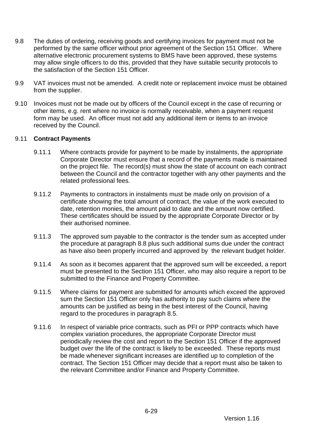- 9.8 The duties of ordering, receiving goods and certifying invoices for payment must not be performed by the same officer without prior agreement of the Section 151 Officer. Where alternative electronic procurement systems to BMS have been approved, these systems may allow single officers to do this, provided that they have suitable security protocols to the satisfaction of the Section 151 Officer.
- 9.9 VAT invoices must not be amended. A credit note or replacement invoice must be obtained from the supplier.
- 9.10 Invoices must not be made out by officers of the Council except in the case of recurring or other items, e.g. rent where no invoice is normally receivable, when a payment request form may be used. An officer must not add any additional item or items to an invoice received by the Council.

### 9.11 **Contract Payments**

- 9.11.1 Where contracts provide for payment to be made by instalments, the appropriate Corporate Director must ensure that a record of the payments made is maintained on the project file. The record(s) must show the state of account on each contract between the Council and the contractor together with any other payments and the related professional fees.
- 9.11.2 Payments to contractors in instalments must be made only on provision of a certificate showing the total amount of contract, the value of the work executed to date, retention monies, the amount paid to date and the amount now certified. These certificates should be issued by the appropriate Corporate Director or by their authorised nominee.
- 9.11.3 The approved sum payable to the contractor is the tender sum as accepted under the procedure at paragraph 8.8 plus such additional sums due under the contract as have also been properly incurred and approved by the relevant budget holder.
- 9.11.4 As soon as it becomes apparent that the approved sum will be exceeded, a report must be presented to the Section 151 Officer, who may also require a report to be submitted to the Finance and Property Committee.
- 9.11.5 Where claims for payment are submitted for amounts which exceed the approved sum the Section 151 Officer only has authority to pay such claims where the amounts can be justified as being in the best interest of the Council, having regard to the procedures in paragraph 8.5.
- 9.11.6 In respect of variable price contracts, such as PFI or PPP contracts which have complex variation procedures, the appropriate Corporate Director must periodically review the cost and report to the Section 151 Officer if the approved budget over the life of the contract is likely to be exceeded. These reports must be made whenever significant increases are identified up to completion of the contract. The Section 151 Officer may decide that a report must also be taken to the relevant Committee and/or Finance and Property Committee.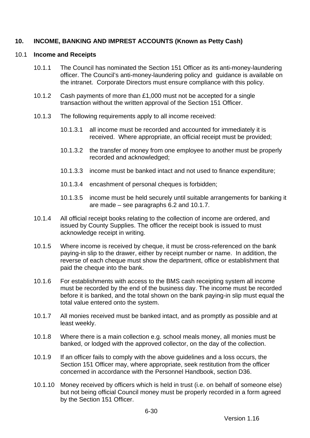## <span id="page-99-0"></span>**10. INCOME, BANKING AND IMPREST ACCOUNTS (Known as Petty Cash)**

#### 10.1 **Income and Receipts**

- 10.1.1 The Council has nominated the Section 151 Officer as its anti-money-laundering officer. The Council's anti-money-laundering policy and guidance is available on the intranet. Corporate Directors must ensure compliance with this policy.
- 10.1.2 Cash payments of more than £1,000 must not be accepted for a single transaction without the written approval of the Section 151 Officer.
- 10.1.3 The following requirements apply to all income received:
	- 10.1.3.1 all income must be recorded and accounted for immediately it is received. Where appropriate, an official receipt must be provided;
	- 10.1.3.2 the transfer of money from one employee to another must be properly recorded and acknowledged;
	- 10.1.3.3 income must be banked intact and not used to finance expenditure;
	- 10.1.3.4 encashment of personal cheques is forbidden;
	- 10.1.3.5 income must be held securely until suitable arrangements for banking it are made – see paragraphs [6.2](#page-85-1) and 10.1.7.
- 10.1.4 All official receipt books relating to the collection of income are ordered, and issued by County Supplies. The officer the receipt book is issued to must acknowledge receipt in writing.
- 10.1.5 Where income is received by cheque, it must be cross-referenced on the bank paying-in slip to the drawer, either by receipt number or name. In addition, the reverse of each cheque must show the department, office or establishment that paid the cheque into the bank.
- 10.1.6 For establishments with access to the BMS cash receipting system all income must be recorded by the end of the business day. The income must be recorded before it is banked, and the total shown on the bank paying-in slip must equal the total value entered onto the system.
- 10.1.7 All monies received must be banked intact, and as promptly as possible and at least weekly.
- 10.1.8 Where there is a main collection e.g. school meals money, all monies must be banked, or lodged with the approved collector, on the day of the collection.
- 10.1.9 If an officer fails to comply with the above guidelines and a loss occurs, the Section 151 Officer may, where appropriate, seek restitution from the officer concerned in accordance with the Personnel Handbook, section D36.
- 10.1.10 Money received by officers which is held in trust (i.e. on behalf of someone else) but not being official Council money must be properly recorded in a form agreed by the Section 151 Officer.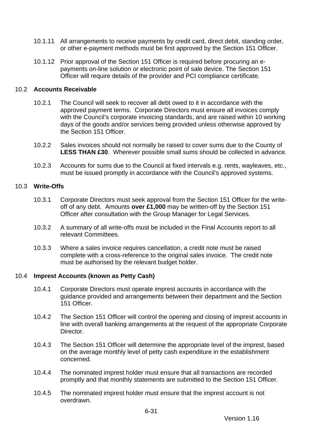- 10.1.11 All arrangements to receive payments by credit card, direct debit, standing order, or other e-payment methods must be first approved by the Section 151 Officer.
- 10.1.12 Prior approval of the Section 151 Officer is required before procuring an epayments on-line solution or electronic point of sale device. The Section 151 Officer will require details of the provider and PCI compliance certificate.

### 10.2 **Accounts Receivable**

- 10.2.1 The Council will seek to recover all debt owed to it in accordance with the approved payment terms. Corporate Directors must ensure all invoices comply with the Council's corporate invoicing standards, and are raised within 10 working days of the goods and/or services being provided unless otherwise approved by the Section 151 Officer.
- 10.2.2 Sales invoices should not normally be raised to cover sums due to the County of **LESS THAN £30**. Wherever possible small sums should be collected in advance.
- 10.2.3 Accounts for sums due to the Council at fixed intervals e.g. rents, wayleaves, etc., must be issued promptly in accordance with the Council's approved systems.

#### <span id="page-100-1"></span>10.3 **Write-Offs**

- 10.3.1 Corporate Directors must seek approval from the Section 151 Officer for the writeoff of any debt. Amounts **over £1,000** may be written-off by the Section 151 Officer after consultation with the Group Manager for Legal Services.
- 10.3.2 A summary of all write-offs must be included in the Final Accounts report to all relevant Committees.
- 10.3.3 Where a sales invoice requires cancellation, a credit note must be raised complete with a cross-reference to the original sales invoice. The credit note must be authorised by the relevant budget holder.

### <span id="page-100-0"></span>10.4 **Imprest Accounts (known as Petty Cash)**

- 10.4.1 Corporate Directors must operate imprest accounts in accordance with the guidance provided and arrangements between their department and the Section 151 Officer.
- 10.4.2 The Section 151 Officer will control the opening and closing of imprest accounts in line with overall banking arrangements at the request of the appropriate Corporate Director.
- 10.4.3 The Section 151 Officer will determine the appropriate level of the imprest, based on the average monthly level of petty cash expenditure in the establishment concerned.
- 10.4.4 The nominated imprest holder must ensure that all transactions are recorded promptly and that monthly statements are submitted to the Section 151 Officer.
- 10.4.5 The nominated imprest holder must ensure that the imprest account is not overdrawn.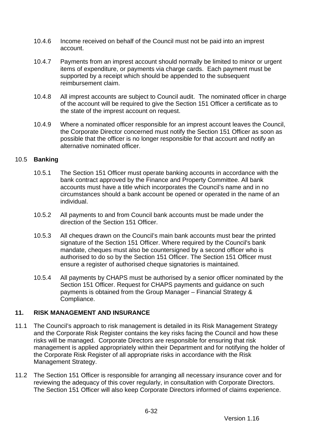- 10.4.6 Income received on behalf of the Council must not be paid into an imprest account.
- 10.4.7 Payments from an imprest account should normally be limited to minor or urgent items of expenditure, or payments via charge cards. Each payment must be supported by a receipt which should be appended to the subsequent reimbursement claim.
- 10.4.8 All imprest accounts are subject to Council audit. The nominated officer in charge of the account will be required to give the Section 151 Officer a certificate as to the state of the imprest account on request.
- 10.4.9 Where a nominated officer responsible for an imprest account leaves the Council, the Corporate Director concerned must notify the Section 151 Officer as soon as possible that the officer is no longer responsible for that account and notify an alternative nominated officer.

## 10.5 **Banking**

- 10.5.1 The Section 151 Officer must operate banking accounts in accordance with the bank contract approved by the Finance and Property Committee. All bank accounts must have a title which incorporates the Council's name and in no circumstances should a bank account be opened or operated in the name of an individual.
- 10.5.2 All payments to and from Council bank accounts must be made under the direction of the Section 151 Officer.
- 10.5.3 All cheques drawn on the Council's main bank accounts must bear the printed signature of the Section 151 Officer. Where required by the Council's bank mandate, cheques must also be countersigned by a second officer who is authorised to do so by the Section 151 Officer. The Section 151 Officer must ensure a register of authorised cheque signatories is maintained.
- 10.5.4 All payments by CHAPS must be authorised by a senior officer nominated by the Section 151 Officer. Request for CHAPS payments and guidance on such payments is obtained from the Group Manager – Financial Strategy & Compliance.

# <span id="page-101-0"></span>**11. RISK MANAGEMENT AND INSURANCE**

- 11.1 The Council's approach to risk management is detailed in its Risk Management Strategy and the Corporate Risk Register contains the key risks facing the Council and how these risks will be managed. Corporate Directors are responsible for ensuring that risk management is applied appropriately within their Department and for notifying the holder of the Corporate Risk Register of all appropriate risks in accordance with the Risk Management Strategy.
- 11.2 The Section 151 Officer is responsible for arranging all necessary insurance cover and for reviewing the adequacy of this cover regularly, in consultation with Corporate Directors. The Section 151 Officer will also keep Corporate Directors informed of claims experience.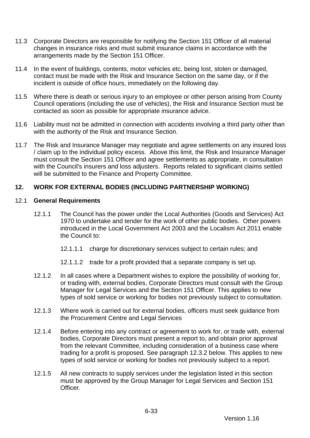- 11.3 Corporate Directors are responsible for notifying the Section 151 Officer of all material changes in insurance risks and must submit insurance claims in accordance with the arrangements made by the Section 151 Officer.
- 11.4 In the event of buildings, contents, motor vehicles etc. being lost, stolen or damaged, contact must be made with the Risk and Insurance Section on the same day, or if the incident is outside of office hours, immediately on the following day.
- 11.5 Where there is death or serious injury to an employee or other person arising from County Council operations (including the use of vehicles), the Risk and Insurance Section must be contacted as soon as possible for appropriate insurance advice.
- 11.6 Liability must not be admitted in connection with accidents involving a third party other than with the authority of the Risk and Insurance Section.
- <span id="page-102-1"></span>11.7 The Risk and Insurance Manager may negotiate and agree settlements on any insured loss / claim up to the individual policy excess. Above this limit, the Risk and Insurance Manager must consult the Section 151 Officer and agree settlements as appropriate, in consultation with the Council's insurers and loss adjusters. Reports related to significant claims settled will be submitted to the Finance and Property Committee.

## <span id="page-102-0"></span>**12. WORK FOR EXTERNAL BODIES (INCLUDING PARTNERSHIP WORKING)**

#### 12.1 **General Requirements**

- 12.1.1 The Council has the power under the Local Authorities (Goods and Services) Act 1970 to undertake and tender for the work of other public bodies. Other powers introduced in the Local Government Act 2003 and the Localism Act 2011 enable the Council to:
	- 12.1.1.1 charge for discretionary services subject to certain rules; and
	- 12.1.1.2 trade for a profit provided that a separate company is set up.
- 12.1.2 In all cases where a Department wishes to explore the possibility of working for, or trading with, external bodies, Corporate Directors must consult with the Group Manager for Legal Services and the Section 151 Officer. This applies to new types of sold service or working for bodies not previously subject to consultation.
- 12.1.3 Where work is carried out for external bodies, officers must seek guidance from the Procurement Centre and Legal Services
- 12.1.4 Before entering into any contract or agreement to work for, or trade with, external bodies, Corporate Directors must present a report to, and obtain prior approval from the relevant Committee, including consideration of a business case where trading for a profit is proposed. See paragraph 12.3.2 below. This applies to new types of sold service or working for bodies not previously subject to a report.
- 12.1.5 All new contracts to supply services under the legislation listed in this section must be approved by the Group Manager for Legal Services and Section 151 Officer.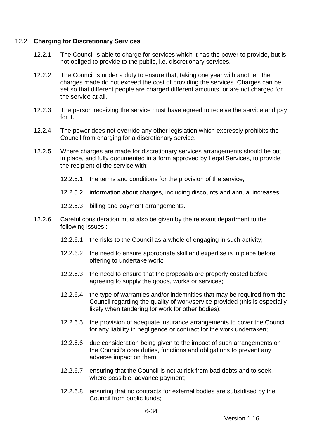### 12.2 **Charging for Discretionary Services**

- 12.2.1 The Council is able to charge for services which it has the power to provide, but is not obliged to provide to the public, i.e. discretionary services.
- 12.2.2 The Council is under a duty to ensure that, taking one year with another, the charges made do not exceed the cost of providing the services. Charges can be set so that different people are charged different amounts, or are not charged for the service at all.
- 12.2.3 The person receiving the service must have agreed to receive the service and pay for it.
- 12.2.4 The power does not override any other legislation which expressly prohibits the Council from charging for a discretionary service.
- 12.2.5 Where charges are made for discretionary services arrangements should be put in place, and fully documented in a form approved by Legal Services, to provide the recipient of the service with:
	- 12.2.5.1 the terms and conditions for the provision of the service;
	- 12.2.5.2 information about charges, including discounts and annual increases;
	- 12.2.5.3 billing and payment arrangements.
- 12.2.6 Careful consideration must also be given by the relevant department to the following issues :
	- 12.2.6.1 the risks to the Council as a whole of engaging in such activity;
	- 12.2.6.2 the need to ensure appropriate skill and expertise is in place before offering to undertake work;
	- 12.2.6.3 the need to ensure that the proposals are properly costed before agreeing to supply the goods, works or services;
	- 12.2.6.4 the type of warranties and/or indemnities that may be required from the Council regarding the quality of work/service provided (this is especially likely when tendering for work for other bodies);
	- 12.2.6.5 the provision of adequate insurance arrangements to cover the Council for any liability in negligence or contract for the work undertaken;
	- 12.2.6.6 due consideration being given to the impact of such arrangements on the Council's core duties, functions and obligations to prevent any adverse impact on them;
	- 12.2.6.7 ensuring that the Council is not at risk from bad debts and to seek, where possible, advance payment;
	- 12.2.6.8 ensuring that no contracts for external bodies are subsidised by the Council from public funds;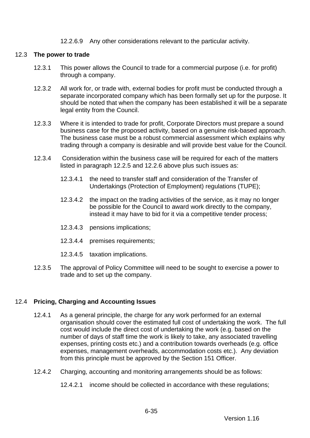### 12.2.6.9 Any other considerations relevant to the particular activity.

#### 12.3 **The power to trade**

- 12.3.1 This power allows the Council to trade for a commercial purpose (i.e. for profit) through a company.
- 12.3.2 All work for, or trade with, external bodies for profit must be conducted through a separate incorporated company which has been formally set up for the purpose. It should be noted that when the company has been established it will be a separate legal entity from the Council.
- 12.3.3 Where it is intended to trade for profit, Corporate Directors must prepare a sound business case for the proposed activity, based on a genuine risk-based approach. The business case must be a robust commercial assessment which explains why trading through a company is desirable and will provide best value for the Council.
- 12.3.4 Consideration within the business case will be required for each of the matters listed in paragraph 12.2.5 and 12.2.6 above plus such issues as:
	- 12.3.4.1 the need to transfer staff and consideration of the Transfer of Undertakings (Protection of Employment) regulations (TUPE);
	- 12.3.4.2 the impact on the trading activities of the service, as it may no longer be possible for the Council to award work directly to the company, instead it may have to bid for it via a competitive tender process;
	- 12.3.4.3 pensions implications;
	- 12.3.4.4 premises requirements;
	- 12.3.4.5 taxation implications.
- 12.3.5 The approval of Policy Committee will need to be sought to exercise a power to trade and to set up the company.

### 12.4 **Pricing, Charging and Accounting Issues**

- 12.4.1 As a general principle, the charge for any work performed for an external organisation should cover the estimated full cost of undertaking the work. The full cost would include the direct cost of undertaking the work (e.g. based on the number of days of staff time the work is likely to take, any associated travelling expenses, printing costs etc.) and a contribution towards overheads (e.g. office expenses, management overheads, accommodation costs etc.). Any deviation from this principle must be approved by the Section 151 Officer.
- 12.4.2 Charging, accounting and monitoring arrangements should be as follows:
	- 12.4.2.1 income should be collected in accordance with these regulations;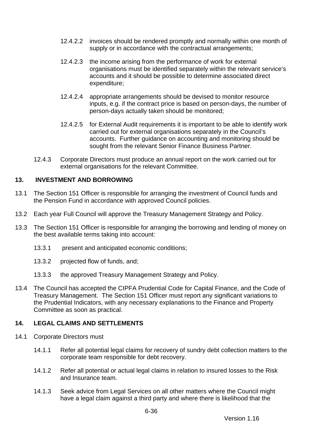- 12.4.2.2 invoices should be rendered promptly and normally within one month of supply or in accordance with the contractual arrangements;
- 12.4.2.3 the income arising from the performance of work for external organisations must be identified separately within the relevant service's accounts and it should be possible to determine associated direct expenditure;
- 12.4.2.4 appropriate arrangements should be devised to monitor resource inputs, e.g. if the contract price is based on person-days, the number of person-days actually taken should be monitored;
- 12.4.2.5 for External Audit requirements it is important to be able to identify work carried out for external organisations separately in the Council's accounts. Further guidance on accounting and monitoring should be sought from the relevant Senior Finance Business Partner.
- 12.4.3 Corporate Directors must produce an annual report on the work carried out for external organisations for the relevant Committee.

# <span id="page-105-0"></span>**13. INVESTMENT AND BORROWING**

- 13.1 The Section 151 Officer is responsible for arranging the investment of Council funds and the Pension Fund in accordance with approved Council policies.
- 13.2 Each year Full Council will approve the Treasury Management Strategy and Policy.
- 13.3 The Section 151 Officer is responsible for arranging the borrowing and lending of money on the best available terms taking into account:
	- 13.3.1 present and anticipated economic conditions;
	- 13.3.2 projected flow of funds, and;
	- 13.3.3 the approved Treasury Management Strategy and Policy.
- 13.4 The Council has accepted the CIPFA Prudential Code for Capital Finance, and the Code of Treasury Management. The Section 151 Officer must report any significant variations to the Prudential Indicators, with any necessary explanations to the Finance and Property Committee as soon as practical.

# <span id="page-105-1"></span>**14. LEGAL CLAIMS AND SETTLEMENTS**

- 14.1 Corporate Directors must
	- 14.1.1 Refer all potential legal claims for recovery of sundry debt collection matters to the corporate team responsible for debt recovery.
	- 14.1.2 Refer all potential or actual legal claims in relation to insured losses to the Risk and Insurance team.
	- 14.1.3 Seek advice from Legal Services on all other matters where the Council might have a legal claim against a third party and where there is likelihood that the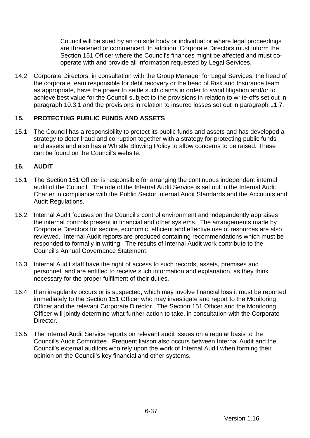Council will be sued by an outside body or individual or where legal proceedings are threatened or commenced. In addition, Corporate Directors must inform the Section 151 Officer where the Council's finances might be affected and must cooperate with and provide all information requested by Legal Services.

14.2 Corporate Directors, in consultation with the Group Manager for Legal Services, the head of the corporate team responsible for debt recovery or the head of Risk and Insurance team as appropriate, have the power to settle such claims in order to avoid litigation and/or to achieve best value for the Council subject to the provisions in relation to write-offs set out in paragraph [10.3.1](#page-100-1) and the provisions in relation to insured losses set out in paragraph [11.7.](#page-102-1)

## <span id="page-106-0"></span>**15. PROTECTING PUBLIC FUNDS AND ASSETS**

15.1 The Council has a responsibility to protect its public funds and assets and has developed a strategy to deter fraud and corruption together with a strategy for protecting public funds and assets and also has a Whistle Blowing Policy to allow concerns to be raised. These can be found on the Council's website.

## <span id="page-106-1"></span>**16. AUDIT**

- 16.1 The Section 151 Officer is responsible for arranging the continuous independent internal audit of the Council. The role of the Internal Audit Service is set out in the Internal Audit Charter in compliance with the Public Sector Internal Audit Standards and the Accounts and Audit Regulations.
- 16.2 Internal Audit focuses on the Council's control environment and independently appraises the internal controls present in financial and other systems. The arrangements made by Corporate Directors for secure, economic, efficient and effective use of resources are also reviewed. Internal Audit reports are produced containing recommendations which must be responded to formally in writing. The results of Internal Audit work contribute to the Council's Annual Governance Statement.
- 16.3 Internal Audit staff have the right of access to such records, assets, premises and personnel, and are entitled to receive such information and explanation, as they think necessary for the proper fulfilment of their duties.
- 16.4 If an irregularity occurs or is suspected, which may involve financial loss it must be reported immediately to the Section 151 Officer who may investigate and report to the Monitoring Officer and the relevant Corporate Director. The Section 151 Officer and the Monitoring Officer will jointly determine what further action to take, in consultation with the Corporate Director.
- 16.5 The Internal Audit Service reports on relevant audit issues on a regular basis to the Council's Audit Committee. Frequent liaison also occurs between Internal Audit and the Council's external auditors who rely upon the work of Internal Audit when forming their opinion on the Council's key financial and other systems.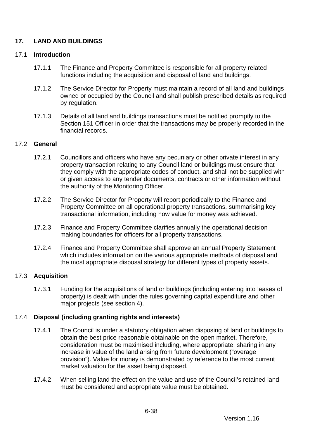# <span id="page-107-0"></span>**17. LAND AND BUILDINGS**

## 17.1 **Introduction**

- 17.1.1 The Finance and Property Committee is responsible for all property related functions including the acquisition and disposal of land and buildings.
- 17.1.2 The Service Director for Property must maintain a record of all land and buildings owned or occupied by the Council and shall publish prescribed details as required by regulation.
- 17.1.3 Details of all land and buildings transactions must be notified promptly to the Section 151 Officer in order that the transactions may be properly recorded in the financial records.

## 17.2 **General**

- 17.2.1 Councillors and officers who have any pecuniary or other private interest in any property transaction relating to any Council land or buildings must ensure that they comply with the appropriate codes of conduct, and shall not be supplied with or given access to any tender documents, contracts or other information without the authority of the Monitoring Officer.
- 17.2.2 The Service Director for Property will report periodically to the Finance and Property Committee on all operational property transactions, summarising key transactional information, including how value for money was achieved.
- 17.2.3 Finance and Property Committee clarifies annually the operational decision making boundaries for officers for all property transactions.
- 17.2.4 Finance and Property Committee shall approve an annual Property Statement which includes information on the various appropriate methods of disposal and the most appropriate disposal strategy for different types of property assets.

# 17.3 **Acquisition**

17.3.1 Funding for the acquisitions of land or buildings (including entering into leases of property) is dealt with under the rules governing capital expenditure and other major projects (see section [4\)](#page-72-0).

# 17.4 **Disposal (including granting rights and interests)**

- 17.4.1 The Council is under a statutory obligation when disposing of land or buildings to obtain the best price reasonable obtainable on the open market. Therefore, consideration must be maximised including, where appropriate, sharing in any increase in value of the land arising from future development ("overage provision"). Value for money is demonstrated by reference to the most current market valuation for the asset being disposed.
- 17.4.2 When selling land the effect on the value and use of the Council's retained land must be considered and appropriate value must be obtained.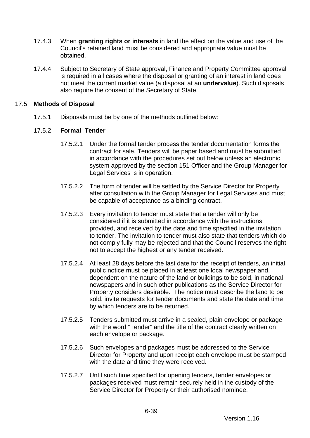- 17.4.3 When **granting rights or interests** in land the effect on the value and use of the Council's retained land must be considered and appropriate value must be obtained.
- 17.4.4 Subject to Secretary of State approval, Finance and Property Committee approval is required in all cases where the disposal or granting of an interest in land does not meet the current market value (a disposal at an **undervalue**). Such disposals also require the consent of the Secretary of State.

### 17.5 **Methods of Disposal**

17.5.1 Disposals must be by one of the methods outlined below:

## 17.5.2 **Formal Tender**

- 17.5.2.1 Under the formal tender process the tender documentation forms the contract for sale. Tenders will be paper based and must be submitted in accordance with the procedures set out below unless an electronic system approved by the section 151 Officer and the Group Manager for Legal Services is in operation.
- 17.5.2.2 The form of tender will be settled by the Service Director for Property after consultation with the Group Manager for Legal Services and must be capable of acceptance as a binding contract.
- 17.5.2.3 Every invitation to tender must state that a tender will only be considered if it is submitted in accordance with the instructions provided, and received by the date and time specified in the invitation to tender. The invitation to tender must also state that tenders which do not comply fully may be rejected and that the Council reserves the right not to accept the highest or any tender received.
- 17.5.2.4 At least 28 days before the last date for the receipt of tenders, an initial public notice must be placed in at least one local newspaper and, dependent on the nature of the land or buildings to be sold, in national newspapers and in such other publications as the Service Director for Property considers desirable. The notice must describe the land to be sold, invite requests for tender documents and state the date and time by which tenders are to be returned.
- 17.5.2.5 Tenders submitted must arrive in a sealed, plain envelope or package with the word "Tender" and the title of the contract clearly written on each envelope or package.
- 17.5.2.6 Such envelopes and packages must be addressed to the Service Director for Property and upon receipt each envelope must be stamped with the date and time they were received.
- 17.5.2.7 Until such time specified for opening tenders, tender envelopes or packages received must remain securely held in the custody of the Service Director for Property or their authorised nominee.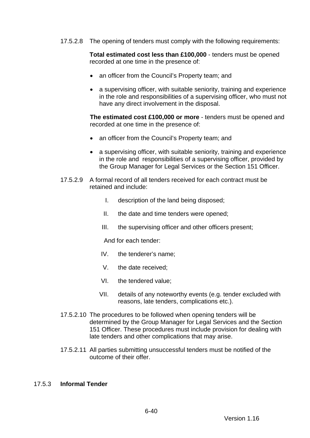17.5.2.8 The opening of tenders must comply with the following requirements:

**Total estimated cost less than £100,000** - tenders must be opened recorded at one time in the presence of:

- an officer from the Council's Property team; and
- a supervising officer, with suitable seniority, training and experience in the role and responsibilities of a supervising officer, who must not have any direct involvement in the disposal.

**The estimated cost £100,000 or more** - tenders must be opened and recorded at one time in the presence of:

- an officer from the Council's Property team; and
- a supervising officer, with suitable seniority, training and experience in the role and responsibilities of a supervising officer, provided by the Group Manager for Legal Services or the Section 151 Officer.
- 17.5.2.9 A formal record of all tenders received for each contract must be retained and include:
	- I. description of the land being disposed;
	- II. the date and time tenders were opened;
	- III. the supervising officer and other officers present;

And for each tender:

- IV. the tenderer's name;
- V. the date received;
- VI. the tendered value;
- VII. details of any noteworthy events (e.g. tender excluded with reasons, late tenders, complications etc.).
- 17.5.2.10 The procedures to be followed when opening tenders will be determined by the Group Manager for Legal Services and the Section 151 Officer. These procedures must include provision for dealing with late tenders and other complications that may arise.
- 17.5.2.11 All parties submitting unsuccessful tenders must be notified of the outcome of their offer.

#### 17.5.3 **Informal Tender**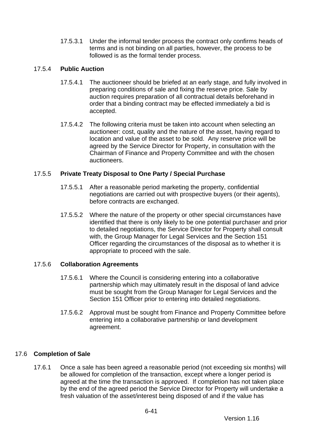17.5.3.1 Under the informal tender process the contract only confirms heads of terms and is not binding on all parties, however, the process to be followed is as the formal tender process.

## 17.5.4 **Public Auction**

- 17.5.4.1 The auctioneer should be briefed at an early stage, and fully involved in preparing conditions of sale and fixing the reserve price. Sale by auction requires preparation of all contractual details beforehand in order that a binding contract may be effected immediately a bid is accepted.
- 17.5.4.2 The following criteria must be taken into account when selecting an auctioneer: cost, quality and the nature of the asset, having regard to location and value of the asset to be sold. Any reserve price will be agreed by the Service Director for Property, in consultation with the Chairman of Finance and Property Committee and with the chosen auctioneers.

# 17.5.5 **Private Treaty Disposal to One Party / Special Purchase**

- 17.5.5.1 After a reasonable period marketing the property, confidential negotiations are carried out with prospective buyers (or their agents), before contracts are exchanged.
- 17.5.5.2 Where the nature of the property or other special circumstances have identified that there is only likely to be one potential purchaser and prior to detailed negotiations, the Service Director for Property shall consult with, the Group Manager for Legal Services and the Section 151 Officer regarding the circumstances of the disposal as to whether it is appropriate to proceed with the sale.

# 17.5.6 **Collaboration Agreements**

- 17.5.6.1 Where the Council is considering entering into a collaborative partnership which may ultimately result in the disposal of land advice must be sought from the Group Manager for Legal Services and the Section 151 Officer prior to entering into detailed negotiations.
- 17.5.6.2 Approval must be sought from Finance and Property Committee before entering into a collaborative partnership or land development agreement.

## 17.6 **Completion of Sale**

17.6.1 Once a sale has been agreed a reasonable period (not exceeding six months) will be allowed for completion of the transaction, except where a longer period is agreed at the time the transaction is approved. If completion has not taken place by the end of the agreed period the Service Director for Property will undertake a fresh valuation of the asset/interest being disposed of and if the value has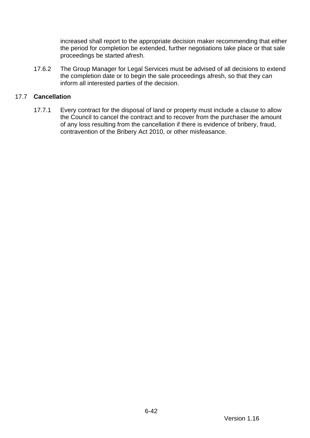increased shall report to the appropriate decision maker recommending that either the period for completion be extended, further negotiations take place or that sale proceedings be started afresh.

17.6.2 The Group Manager for Legal Services must be advised of all decisions to extend the completion date or to begin the sale proceedings afresh, so that they can inform all interested parties of the decision.

### 17.7 **Cancellation**

17.7.1 Every contract for the disposal of land or property must include a clause to allow the Council to cancel the contract and to recover from the purchaser the amount of any loss resulting from the cancellation if there is evidence of bribery, fraud, contravention of the Bribery Act 2010, or other misfeasance.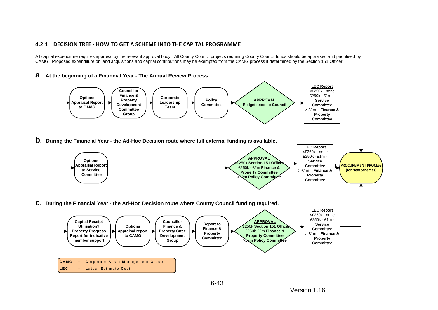#### **4.2.1 DECISION TREE - HOW TO GET A SCHEME INTO THE CAPITAL PROGRAMME**

All capital expenditure requires approval by the relevant approval body. All County Council projects requiring County Council funds should be appraised and prioritised by CAMG. Proposed expenditure on land acquisitions and capital contributions may be exempted from the CAMG process if determined by the Section 151 Officer.

#### **a. At the beginning of a Financial Year - The Annual Review Process.**

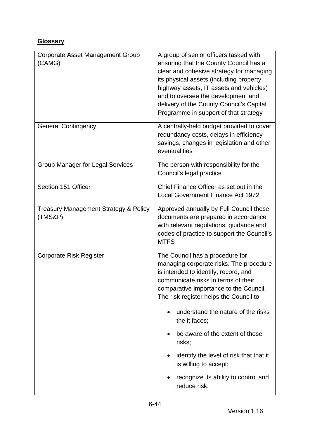# **Glossary**

| <b>Corporate Asset Management Group</b><br>(CAMG)           | A group of senior officers tasked with<br>ensuring that the County Council has a<br>clear and cohesive strategy for managing<br>its physical assets (including property,<br>highway assets, IT assets and vehicles)<br>and to oversee the development and<br>delivery of the County Council's Capital<br>Programme in support of that strategy                                                                                                                                              |
|-------------------------------------------------------------|---------------------------------------------------------------------------------------------------------------------------------------------------------------------------------------------------------------------------------------------------------------------------------------------------------------------------------------------------------------------------------------------------------------------------------------------------------------------------------------------|
| <b>General Contingency</b>                                  | A centrally-held budget provided to cover<br>redundancy costs, delays in efficiency<br>savings, changes in legislation and other<br>eventualities                                                                                                                                                                                                                                                                                                                                           |
| <b>Group Manager for Legal Services</b>                     | The person with responsibility for the<br>Council's legal practice                                                                                                                                                                                                                                                                                                                                                                                                                          |
| Section 151 Officer                                         | Chief Finance Officer as set out in the<br><b>Local Government Finance Act 1972</b>                                                                                                                                                                                                                                                                                                                                                                                                         |
| <b>Treasury Management Strategy &amp; Policy</b><br>(TMS&P) | Approved annually by Full Council these<br>documents are prepared in accordance<br>with relevant regulations, guidance and<br>codes of practice to support the Council's<br><b>MTFS</b>                                                                                                                                                                                                                                                                                                     |
| <b>Corporate Risk Register</b>                              | The Council has a procedure for<br>managing corporate risks. The procedure<br>is intended to identify, record, and<br>communicate risks in terms of their<br>comparative importance to the Council.<br>The risk register helps the Council to:<br>understand the nature of the risks<br>$\bullet$<br>the it faces;<br>be aware of the extent of those<br>risks;<br>identify the level of risk that that it<br>is willing to accept;<br>recognize its ability to control and<br>reduce risk. |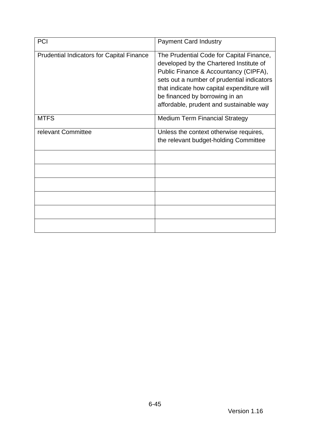| PCI                                              | <b>Payment Card Industry</b>                                                                                                                                                                                                                                                                          |
|--------------------------------------------------|-------------------------------------------------------------------------------------------------------------------------------------------------------------------------------------------------------------------------------------------------------------------------------------------------------|
| <b>Prudential Indicators for Capital Finance</b> | The Prudential Code for Capital Finance,<br>developed by the Chartered Institute of<br>Public Finance & Accountancy (CIPFA),<br>sets out a number of prudential indicators<br>that indicate how capital expenditure will<br>be financed by borrowing in an<br>affordable, prudent and sustainable way |
| <b>MTFS</b>                                      | <b>Medium Term Financial Strategy</b>                                                                                                                                                                                                                                                                 |
| relevant Committee                               | Unless the context otherwise requires,<br>the relevant budget-holding Committee                                                                                                                                                                                                                       |
|                                                  |                                                                                                                                                                                                                                                                                                       |
|                                                  |                                                                                                                                                                                                                                                                                                       |
|                                                  |                                                                                                                                                                                                                                                                                                       |
|                                                  |                                                                                                                                                                                                                                                                                                       |
|                                                  |                                                                                                                                                                                                                                                                                                       |
|                                                  |                                                                                                                                                                                                                                                                                                       |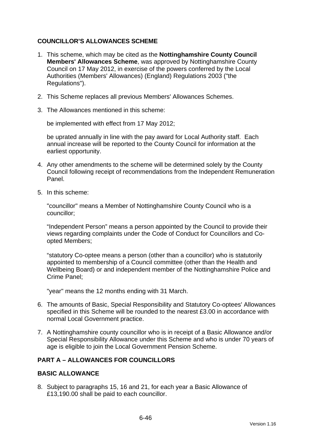## **COUNCILLOR'S ALLOWANCES SCHEME**

- 1. This scheme, which may be cited as the **Nottinghamshire County Council Members' Allowances Scheme**, was approved by Nottinghamshire County Council on 17 May 2012, in exercise of the powers conferred by the Local Authorities (Members' Allowances) (England) Regulations 2003 ("the Regulations").
- 2. This Scheme replaces all previous Members' Allowances Schemes.
- 3. The Allowances mentioned in this scheme:

be implemented with effect from 17 May 2012;

be uprated annually in line with the pay award for Local Authority staff. Each annual increase will be reported to the County Council for information at the earliest opportunity.

- 4. Any other amendments to the scheme will be determined solely by the County Council following receipt of recommendations from the Independent Remuneration Panel.
- 5. In this scheme:

"councillor" means a Member of Nottinghamshire County Council who is a councillor;

"Independent Person" means a person appointed by the Council to provide their views regarding complaints under the Code of Conduct for Councillors and Coopted Members;

"statutory Co-optee means a person (other than a councillor) who is statutorily appointed to membership of a Council committee (other than the Health and Wellbeing Board) or and independent member of the Nottinghamshire Police and Crime Panel;

"year" means the 12 months ending with 31 March.

- 6. The amounts of Basic, Special Responsibility and Statutory Co-optees' Allowances specified in this Scheme will be rounded to the nearest £3.00 in accordance with normal Local Government practice.
- 7. A Nottinghamshire county councillor who is in receipt of a Basic Allowance and/or Special Responsibility Allowance under this Scheme and who is under 70 years of age is eligible to join the Local Government Pension Scheme.

### **PART A – ALLOWANCES FOR COUNCILLORS**

### **BASIC ALLOWANCE**

8. Subject to paragraphs 15, 16 and 21, for each year a Basic Allowance of £13,190.00 shall be paid to each councillor.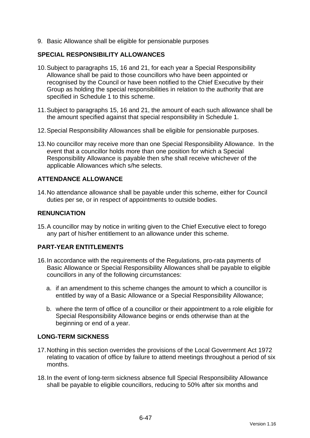9. Basic Allowance shall be eligible for pensionable purposes

### **SPECIAL RESPONSIBILITY ALLOWANCES**

- 10.Subject to paragraphs 15, 16 and 21, for each year a Special Responsibility Allowance shall be paid to those councillors who have been appointed or recognised by the Council or have been notified to the Chief Executive by their Group as holding the special responsibilities in relation to the authority that are specified in Schedule 1 to this scheme.
- 11.Subject to paragraphs 15, 16 and 21, the amount of each such allowance shall be the amount specified against that special responsibility in Schedule 1.
- 12.Special Responsibility Allowances shall be eligible for pensionable purposes.
- 13.No councillor may receive more than one Special Responsibility Allowance. In the event that a councillor holds more than one position for which a Special Responsibility Allowance is payable then s/he shall receive whichever of the applicable Allowances which s/he selects.

## **ATTENDANCE ALLOWANCE**

14.No attendance allowance shall be payable under this scheme, either for Council duties per se, or in respect of appointments to outside bodies.

### **RENUNCIATION**

15.A councillor may by notice in writing given to the Chief Executive elect to forego any part of his/her entitlement to an allowance under this scheme.

### **PART-YEAR ENTITLEMENTS**

- 16.In accordance with the requirements of the Regulations, pro-rata payments of Basic Allowance or Special Responsibility Allowances shall be payable to eligible councillors in any of the following circumstances:
	- a. if an amendment to this scheme changes the amount to which a councillor is entitled by way of a Basic Allowance or a Special Responsibility Allowance;
	- b. where the term of office of a councillor or their appointment to a role eligible for Special Responsibility Allowance begins or ends otherwise than at the beginning or end of a year.

### **LONG-TERM SICKNESS**

- 17.Nothing in this section overrides the provisions of the Local Government Act 1972 relating to vacation of office by failure to attend meetings throughout a period of six months.
- 18.In the event of long-term sickness absence full Special Responsibility Allowance shall be payable to eligible councillors, reducing to 50% after six months and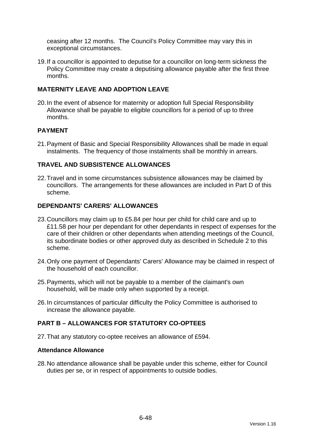ceasing after 12 months. The Council's Policy Committee may vary this in exceptional circumstances.

19.If a councillor is appointed to deputise for a councillor on long-term sickness the Policy Committee may create a deputising allowance payable after the first three months.

## **MATERNITY LEAVE AND ADOPTION LEAVE**

20.In the event of absence for maternity or adoption full Special Responsibility Allowance shall be payable to eligible councillors for a period of up to three months.

### **PAYMENT**

21.Payment of Basic and Special Responsibility Allowances shall be made in equal instalments. The frequency of those instalments shall be monthly in arrears.

### **TRAVEL AND SUBSISTENCE ALLOWANCES**

22.Travel and in some circumstances subsistence allowances may be claimed by councillors. The arrangements for these allowances are included in Part D of this scheme.

## **DEPENDANTS' CARERS' ALLOWANCES**

- 23.Councillors may claim up to £5.84 per hour per child for child care and up to £11.58 per hour per dependant for other dependants in respect of expenses for the care of their children or other dependants when attending meetings of the Council, its subordinate bodies or other approved duty as described in Schedule 2 to this scheme.
- 24.Only one payment of Dependants' Carers' Allowance may be claimed in respect of the household of each councillor.
- 25.Payments, which will not be payable to a member of the claimant's own household, will be made only when supported by a receipt.
- 26.In circumstances of particular difficulty the Policy Committee is authorised to increase the allowance payable.

## **PART B – ALLOWANCES FOR STATUTORY CO-OPTEES**

27.That any statutory co-optee receives an allowance of £594.

#### **Attendance Allowance**

28.No attendance allowance shall be payable under this scheme, either for Council duties per se, or in respect of appointments to outside bodies.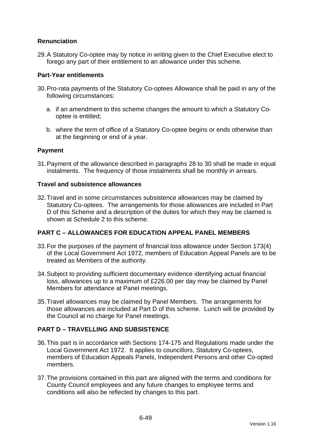## **Renunciation**

29.A Statutory Co-optee may by notice in writing given to the Chief Executive elect to forego any part of their entitlement to an allowance under this scheme.

### **Part-Year entitlements**

- 30.Pro-rata payments of the Statutory Co-optees Allowance shall be paid in any of the following circumstances:
	- a. if an amendment to this scheme changes the amount to which a Statutory Cooptee is entitled;
	- b. where the term of office of a Statutory Co-optee begins or ends otherwise than at the beginning or end of a year.

## **Payment**

31.Payment of the allowance described in paragraphs 28 to 30 shall be made in equal instalments. The frequency of those instalments shall be monthly in arrears.

### **Travel and subsistence allowances**

32.Travel and in some circumstances subsistence allowances may be claimed by Statutory Co-optees. The arrangements for those allowances are included in Part D of this Scheme and a description of the duties for which they may be claimed is shown at Schedule 2 to this scheme.

### **PART C – ALLOWANCES FOR EDUCATION APPEAL PANEL MEMBERS**

- 33.For the purposes of the payment of financial loss allowance under Section 173(4) of the Local Government Act 1972, members of Education Appeal Panels are to be treated as Members of the authority.
- 34.Subject to providing sufficient documentary evidence identifying actual financial loss, allowances up to a maximum of £226.00 per day may be claimed by Panel Members for attendance at Panel meetings.
- 35.Travel allowances may be claimed by Panel Members. The arrangements for those allowances are included at Part D of this scheme. Lunch will be provided by the Council at no charge for Panel meetings.

## **PART D – TRAVELLING AND SUBSISTENCE**

- <span id="page-118-0"></span>36.This part is in accordance with Sections 174-175 and Regulations made under the Local Government Act 1972. It applies to councillors, Statutory Co-optees, members of Education Appeals Panels, Independent Persons and other Co-opted members.
- 37.The provisions contained in this part are aligned with the terms and conditions for County Council employees and any future changes to employee terms and conditions will also be reflected by changes to this part.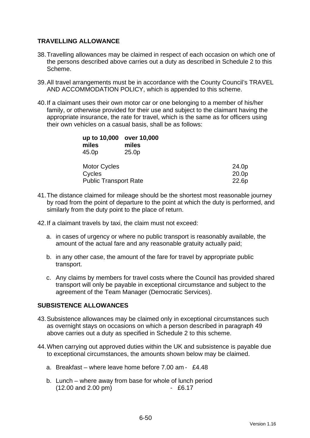## **TRAVELLING ALLOWANCE**

- 38.Travelling allowances may be claimed in respect of each occasion on which one of the persons described above carries out a duty as described in Schedule 2 to this Scheme.
- 39.All travel arrangements must be in accordance with the County Council's TRAVEL AND ACCOMMODATION POLICY, which is appended to this scheme.
- 40.If a claimant uses their own motor car or one belonging to a member of his/her family, or otherwise provided for their use and subject to the claimant having the appropriate insurance, the rate for travel, which is the same as for officers using their own vehicles on a casual basis, shall be as follows:

| up to 10,000<br>miles        | over 10,000<br>miles |                   |
|------------------------------|----------------------|-------------------|
| 45.0p                        | 25.0 <sub>p</sub>    |                   |
| <b>Motor Cycles</b>          |                      | 24.0p             |
| Cycles                       |                      | 20.0 <sub>p</sub> |
| <b>Public Transport Rate</b> | 22.6p                |                   |

- 41.The distance claimed for mileage should be the shortest most reasonable journey by road from the point of departure to the point at which the duty is performed, and similarly from the duty point to the place of return.
- 42.If a claimant travels by taxi, the claim must not exceed:
	- a. in cases of urgency or where no public transport is reasonably available, the amount of the actual fare and any reasonable gratuity actually paid;
	- b. in any other case, the amount of the fare for travel by appropriate public transport.
	- c. Any claims by members for travel costs where the Council has provided shared transport will only be payable in exceptional circumstance and subject to the agreement of the Team Manager (Democratic Services).

### **SUBSISTENCE ALLOWANCES**

- 43.Subsistence allowances may be claimed only in exceptional circumstances such as overnight stays on occasions on which a person described in paragraph [49](#page-118-0) above carries out a duty as specified in Schedule 2 to this scheme.
- 44.When carrying out approved duties within the UK and subsistence is payable due to exceptional circumstances, the amounts shown below may be claimed.
	- a. Breakfast where leave home before 7.00 am £4.48
	- b. Lunch where away from base for whole of lunch period (12.00 and 2.00 pm) - £6.17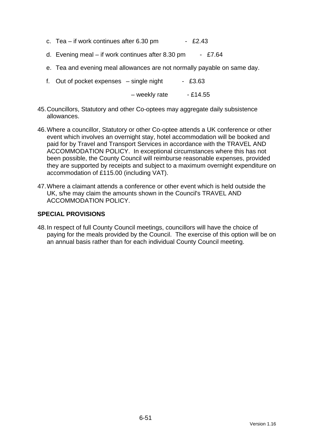- c. Tea if work continues after  $6.30 \text{ pm}$  £2.43
- d. Evening meal if work continues after 8.30 pm  $-$  £7.64
- e. Tea and evening meal allowances are not normally payable on same day.
- f. Out of pocket expenses  $-$  single night  $-$  £3.63
	- $-$  weekly rate  $-$  £14.55
- 45.Councillors, Statutory and other Co-optees may aggregate daily subsistence allowances.
- 46.Where a councillor, Statutory or other Co-optee attends a UK conference or other event which involves an overnight stay, hotel accommodation will be booked and paid for by Travel and Transport Services in accordance with the TRAVEL AND ACCOMMODATION POLICY. In exceptional circumstances where this has not been possible, the County Council will reimburse reasonable expenses, provided they are supported by receipts and subject to a maximum overnight expenditure on accommodation of £115.00 (including VAT).
- 47.Where a claimant attends a conference or other event which is held outside the UK, s/he may claim the amounts shown in the Council's TRAVEL AND ACCOMMODATION POLICY.

### **SPECIAL PROVISIONS**

48.In respect of full County Council meetings, councillors will have the choice of paying for the meals provided by the Council. The exercise of this option will be on an annual basis rather than for each individual County Council meeting.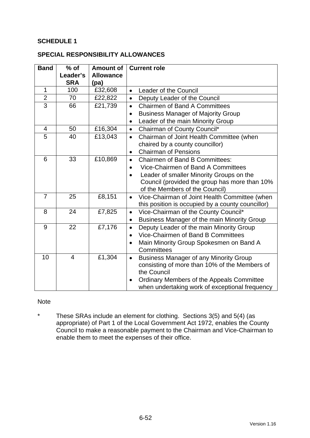## **SCHEDULE 1**

### **SPECIAL RESPONSIBILITY ALLOWANCES**

| <b>Band</b>    | $%$ of<br>Leader's<br><b>SRA</b> | <b>Amount of</b><br><b>Allowance</b><br>(pa) | <b>Current role</b>                                                             |
|----------------|----------------------------------|----------------------------------------------|---------------------------------------------------------------------------------|
| $\mathbf{1}$   | 100                              | £32,608                                      | Leader of the Council<br>$\bullet$                                              |
| $\overline{2}$ | 70                               | £22,822                                      | Deputy Leader of the Council<br>$\bullet$                                       |
| $\overline{3}$ | 66                               | £21,739                                      | <b>Chairmen of Band A Committees</b><br>$\bullet$                               |
|                |                                  |                                              | <b>Business Manager of Majority Group</b><br>$\bullet$                          |
|                |                                  |                                              | Leader of the main Minority Group                                               |
| $\overline{4}$ | 50                               | £16,304                                      | Chairman of County Council*<br>$\bullet$                                        |
| 5              | 40                               | £13,043                                      | Chairman of Joint Health Committee (when<br>$\bullet$                           |
|                |                                  |                                              | chaired by a county councillor)                                                 |
|                |                                  |                                              | <b>Chairman of Pensions</b><br>$\bullet$                                        |
| 6              | 33                               | £10,869                                      | <b>Chairmen of Band B Committees:</b><br>$\bullet$                              |
|                |                                  |                                              | Vice-Chairmen of Band A Committees<br>$\bullet$                                 |
|                |                                  |                                              | Leader of smaller Minority Groups on the<br>$\bullet$                           |
|                |                                  |                                              | Council (provided the group has more than 10%<br>of the Members of the Council) |
| $\overline{7}$ | 25                               | £8,151                                       | Vice-Chairman of Joint Health Committee (when<br>$\bullet$                      |
|                |                                  |                                              | this position is occupied by a county councillor)                               |
| 8              | 24                               | £7,825                                       | Vice-Chairman of the County Council*<br>$\bullet$                               |
|                |                                  |                                              | Business Manager of the main Minority Group<br>$\bullet$                        |
| 9              | 22                               | £7,176                                       | Deputy Leader of the main Minority Group<br>$\bullet$                           |
|                |                                  |                                              | Vice-Chairmen of Band B Committees<br>$\bullet$                                 |
|                |                                  |                                              | Main Minority Group Spokesmen on Band A                                         |
|                |                                  |                                              | Committees                                                                      |
| 10             | $\overline{4}$                   | £1,304                                       | <b>Business Manager of any Minority Group</b><br>$\bullet$                      |
|                |                                  |                                              | consisting of more than 10% of the Members of<br>the Council                    |
|                |                                  |                                              | Ordinary Members of the Appeals Committee<br>$\bullet$                          |
|                |                                  |                                              | when undertaking work of exceptional frequency                                  |

### Note

\* These SRAs include an element for clothing. Sections 3(5) and 5(4) (as appropriate) of Part 1 of the Local Government Act 1972, enables the County Council to make a reasonable payment to the Chairman and Vice-Chairman to enable them to meet the expenses of their office.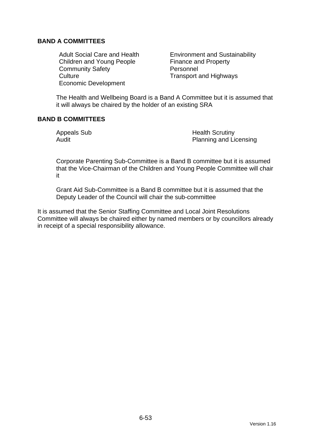## **BAND A COMMITTEES**

Children and Young People Finance and Property Community Safety **Personnel** Culture Culture **Transport and Highways** Economic Development

Adult Social Care and Health **Environment and Sustainability** 

The Health and Wellbeing Board is a Band A Committee but it is assumed that it will always be chaired by the holder of an existing SRA

### **BAND B COMMITTEES**

Appeals Sub **Health Scrutiny** Audit **Audit** Planning and Licensing

Corporate Parenting Sub-Committee is a Band B committee but it is assumed that the Vice-Chairman of the Children and Young People Committee will chair it

Grant Aid Sub-Committee is a Band B committee but it is assumed that the Deputy Leader of the Council will chair the sub-committee

It is assumed that the Senior Staffing Committee and Local Joint Resolutions Committee will always be chaired either by named members or by councillors already in receipt of a special responsibility allowance.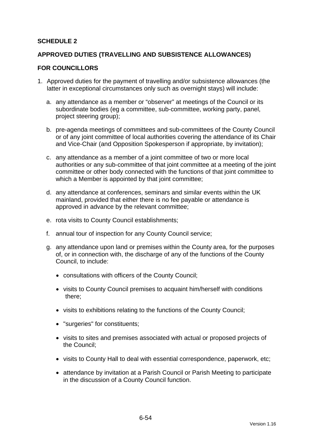## **SCHEDULE 2**

### **APPROVED DUTIES (TRAVELLING AND SUBSISTENCE ALLOWANCES)**

#### **FOR COUNCILLORS**

- 1. Approved duties for the payment of travelling and/or subsistence allowances (the latter in exceptional circumstances only such as overnight stays) will include:
	- a. any attendance as a member or "observer" at meetings of the Council or its subordinate bodies (eg a committee, sub-committee, working party, panel, project steering group);
	- b. pre-agenda meetings of committees and sub-committees of the County Council or of any joint committee of local authorities covering the attendance of its Chair and Vice-Chair (and Opposition Spokesperson if appropriate, by invitation);
	- c. any attendance as a member of a joint committee of two or more local authorities or any sub-committee of that joint committee at a meeting of the joint committee or other body connected with the functions of that joint committee to which a Member is appointed by that joint committee;
	- d. any attendance at conferences, seminars and similar events within the UK mainland, provided that either there is no fee payable or attendance is approved in advance by the relevant committee;
	- e. rota visits to County Council establishments;
	- f. annual tour of inspection for any County Council service;
	- g. any attendance upon land or premises within the County area, for the purposes of, or in connection with, the discharge of any of the functions of the County Council, to include:
		- consultations with officers of the County Council;
		- visits to County Council premises to acquaint him/herself with conditions there;
		- visits to exhibitions relating to the functions of the County Council;
		- "surgeries" for constituents;
		- visits to sites and premises associated with actual or proposed projects of the Council;
		- visits to County Hall to deal with essential correspondence, paperwork, etc;
		- attendance by invitation at a Parish Council or Parish Meeting to participate in the discussion of a County Council function.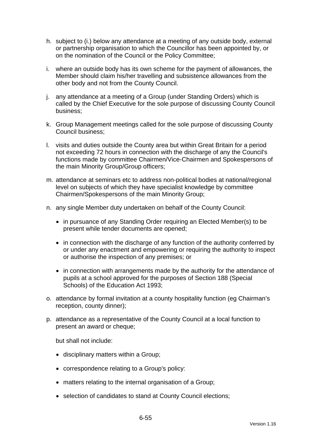- h. subject to (i.) below any attendance at a meeting of any outside body, external or partnership organisation to which the Councillor has been appointed by, or on the nomination of the Council or the Policy Committee;
- i. where an outside body has its own scheme for the payment of allowances, the Member should claim his/her travelling and subsistence allowances from the other body and not from the County Council.
- j. any attendance at a meeting of a Group (under Standing Orders) which is called by the Chief Executive for the sole purpose of discussing County Council business;
- k. Group Management meetings called for the sole purpose of discussing County Council business;
- l. visits and duties outside the County area but within Great Britain for a period not exceeding 72 hours in connection with the discharge of any the Council's functions made by committee Chairmen/Vice-Chairmen and Spokespersons of the main Minority Group/Group officers;
- m. attendance at seminars etc to address non-political bodies at national/regional level on subjects of which they have specialist knowledge by committee Chairmen/Spokespersons of the main Minority Group;
- n. any single Member duty undertaken on behalf of the County Council:
	- in pursuance of any Standing Order requiring an Elected Member(s) to be present while tender documents are opened;
	- in connection with the discharge of any function of the authority conferred by or under any enactment and empowering or requiring the authority to inspect or authorise the inspection of any premises; or
	- in connection with arrangements made by the authority for the attendance of pupils at a school approved for the purposes of Section 188 (Special Schools) of the Education Act 1993;
- o. attendance by formal invitation at a county hospitality function (eg Chairman's reception, county dinner);
- p. attendance as a representative of the County Council at a local function to present an award or cheque;

but shall not include:

- disciplinary matters within a Group;
- correspondence relating to a Group's policy:
- matters relating to the internal organisation of a Group;
- selection of candidates to stand at County Council elections;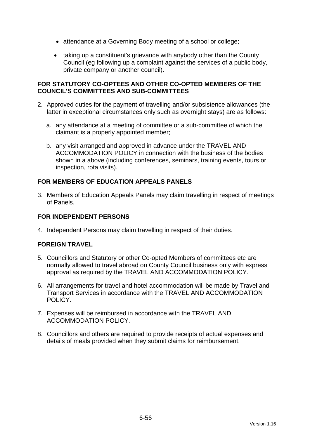- attendance at a Governing Body meeting of a school or college;
- taking up a constituent's grievance with anybody other than the County Council (eg following up a complaint against the services of a public body, private company or another council).

### **FOR STATUTORY CO-OPTEES AND OTHER CO-OPTED MEMBERS OF THE COUNCIL'S COMMITTEES AND SUB-COMMITTEES**

- 2. Approved duties for the payment of travelling and/or subsistence allowances (the latter in exceptional circumstances only such as overnight stays) are as follows:
	- a. any attendance at a meeting of committee or a sub-committee of which the claimant is a properly appointed member;
	- b. any visit arranged and approved in advance under the TRAVEL AND ACCOMMODATION POLICY in connection with the business of the bodies shown in a above (including conferences, seminars, training events, tours or inspection, rota visits).

## **FOR MEMBERS OF EDUCATION APPEALS PANELS**

3. Members of Education Appeals Panels may claim travelling in respect of meetings of Panels.

## **FOR INDEPENDENT PERSONS**

4. Independent Persons may claim travelling in respect of their duties.

## **FOREIGN TRAVEL**

- 5. Councillors and Statutory or other Co-opted Members of committees etc are normally allowed to travel abroad on County Council business only with express approval as required by the TRAVEL AND ACCOMMODATION POLICY.
- 6. All arrangements for travel and hotel accommodation will be made by Travel and Transport Services in accordance with the TRAVEL AND ACCOMMODATION POLICY.
- 7. Expenses will be reimbursed in accordance with the TRAVEL AND ACCOMMODATION POLICY.
- 8. Councillors and others are required to provide receipts of actual expenses and details of meals provided when they submit claims for reimbursement.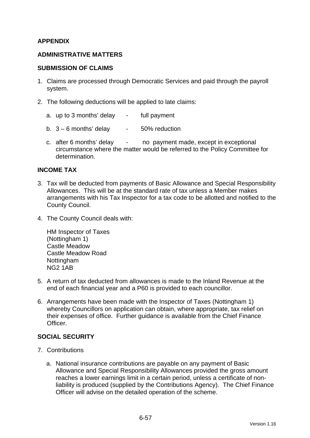## **APPENDIX**

### **ADMINISTRATIVE MATTERS**

#### **SUBMISSION OF CLAIMS**

- 1. Claims are processed through Democratic Services and paid through the payroll system.
- 2. The following deductions will be applied to late claims:
	- a. up to 3 months' delay full payment
	- b.  $3 6$  months' delay  $-50\%$  reduction
	- c. after 6 months' delay no payment made, except in exceptional circumstance where the matter would be referred to the Policy Committee for determination.

### **INCOME TAX**

- 3. Tax will be deducted from payments of Basic Allowance and Special Responsibility Allowances. This will be at the standard rate of tax unless a Member makes arrangements with his Tax Inspector for a tax code to be allotted and notified to the County Council.
- 4. The County Council deals with:

HM Inspector of Taxes (Nottingham 1) Castle Meadow Castle Meadow Road Nottingham NG2 1AB

- 5. A return of tax deducted from allowances is made to the Inland Revenue at the end of each financial year and a P60 is provided to each councillor.
- 6. Arrangements have been made with the Inspector of Taxes (Nottingham 1) whereby Councillors on application can obtain, where appropriate, tax relief on their expenses of office. Further guidance is available from the Chief Finance **Officer**

### **SOCIAL SECURITY**

- 7. Contributions
	- a. National insurance contributions are payable on any payment of Basic Allowance and Special Responsibility Allowances provided the gross amount reaches a lower earnings limit in a certain period, unless a certificate of nonliability is produced (supplied by the Contributions Agency). The Chief Finance Officer will advise on the detailed operation of the scheme.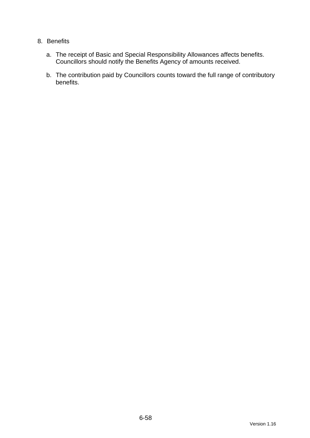## 8. Benefits

- a. The receipt of Basic and Special Responsibility Allowances affects benefits. Councillors should notify the Benefits Agency of amounts received.
- b. The contribution paid by Councillors counts toward the full range of contributory benefits.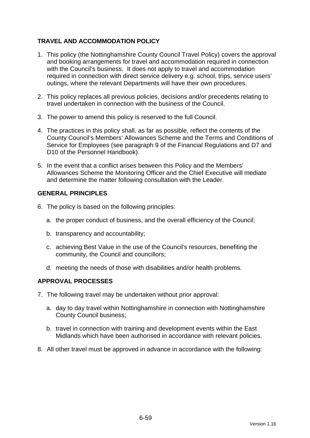# **TRAVEL AND ACCOMMODATION POLICY**

- 1. This policy (the Nottinghamshire County Council Travel Policy) covers the approval and booking arrangements for travel and accommodation required in connection with the Council's business. It does not apply to travel and accommodation required in connection with direct service delivery e.g. school, trips, service users' outings, where the relevant Departments will have their own procedures.
- 2. This policy replaces all previous policies, decisions and/or precedents relating to travel undertaken in connection with the business of the Council.
- 3. The power to amend this policy is reserved to the full Council.
- 4. The practices in this policy shall, as far as possible, reflect the contents of the County Council's Members' Allowances Scheme and the Terms and Conditions of Service for Employees (see paragraph 9 of the Financial Regulations and D7 and D10 of the Personnel Handbook).
- 5. In the event that a conflict arises between this Policy and the Members' Allowances Scheme the Monitoring Officer and the Chief Executive will mediate and determine the matter following consultation with the Leader.

## **GENERAL PRINCIPLES**

- 6. The policy is based on the following principles:
	- a. the proper conduct of business, and the overall efficiency of the Council;
	- b. transparency and accountability;
	- c. achieving Best Value in the use of the Council's resources, benefiting the community, the Council and councillors;
	- d. meeting the needs of those with disabilities and/or health problems.

### **APPROVAL PROCESSES**

- 7. The following travel may be undertaken without prior approval:
	- a. day to day travel within Nottinghamshire in connection with Nottinghamshire County Council business;
	- b. travel in connection with training and development events within the East Midlands which have been authorised in accordance with relevant policies.
- 8. All other travel must be approved in advance in accordance with the following: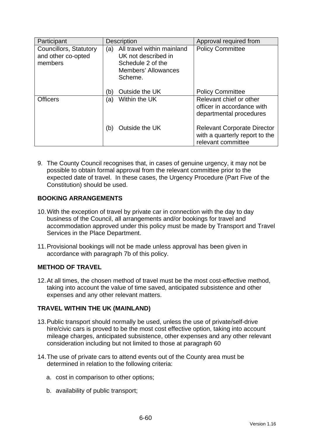| Participant                                                    | <b>Description</b>                                                                                                     | Approval required from                                                                     |
|----------------------------------------------------------------|------------------------------------------------------------------------------------------------------------------------|--------------------------------------------------------------------------------------------|
| <b>Councillors, Statutory</b><br>and other co-opted<br>members | All travel within mainland<br>(a)<br>UK not described in<br>Schedule 2 of the<br><b>Members' Allowances</b><br>Scheme. | <b>Policy Committee</b>                                                                    |
|                                                                | Outside the UK<br>(b)                                                                                                  | <b>Policy Committee</b>                                                                    |
| <b>Officers</b>                                                | Within the UK<br>(a)                                                                                                   | Relevant chief or other<br>officer in accordance with<br>departmental procedures           |
|                                                                | Outside the UK<br>(b)                                                                                                  | <b>Relevant Corporate Director</b><br>with a quarterly report to the<br>relevant committee |

9. The County Council recognises that, in cases of genuine urgency, it may not be possible to obtain formal approval from the relevant committee prior to the expected date of travel. In these cases, the Urgency Procedure (Part Five of the Constitution) should be used.

# **BOOKING ARRANGEMENTS**

- 10.With the exception of travel by private car in connection with the day to day business of the Council, all arrangements and/or bookings for travel and accommodation approved under this policy must be made by Transport and Travel Services in the Place Department.
- 11.Provisional bookings will not be made unless approval has been given in accordance with paragraph 7b of this policy.

## **METHOD OF TRAVEL**

<span id="page-129-0"></span>12.At all times, the chosen method of travel must be the most cost-effective method, taking into account the value of time saved, anticipated subsistence and other expenses and any other relevant matters.

## **TRAVEL WITHIN THE UK (MAINLAND)**

- 13.Public transport should normally be used, unless the use of private/self-drive hire/civic cars is proved to be the most cost effective option, taking into account mileage charges, anticipated subsistence, other expenses and any other relevant consideration including but not limited to those at paragraph [60](#page-129-0)
- 14.The use of private cars to attend events out of the County area must be determined in relation to the following criteria:
	- a. cost in comparison to other options;
	- b. availability of public transport;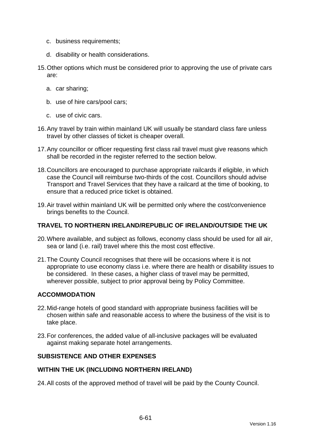- c. business requirements;
- d. disability or health considerations.
- 15.Other options which must be considered prior to approving the use of private cars are:
	- a. car sharing;
	- b. use of hire cars/pool cars;
	- c. use of civic cars.
- 16.Any travel by train within mainland UK will usually be standard class fare unless travel by other classes of ticket is cheaper overall.
- 17.Any councillor or officer requesting first class rail travel must give reasons which shall be recorded in the register referred to the section below.
- 18.Councillors are encouraged to purchase appropriate railcards if eligible, in which case the Council will reimburse two-thirds of the cost. Councillors should advise Transport and Travel Services that they have a railcard at the time of booking, to ensure that a reduced price ticket is obtained.
- 19.Air travel within mainland UK will be permitted only where the cost/convenience brings benefits to the Council.

### **TRAVEL TO NORTHERN IRELAND/REPUBLIC OF IRELAND/OUTSIDE THE UK**

- 20.Where available, and subject as follows, economy class should be used for all air, sea or land (i.e. rail) travel where this the most cost effective.
- 21.The County Council recognises that there will be occasions where it is not appropriate to use economy class i.e. where there are health or disability issues to be considered. In these cases, a higher class of travel may be permitted, wherever possible, subject to prior approval being by Policy Committee.

### **ACCOMMODATION**

- 22.Mid-range hotels of good standard with appropriate business facilities will be chosen within safe and reasonable access to where the business of the visit is to take place.
- 23.For conferences, the added value of all-inclusive packages will be evaluated against making separate hotel arrangements.

### **SUBSISTENCE AND OTHER EXPENSES**

#### **WITHIN THE UK (INCLUDING NORTHERN IRELAND)**

24.All costs of the approved method of travel will be paid by the County Council.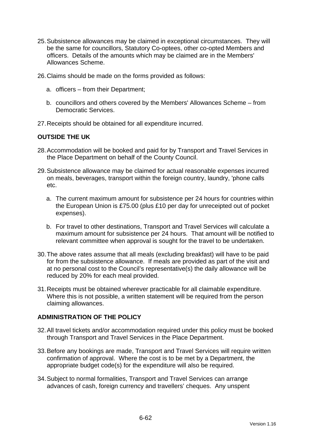- 25.Subsistence allowances may be claimed in exceptional circumstances. They will be the same for councillors, Statutory Co-optees, other co-opted Members and officers. Details of the amounts which may be claimed are in the Members' Allowances Scheme.
- 26.Claims should be made on the forms provided as follows:
	- a. officers from their Department;
	- b. councillors and others covered by the Members' Allowances Scheme from Democratic Services.
- 27.Receipts should be obtained for all expenditure incurred.

### **OUTSIDE THE UK**

- 28.Accommodation will be booked and paid for by Transport and Travel Services in the Place Department on behalf of the County Council.
- 29.Subsistence allowance may be claimed for actual reasonable expenses incurred on meals, beverages, transport within the foreign country, laundry, 'phone calls etc.
	- a. The current maximum amount for subsistence per 24 hours for countries within the European Union is £75.00 (plus £10 per day for unreceipted out of pocket expenses).
	- b. For travel to other destinations, Transport and Travel Services will calculate a maximum amount for subsistence per 24 hours. That amount will be notified to relevant committee when approval is sought for the travel to be undertaken.
- 30.The above rates assume that all meals (excluding breakfast) will have to be paid for from the subsistence allowance. If meals are provided as part of the visit and at no personal cost to the Council's representative(s) the daily allowance will be reduced by 20% for each meal provided.
- 31.Receipts must be obtained wherever practicable for all claimable expenditure. Where this is not possible, a written statement will be required from the person claiming allowances.

### **ADMINISTRATION OF THE POLICY**

- 32.All travel tickets and/or accommodation required under this policy must be booked through Transport and Travel Services in the Place Department.
- 33.Before any bookings are made, Transport and Travel Services will require written confirmation of approval. Where the cost is to be met by a Department, the appropriate budget code(s) for the expenditure will also be required.
- 34.Subject to normal formalities, Transport and Travel Services can arrange advances of cash, foreign currency and travellers' cheques. Any unspent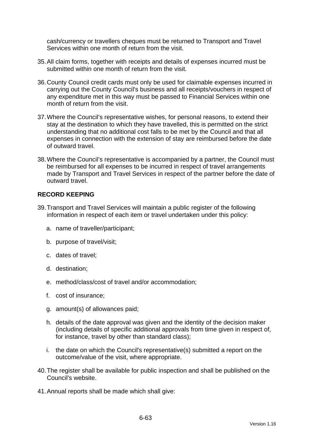cash/currency or travellers cheques must be returned to Transport and Travel Services within one month of return from the visit.

- 35.All claim forms, together with receipts and details of expenses incurred must be submitted within one month of return from the visit.
- 36.County Council credit cards must only be used for claimable expenses incurred in carrying out the County Council's business and all receipts/vouchers in respect of any expenditure met in this way must be passed to Financial Services within one month of return from the visit.
- 37.Where the Council's representative wishes, for personal reasons, to extend their stay at the destination to which they have travelled, this is permitted on the strict understanding that no additional cost falls to be met by the Council and that all expenses in connection with the extension of stay are reimbursed before the date of outward travel.
- 38.Where the Council's representative is accompanied by a partner, the Council must be reimbursed for all expenses to be incurred in respect of travel arrangements made by Transport and Travel Services in respect of the partner before the date of outward travel.

## **RECORD KEEPING**

- 39.Transport and Travel Services will maintain a public register of the following information in respect of each item or travel undertaken under this policy:
	- a. name of traveller/participant;
	- b. purpose of travel/visit;
	- c. dates of travel;
	- d. destination;
	- e. method/class/cost of travel and/or accommodation;
	- f. cost of insurance;
	- g. amount(s) of allowances paid;
	- h. details of the date approval was given and the identity of the decision maker (including details of specific additional approvals from time given in respect of, for instance, travel by other than standard class);
	- i. the date on which the Council's representative(s) submitted a report on the outcome/value of the visit, where appropriate.
- 40.The register shall be available for public inspection and shall be published on the Council's website.
- 41.Annual reports shall be made which shall give: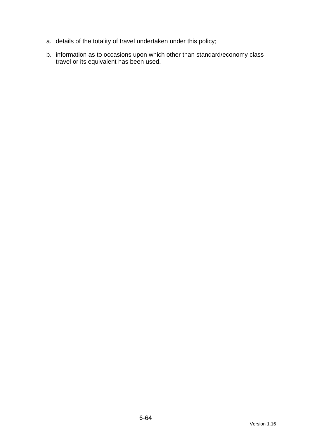- a. details of the totality of travel undertaken under this policy;
- b. information as to occasions upon which other than standard/economy class travel or its equivalent has been used.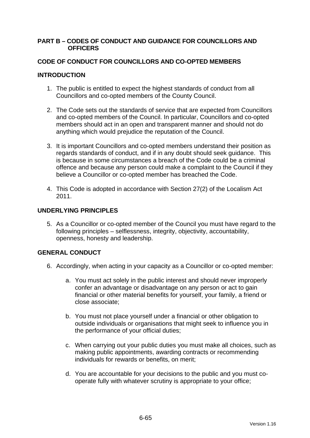### **PART B – CODES OF CONDUCT AND GUIDANCE FOR COUNCILLORS AND OFFICERS**

## **CODE OF CONDUCT FOR COUNCILLORS AND CO-OPTED MEMBERS**

## **INTRODUCTION**

- 1. The public is entitled to expect the highest standards of conduct from all Councillors and co-opted members of the County Council.
- 2. The Code sets out the standards of service that are expected from Councillors and co-opted members of the Council. In particular, Councillors and co-opted members should act in an open and transparent manner and should not do anything which would prejudice the reputation of the Council.
- 3. It is important Councillors and co-opted members understand their position as regards standards of conduct, and if in any doubt should seek guidance. This is because in some circumstances a breach of the Code could be a criminal offence and because any person could make a complaint to the Council if they believe a Councillor or co-opted member has breached the Code.
- 4. This Code is adopted in accordance with Section 27(2) of the Localism Act 2011.

## **UNDERLYING PRINCIPLES**

5. As a Councillor or co-opted member of the Council you must have regard to the following principles – selflessness, integrity, objectivity, accountability, openness, honesty and leadership.

## **GENERAL CONDUCT**

- 6. Accordingly, when acting in your capacity as a Councillor or co-opted member:
	- a. You must act solely in the public interest and should never improperly confer an advantage or disadvantage on any person or act to gain financial or other material benefits for yourself, your family, a friend or close associate;
	- b. You must not place yourself under a financial or other obligation to outside individuals or organisations that might seek to influence you in the performance of your official duties;
	- c. When carrying out your public duties you must make all choices, such as making public appointments, awarding contracts or recommending individuals for rewards or benefits, on merit;
	- d. You are accountable for your decisions to the public and you must cooperate fully with whatever scrutiny is appropriate to your office;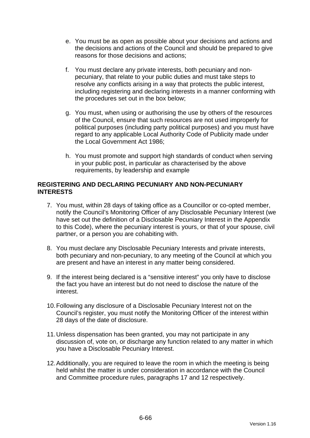- e. You must be as open as possible about your decisions and actions and the decisions and actions of the Council and should be prepared to give reasons for those decisions and actions;
- f. You must declare any private interests, both pecuniary and nonpecuniary, that relate to your public duties and must take steps to resolve any conflicts arising in a way that protects the public interest, including registering and declaring interests in a manner conforming with the procedures set out in the box below;
- g. You must, when using or authorising the use by others of the resources of the Council, ensure that such resources are not used improperly for political purposes (including party political purposes) and you must have regard to any applicable Local Authority Code of Publicity made under the Local Government Act 1986;
- h. You must promote and support high standards of conduct when serving in your public post, in particular as characterised by the above requirements, by leadership and example

### **REGISTERING AND DECLARING PECUNIARY AND NON-PECUNIARY INTERESTS**

- 7. You must, within 28 days of taking office as a Councillor or co-opted member, notify the Council's Monitoring Officer of any Disclosable Pecuniary Interest (we have set out the definition of a Disclosable Pecuniary Interest in the Appendix to this Code), where the pecuniary interest is yours, or that of your spouse, civil partner, or a person you are cohabiting with.
- 8. You must declare any Disclosable Pecuniary Interests and private interests, both pecuniary and non-pecuniary, to any meeting of the Council at which you are present and have an interest in any matter being considered.
- 9. If the interest being declared is a "sensitive interest" you only have to disclose the fact you have an interest but do not need to disclose the nature of the interest.
- 10.Following any disclosure of a Disclosable Pecuniary Interest not on the Council's register, you must notify the Monitoring Officer of the interest within 28 days of the date of disclosure.
- 11.Unless dispensation has been granted, you may not participate in any discussion of, vote on, or discharge any function related to any matter in which you have a Disclosable Pecuniary Interest.
- 12.Additionally, you are required to leave the room in which the meeting is being held whilst the matter is under consideration in accordance with the Council and Committee procedure rules, paragraphs 17 and 12 respectively.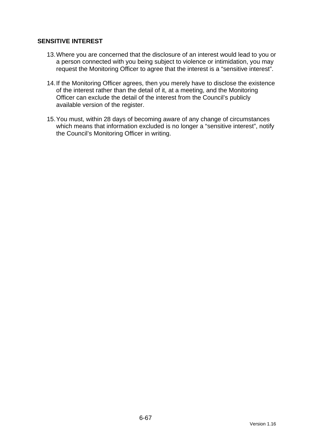## **SENSITIVE INTEREST**

- 13.Where you are concerned that the disclosure of an interest would lead to you or a person connected with you being subject to violence or intimidation, you may request the Monitoring Officer to agree that the interest is a "sensitive interest".
- 14.If the Monitoring Officer agrees, then you merely have to disclose the existence of the interest rather than the detail of it, at a meeting, and the Monitoring Officer can exclude the detail of the interest from the Council's publicly available version of the register.
- 15.You must, within 28 days of becoming aware of any change of circumstances which means that information excluded is no longer a "sensitive interest", notify the Council's Monitoring Officer in writing.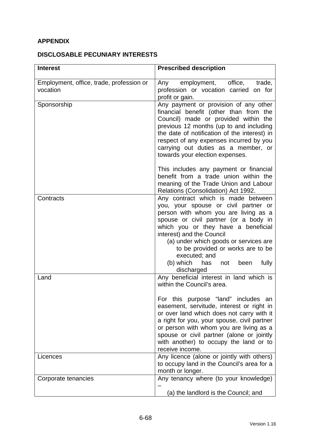# **APPENDIX**

# **DISCLOSABLE PECUNIARY INTERESTS**

| <b>Interest</b>                                      | <b>Prescribed description</b>                                                                                                                                                                                                                                                                                                                                                                               |
|------------------------------------------------------|-------------------------------------------------------------------------------------------------------------------------------------------------------------------------------------------------------------------------------------------------------------------------------------------------------------------------------------------------------------------------------------------------------------|
| Employment, office, trade, profession or<br>vocation | Any employment, office,<br>trade,<br>profession or vocation carried on for<br>profit or gain.                                                                                                                                                                                                                                                                                                               |
| Sponsorship                                          | Any payment or provision of any other<br>financial benefit (other than from the<br>Council) made or provided within the<br>previous 12 months (up to and including<br>the date of notification of the interest) in<br>respect of any expenses incurred by you<br>carrying out duties as a member, or<br>towards your election expenses.                                                                     |
|                                                      | This includes any payment or financial<br>benefit from a trade union within the<br>meaning of the Trade Union and Labour<br>Relations (Consolidation) Act 1992.                                                                                                                                                                                                                                             |
| Contracts                                            | Any contract which is made between<br>you, your spouse or civil partner or<br>person with whom you are living as a<br>spouse or civil partner (or a body in<br>which you or they have a beneficial<br>interest) and the Council<br>(a) under which goods or services are<br>to be provided or works are to be<br>executed; and<br>(b) which<br>has<br>fully<br>not<br>been<br>discharged                    |
| Land                                                 | Any beneficial interest in land which is<br>within the Council's area.<br>For this purpose "land" includes an<br>easement, servitude, interest or right in<br>or over land which does not carry with it<br>a right for you, your spouse, civil partner<br>or person with whom you are living as a<br>spouse or civil partner (alone or jointly<br>with another) to occupy the land or to<br>receive income. |
| Licences                                             | Any licence (alone or jointly with others)<br>to occupy land in the Council's area for a<br>month or longer.                                                                                                                                                                                                                                                                                                |
| Corporate tenancies                                  | Any tenancy where (to your knowledge)<br>(a) the landlord is the Council; and                                                                                                                                                                                                                                                                                                                               |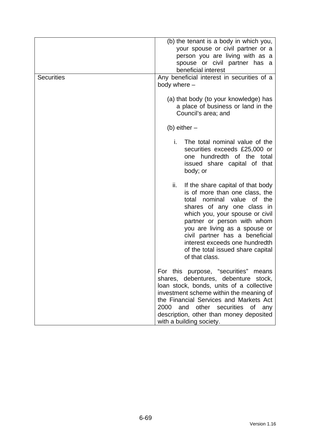| <b>Securities</b> | (b) the tenant is a body in which you,<br>your spouse or civil partner or a<br>person you are living with as a<br>spouse or civil partner has a<br>beneficial interest<br>Any beneficial interest in securities of a<br>body where -                                                                                                                                       |
|-------------------|----------------------------------------------------------------------------------------------------------------------------------------------------------------------------------------------------------------------------------------------------------------------------------------------------------------------------------------------------------------------------|
|                   | (a) that body (to your knowledge) has<br>a place of business or land in the<br>Council's area; and                                                                                                                                                                                                                                                                         |
|                   | (b) either $-$                                                                                                                                                                                                                                                                                                                                                             |
|                   | i.<br>The total nominal value of the<br>securities exceeds £25,000 or<br>one hundredth of the total<br>issued share capital of that<br>body; or                                                                                                                                                                                                                            |
|                   | ii.<br>If the share capital of that body<br>is of more than one class, the<br>nominal value<br>of the<br>total<br>shares of any one class in<br>which you, your spouse or civil<br>partner or person with whom<br>you are living as a spouse or<br>civil partner has a beneficial<br>interest exceeds one hundredth<br>of the total issued share capital<br>of that class. |
|                   | For this purpose, "securities"<br>means<br>shares, debentures, debenture stock,<br>loan stock, bonds, units of a collective<br>investment scheme within the meaning of<br>the Financial Services and Markets Act<br>2000<br>and other securities of<br>any<br>description, other than money deposited<br>with a building society.                                          |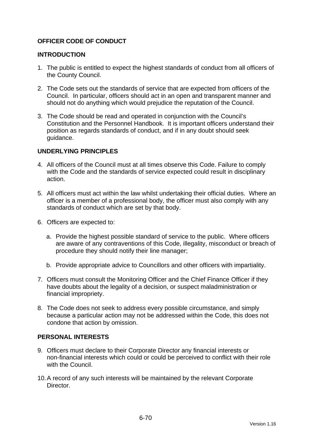## **OFFICER CODE OF CONDUCT**

### **INTRODUCTION**

- 1. The public is entitled to expect the highest standards of conduct from all officers of the County Council.
- 2. The Code sets out the standards of service that are expected from officers of the Council. In particular, officers should act in an open and transparent manner and should not do anything which would prejudice the reputation of the Council.
- 3. The Code should be read and operated in conjunction with the Council's Constitution and the Personnel Handbook. It is important officers understand their position as regards standards of conduct, and if in any doubt should seek guidance.

## **UNDERLYING PRINCIPLES**

- 4. All officers of the Council must at all times observe this Code. Failure to comply with the Code and the standards of service expected could result in disciplinary action.
- 5. All officers must act within the law whilst undertaking their official duties. Where an officer is a member of a professional body, the officer must also comply with any standards of conduct which are set by that body.
- 6. Officers are expected to:
	- a. Provide the highest possible standard of service to the public. Where officers are aware of any contraventions of this Code, illegality, misconduct or breach of procedure they should notify their line manager;
	- b. Provide appropriate advice to Councillors and other officers with impartiality.
- 7. Officers must consult the Monitoring Officer and the Chief Finance Officer if they have doubts about the legality of a decision, or suspect maladministration or financial impropriety.
- 8. The Code does not seek to address every possible circumstance, and simply because a particular action may not be addressed within the Code, this does not condone that action by omission.

### **PERSONAL INTERESTS**

- 9. Officers must declare to their Corporate Director any financial interests or non-financial interests which could or could be perceived to conflict with their role with the Council.
- 10.A record of any such interests will be maintained by the relevant Corporate Director.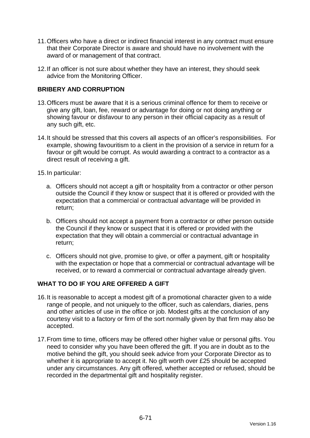- 11.Officers who have a direct or indirect financial interest in any contract must ensure that their Corporate Director is aware and should have no involvement with the award of or management of that contract.
- 12.If an officer is not sure about whether they have an interest, they should seek advice from the Monitoring Officer.

## **BRIBERY AND CORRUPTION**

- 13.Officers must be aware that it is a serious criminal offence for them to receive or give any gift, loan, fee, reward or advantage for doing or not doing anything or showing favour or disfavour to any person in their official capacity as a result of any such gift, etc.
- 14.It should be stressed that this covers all aspects of an officer's responsibilities. For example, showing favouritism to a client in the provision of a service in return for a favour or gift would be corrupt. As would awarding a contract to a contractor as a direct result of receiving a gift.
- 15.In particular:
	- a. Officers should not accept a gift or hospitality from a contractor or other person outside the Council if they know or suspect that it is offered or provided with the expectation that a commercial or contractual advantage will be provided in return;
	- b. Officers should not accept a payment from a contractor or other person outside the Council if they know or suspect that it is offered or provided with the expectation that they will obtain a commercial or contractual advantage in return;
	- c. Officers should not give, promise to give, or offer a payment, gift or hospitality with the expectation or hope that a commercial or contractual advantage will be received, or to reward a commercial or contractual advantage already given.

### **WHAT TO DO IF YOU ARE OFFERED A GIFT**

- 16.It is reasonable to accept a modest gift of a promotional character given to a wide range of people, and not uniquely to the officer, such as calendars, diaries, pens and other articles of use in the office or job. Modest gifts at the conclusion of any courtesy visit to a factory or firm of the sort normally given by that firm may also be accepted.
- 17.From time to time, officers may be offered other higher value or personal gifts. You need to consider why you have been offered the gift. If you are in doubt as to the motive behind the gift, you should seek advice from your Corporate Director as to whether it is appropriate to accept it. No gift worth over £25 should be accepted under any circumstances. Any gift offered, whether accepted or refused, should be recorded in the departmental gift and hospitality register.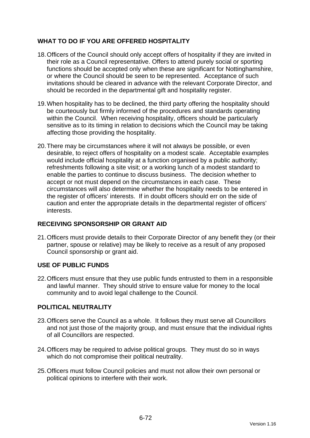# **WHAT TO DO IF YOU ARE OFFERED HOSPITALITY**

- 18.Officers of the Council should only accept offers of hospitality if they are invited in their role as a Council representative. Offers to attend purely social or sporting functions should be accepted only when these are significant for Nottinghamshire, or where the Council should be seen to be represented. Acceptance of such invitations should be cleared in advance with the relevant Corporate Director, and should be recorded in the departmental gift and hospitality register.
- 19.When hospitality has to be declined, the third party offering the hospitality should be courteously but firmly informed of the procedures and standards operating within the Council. When receiving hospitality, officers should be particularly sensitive as to its timing in relation to decisions which the Council may be taking affecting those providing the hospitality.
- 20.There may be circumstances where it will not always be possible, or even desirable, to reject offers of hospitality on a modest scale. Acceptable examples would include official hospitality at a function organised by a public authority; refreshments following a site visit; or a working lunch of a modest standard to enable the parties to continue to discuss business. The decision whether to accept or not must depend on the circumstances in each case. These circumstances will also determine whether the hospitality needs to be entered in the register of officers' interests. If in doubt officers should err on the side of caution and enter the appropriate details in the departmental register of officers' interests.

## **RECEIVING SPONSORSHIP OR GRANT AID**

21.Officers must provide details to their Corporate Director of any benefit they (or their partner, spouse or relative) may be likely to receive as a result of any proposed Council sponsorship or grant aid.

## **USE OF PUBLIC FUNDS**

22.Officers must ensure that they use public funds entrusted to them in a responsible and lawful manner. They should strive to ensure value for money to the local community and to avoid legal challenge to the Council.

## **POLITICAL NEUTRALITY**

- 23.Officers serve the Council as a whole. It follows they must serve all Councillors and not just those of the majority group, and must ensure that the individual rights of all Councillors are respected.
- 24.Officers may be required to advise political groups. They must do so in ways which do not compromise their political neutrality.
- 25.Officers must follow Council policies and must not allow their own personal or political opinions to interfere with their work.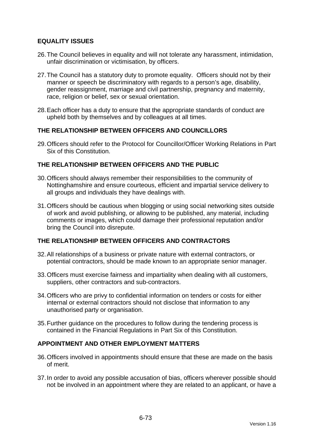## **EQUALITY ISSUES**

- 26.The Council believes in equality and will not tolerate any harassment, intimidation, unfair discrimination or victimisation, by officers.
- 27.The Council has a statutory duty to promote equality. Officers should not by their manner or speech be discriminatory with regards to a person's age, disability, gender reassignment, marriage and civil partnership, pregnancy and maternity, race, religion or belief, sex or sexual orientation.
- 28.Each officer has a duty to ensure that the appropriate standards of conduct are upheld both by themselves and by colleagues at all times.

## **THE RELATIONSHIP BETWEEN OFFICERS AND COUNCILLORS**

29.Officers should refer to the Protocol for Councillor/Officer Working Relations in Part Six of this Constitution.

## **THE RELATIONSHIP BETWEEN OFFICERS AND THE PUBLIC**

- 30.Officers should always remember their responsibilities to the community of Nottinghamshire and ensure courteous, efficient and impartial service delivery to all groups and individuals they have dealings with.
- 31.Officers should be cautious when blogging or using social networking sites outside of work and avoid publishing, or allowing to be published, any material, including comments or images, which could damage their professional reputation and/or bring the Council into disrepute.

## **THE RELATIONSHIP BETWEEN OFFICERS AND CONTRACTORS**

- 32.All relationships of a business or private nature with external contractors, or potential contractors, should be made known to an appropriate senior manager.
- 33.Officers must exercise fairness and impartiality when dealing with all customers, suppliers, other contractors and sub-contractors.
- 34.Officers who are privy to confidential information on tenders or costs for either internal or external contractors should not disclose that information to any unauthorised party or organisation.
- 35.Further guidance on the procedures to follow during the tendering process is contained in the Financial Regulations in Part Six of this Constitution.

## **APPOINTMENT AND OTHER EMPLOYMENT MATTERS**

- 36.Officers involved in appointments should ensure that these are made on the basis of merit.
- 37.In order to avoid any possible accusation of bias, officers wherever possible should not be involved in an appointment where they are related to an applicant, or have a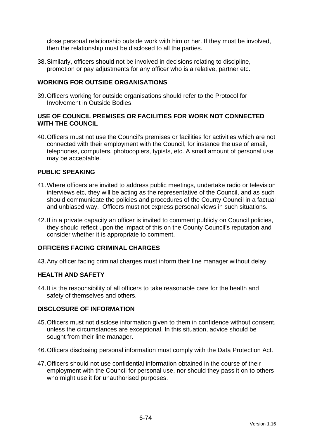close personal relationship outside work with him or her. If they must be involved, then the relationship must be disclosed to all the parties.

38.Similarly, officers should not be involved in decisions relating to discipline, promotion or pay adjustments for any officer who is a relative, partner etc.

### **WORKING FOR OUTSIDE ORGANISATIONS**

39.Officers working for outside organisations should refer to the Protocol for Involvement in Outside Bodies.

### **USE OF COUNCIL PREMISES OR FACILITIES FOR WORK NOT CONNECTED WITH THE COUNCIL**

40.Officers must not use the Council's premises or facilities for activities which are not connected with their employment with the Council, for instance the use of email, telephones, computers, photocopiers, typists, etc. A small amount of personal use may be acceptable.

## **PUBLIC SPEAKING**

- 41.Where officers are invited to address public meetings, undertake radio or television interviews etc, they will be acting as the representative of the Council, and as such should communicate the policies and procedures of the County Council in a factual and unbiased way. Officers must not express personal views in such situations.
- 42.If in a private capacity an officer is invited to comment publicly on Council policies, they should reflect upon the impact of this on the County Council's reputation and consider whether it is appropriate to comment.

### **OFFICERS FACING CRIMINAL CHARGES**

43.Any officer facing criminal charges must inform their line manager without delay.

### **HEALTH AND SAFETY**

44.It is the responsibility of all officers to take reasonable care for the health and safety of themselves and others.

### **DISCLOSURE OF INFORMATION**

- 45.Officers must not disclose information given to them in confidence without consent, unless the circumstances are exceptional. In this situation, advice should be sought from their line manager.
- 46.Officers disclosing personal information must comply with the Data Protection Act.
- 47.Officers should not use confidential information obtained in the course of their employment with the Council for personal use, nor should they pass it on to others who might use it for unauthorised purposes.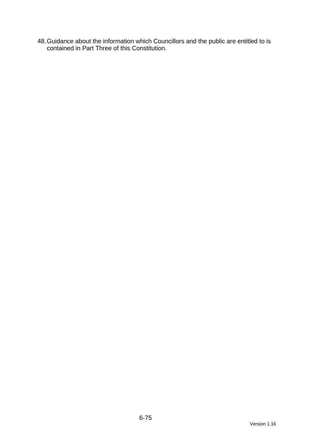48.Guidance about the information which Councillors and the public are entitled to is contained in Part Three of this Constitution.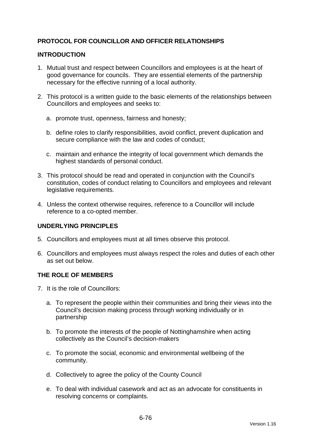# **PROTOCOL FOR COUNCILLOR AND OFFICER RELATIONSHIPS**

## **INTRODUCTION**

- 1. Mutual trust and respect between Councillors and employees is at the heart of good governance for councils. They are essential elements of the partnership necessary for the effective running of a local authority.
- 2. This protocol is a written guide to the basic elements of the relationships between Councillors and employees and seeks to:
	- a. promote trust, openness, fairness and honesty;
	- b. define roles to clarify responsibilities, avoid conflict, prevent duplication and secure compliance with the law and codes of conduct;
	- c. maintain and enhance the integrity of local government which demands the highest standards of personal conduct.
- 3. This protocol should be read and operated in conjunction with the Council's constitution, codes of conduct relating to Councillors and employees and relevant legislative requirements.
- 4. Unless the context otherwise requires, reference to a Councillor will include reference to a co-opted member.

# **UNDERLYING PRINCIPLES**

- 5. Councillors and employees must at all times observe this protocol.
- 6. Councillors and employees must always respect the roles and duties of each other as set out below.

### **THE ROLE OF MEMBERS**

- 7. It is the role of Councillors:
	- a. To represent the people within their communities and bring their views into the Council's decision making process through working individually or in partnership
	- b. To promote the interests of the people of Nottinghamshire when acting collectively as the Council's decision-makers
	- c. To promote the social, economic and environmental wellbeing of the community.
	- d. Collectively to agree the policy of the County Council
	- e. To deal with individual casework and act as an advocate for constituents in resolving concerns or complaints.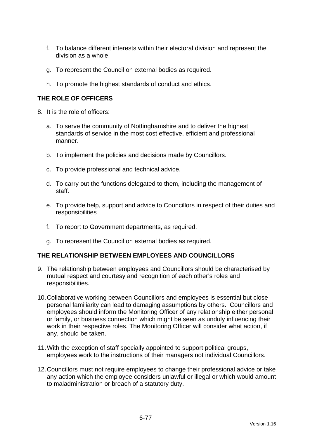- f. To balance different interests within their electoral division and represent the division as a whole.
- g. To represent the Council on external bodies as required.
- h. To promote the highest standards of conduct and ethics.

# **THE ROLE OF OFFICERS**

- 8. It is the role of officers:
	- a. To serve the community of Nottinghamshire and to deliver the highest standards of service in the most cost effective, efficient and professional manner.
	- b. To implement the policies and decisions made by Councillors.
	- c. To provide professional and technical advice.
	- d. To carry out the functions delegated to them, including the management of staff.
	- e. To provide help, support and advice to Councillors in respect of their duties and responsibilities
	- f. To report to Government departments, as required.
	- g. To represent the Council on external bodies as required.

# **THE RELATIONSHIP BETWEEN EMPLOYEES AND COUNCILLORS**

- 9. The relationship between employees and Councillors should be characterised by mutual respect and courtesy and recognition of each other's roles and responsibilities.
- 10.Collaborative working between Councillors and employees is essential but close personal familiarity can lead to damaging assumptions by others. Councillors and employees should inform the Monitoring Officer of any relationship either personal or family, or business connection which might be seen as unduly influencing their work in their respective roles. The Monitoring Officer will consider what action, if any, should be taken.
- 11.With the exception of staff specially appointed to support political groups, employees work to the instructions of their managers not individual Councillors.
- 12.Councillors must not require employees to change their professional advice or take any action which the employee considers unlawful or illegal or which would amount to maladministration or breach of a statutory duty.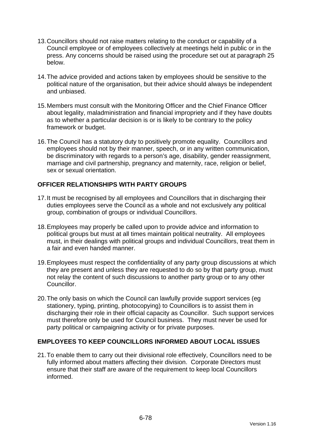- 13.Councillors should not raise matters relating to the conduct or capability of a Council employee or of employees collectively at meetings held in public or in the press. Any concerns should be raised using the procedure set out at paragraph 25 below.
- 14.The advice provided and actions taken by employees should be sensitive to the political nature of the organisation, but their advice should always be independent and unbiased.
- 15.Members must consult with the Monitoring Officer and the Chief Finance Officer about legality, maladministration and financial impropriety and if they have doubts as to whether a particular decision is or is likely to be contrary to the policy framework or budget.
- 16.The Council has a statutory duty to positively promote equality. Councillors and employees should not by their manner, speech, or in any written communication, be discriminatory with regards to a person's age, disability, gender reassignment, marriage and civil partnership, pregnancy and maternity, race, religion or belief, sex or sexual orientation.

# **OFFICER RELATIONSHIPS WITH PARTY GROUPS**

- 17. It must be recognised by all employees and Councillors that in discharging their duties employees serve the Council as a whole and not exclusively any political group, combination of groups or individual Councillors.
- 18.Employees may properly be called upon to provide advice and information to political groups but must at all times maintain political neutrality. All employees must, in their dealings with political groups and individual Councillors, treat them in a fair and even handed manner.
- 19.Employees must respect the confidentiality of any party group discussions at which they are present and unless they are requested to do so by that party group, must not relay the content of such discussions to another party group or to any other Councillor.
- 20.The only basis on which the Council can lawfully provide support services (eg stationery, typing, printing, photocopying) to Councillors is to assist them in discharging their role in their official capacity as Councillor. Such support services must therefore only be used for Council business. They must never be used for party political or campaigning activity or for private purposes.

### **EMPLOYEES TO KEEP COUNCILLORS INFORMED ABOUT LOCAL ISSUES**

21.To enable them to carry out their divisional role effectively, Councillors need to be fully informed about matters affecting their division. Corporate Directors must ensure that their staff are aware of the requirement to keep local Councillors informed.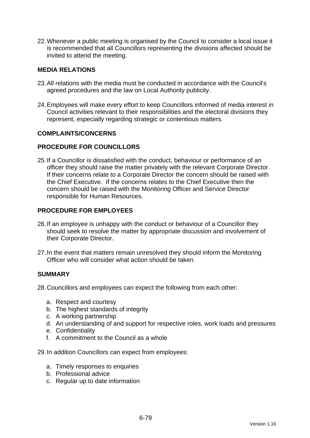22.Whenever a public meeting is organised by the Council to consider a local issue it is recommended that all Councillors representing the divisions affected should be invited to attend the meeting.

## **MEDIA RELATIONS**

- 23.All relations with the media must be conducted in accordance with the Council's agreed procedures and the law on Local Authority publicity.
- 24.Employees will make every effort to keep Councillors informed of media interest in Council activities relevant to their responsibilities and the electoral divisions they represent, especially regarding strategic or contentious matters.

### **COMPLAINTS/CONCERNS**

### **PROCEDURE FOR COUNCILLORS**

25.If a Councillor is dissatisfied with the conduct, behaviour or performance of an officer they should raise the matter privately with the relevant Corporate Director. If their concerns relate to a Corporate Director the concern should be raised with the Chief Executive. If the concerns relates to the Chief Executive then the concern should be raised with the Monitoring Officer and Service Director responsible for Human Resources.

## **PROCEDURE FOR EMPLOYEES**

- 26.If an employee is unhappy with the conduct or behaviour of a Councillor they should seek to resolve the matter by appropriate discussion and involvement of their Corporate Director.
- 27.In the event that matters remain unresolved they should inform the Monitoring Officer who will consider what action should be taken.

### **SUMMARY**

28.Councillors and employees can expect the following from each other:

- a. Respect and courtesy
- b. The highest standards of integrity
- c. A working partnership
- d. An understanding of and support for respective roles, work loads and pressures
- e. Confidentiality
- f. A commitment to the Council as a whole
- 29.In addition Councillors can expect from employees:
	- a. Timely responses to enquiries
	- b. Professional advice
	- c. Regular up to date information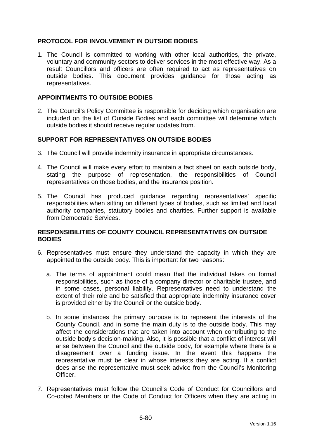## **PROTOCOL FOR INVOLVEMENT IN OUTSIDE BODIES**

1. The Council is committed to working with other local authorities, the private, voluntary and community sectors to deliver services in the most effective way. As a result Councillors and officers are often required to act as representatives on outside bodies. This document provides guidance for those acting as representatives.

### **APPOINTMENTS TO OUTSIDE BODIES**

2. The Council's Policy Committee is responsible for deciding which organisation are included on the list of Outside Bodies and each committee will determine which outside bodies it should receive regular updates from.

## **SUPPORT FOR REPRESENTATIVES ON OUTSIDE BODIES**

- 3. The Council will provide indemnity insurance in appropriate circumstances.
- 4. The Council will make every effort to maintain a fact sheet on each outside body, stating the purpose of representation, the responsibilities of Council representatives on those bodies, and the insurance position.
- 5. The Council has produced guidance regarding representatives' specific responsibilities when sitting on different types of bodies, such as limited and local authority companies, statutory bodies and charities. Further support is available from Democratic Services.

### **RESPONSIBILITIES OF COUNTY COUNCIL REPRESENTATIVES ON OUTSIDE BODIES**

- 6. Representatives must ensure they understand the capacity in which they are appointed to the outside body. This is important for two reasons:
	- a. The terms of appointment could mean that the individual takes on formal responsibilities, such as those of a company director or charitable trustee, and in some cases, personal liability. Representatives need to understand the extent of their role and be satisfied that appropriate indemnity insurance cover is provided either by the Council or the outside body.
	- b. In some instances the primary purpose is to represent the interests of the County Council, and in some the main duty is to the outside body. This may affect the considerations that are taken into account when contributing to the outside body's decision-making. Also, it is possible that a conflict of interest will arise between the Council and the outside body, for example where there is a disagreement over a funding issue. In the event this happens the representative must be clear in whose interests they are acting. If a conflict does arise the representative must seek advice from the Council's Monitoring **Officer**
- 7. Representatives must follow the Council's Code of Conduct for Councillors and Co-opted Members or the Code of Conduct for Officers when they are acting in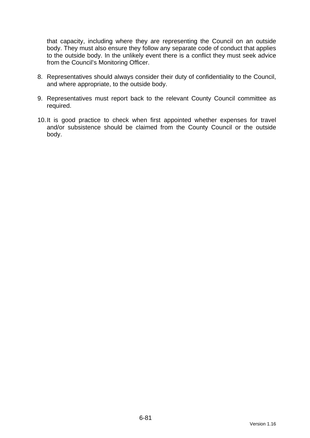that capacity, including where they are representing the Council on an outside body. They must also ensure they follow any separate code of conduct that applies to the outside body. In the unlikely event there is a conflict they must seek advice from the Council's Monitoring Officer.

- 8. Representatives should always consider their duty of confidentiality to the Council, and where appropriate, to the outside body.
- 9. Representatives must report back to the relevant County Council committee as required.
- 10.It is good practice to check when first appointed whether expenses for travel and/or subsistence should be claimed from the County Council or the outside body.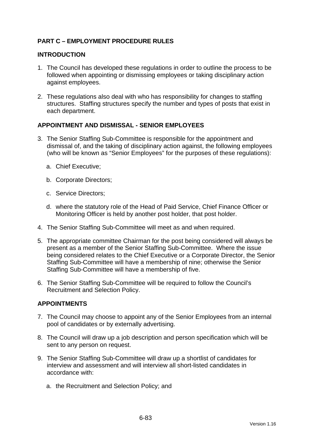# **PART C – EMPLOYMENT PROCEDURE RULES**

## **INTRODUCTION**

- 1. The Council has developed these regulations in order to outline the process to be followed when appointing or dismissing employees or taking disciplinary action against employees.
- 2. These regulations also deal with who has responsibility for changes to staffing structures. Staffing structures specify the number and types of posts that exist in each department.

## **APPOINTMENT AND DISMISSAL - SENIOR EMPLOYEES**

- 3. The Senior Staffing Sub-Committee is responsible for the appointment and dismissal of, and the taking of disciplinary action against, the following employees (who will be known as "Senior Employees" for the purposes of these regulations):
	- a. Chief Executive;
	- b. Corporate Directors;
	- c. Service Directors;
	- d. where the statutory role of the Head of Paid Service, Chief Finance Officer or Monitoring Officer is held by another post holder, that post holder.
- 4. The Senior Staffing Sub-Committee will meet as and when required.
- 5. The appropriate committee Chairman for the post being considered will always be present as a member of the Senior Staffing Sub-Committee. Where the issue being considered relates to the Chief Executive or a Corporate Director, the Senior Staffing Sub-Committee will have a membership of nine; otherwise the Senior Staffing Sub-Committee will have a membership of five.
- 6. The Senior Staffing Sub-Committee will be required to follow the Council's Recruitment and Selection Policy.

### **APPOINTMENTS**

- 7. The Council may choose to appoint any of the Senior Employees from an internal pool of candidates or by externally advertising.
- 8. The Council will draw up a job description and person specification which will be sent to any person on request.
- 9. The Senior Staffing Sub-Committee will draw up a shortlist of candidates for interview and assessment and will interview all short-listed candidates in accordance with:
	- a. the Recruitment and Selection Policy; and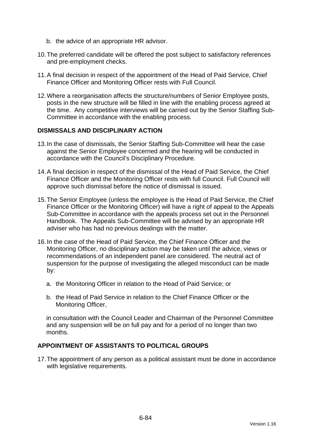- b. the advice of an appropriate HR advisor.
- 10.The preferred candidate will be offered the post subject to satisfactory references and pre-employment checks.
- 11.A final decision in respect of the appointment of the Head of Paid Service, Chief Finance Officer and Monitoring Officer rests with Full Council.
- 12.Where a reorganisation affects the structure/numbers of Senior Employee posts, posts in the new structure will be filled in line with the enabling process agreed at the time. Any competitive interviews will be carried out by the Senior Staffing Sub-Committee in accordance with the enabling process.

### **DISMISSALS AND DISCIPLINARY ACTION**

- 13.In the case of dismissals, the Senior Staffing Sub-Committee will hear the case against the Senior Employee concerned and the hearing will be conducted in accordance with the Council's Disciplinary Procedure.
- 14.A final decision in respect of the dismissal of the Head of Paid Service, the Chief Finance Officer and the Monitoring Officer rests with full Council. Full Council will approve such dismissal before the notice of dismissal is issued.
- 15.The Senior Employee (unless the employee is the Head of Paid Service, the Chief Finance Officer or the Monitoring Officer) will have a right of appeal to the Appeals Sub-Committee in accordance with the appeals process set out in the Personnel Handbook. The Appeals Sub-Committee will be advised by an appropriate HR adviser who has had no previous dealings with the matter.
- 16.In the case of the Head of Paid Service, the Chief Finance Officer and the Monitoring Officer, no disciplinary action may be taken until the advice, views or recommendations of an independent panel are considered. The neutral act of suspension for the purpose of investigating the alleged misconduct can be made by:
	- a. the Monitoring Officer in relation to the Head of Paid Service; or
	- b. the Head of Paid Service in relation to the Chief Finance Officer or the Monitoring Officer,

in consultation with the Council Leader and Chairman of the Personnel Committee and any suspension will be on full pay and for a period of no longer than two months.

## **APPOINTMENT OF ASSISTANTS TO POLITICAL GROUPS**

17.The appointment of any person as a political assistant must be done in accordance with legislative requirements.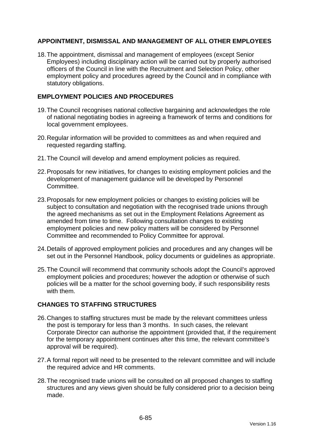# **APPOINTMENT, DISMISSAL AND MANAGEMENT OF ALL OTHER EMPLOYEES**

18.The appointment, dismissal and management of employees (except Senior Employees) including disciplinary action will be carried out by properly authorised officers of the Council in line with the Recruitment and Selection Policy, other employment policy and procedures agreed by the Council and in compliance with statutory obligations.

## **EMPLOYMENT POLICIES AND PROCEDURES**

- 19.The Council recognises national collective bargaining and acknowledges the role of national negotiating bodies in agreeing a framework of terms and conditions for local government employees.
- 20.Regular information will be provided to committees as and when required and requested regarding staffing.
- 21.The Council will develop and amend employment policies as required.
- 22.Proposals for new initiatives, for changes to existing employment policies and the development of management guidance will be developed by Personnel Committee.
- 23.Proposals for new employment policies or changes to existing policies will be subject to consultation and negotiation with the recognised trade unions through the agreed mechanisms as set out in the Employment Relations Agreement as amended from time to time. Following consultation changes to existing employment policies and new policy matters will be considered by Personnel Committee and recommended to Policy Committee for approval.
- 24.Details of approved employment policies and procedures and any changes will be set out in the Personnel Handbook, policy documents or guidelines as appropriate.
- 25.The Council will recommend that community schools adopt the Council's approved employment policies and procedures; however the adoption or otherwise of such policies will be a matter for the school governing body, if such responsibility rests with them.

# **CHANGES TO STAFFING STRUCTURES**

- 26.Changes to staffing structures must be made by the relevant committees unless the post is temporary for less than 3 months. In such cases, the relevant Corporate Director can authorise the appointment (provided that, if the requirement for the temporary appointment continues after this time, the relevant committee's approval will be required).
- 27.A formal report will need to be presented to the relevant committee and will include the required advice and HR comments.
- 28.The recognised trade unions will be consulted on all proposed changes to staffing structures and any views given should be fully considered prior to a decision being made.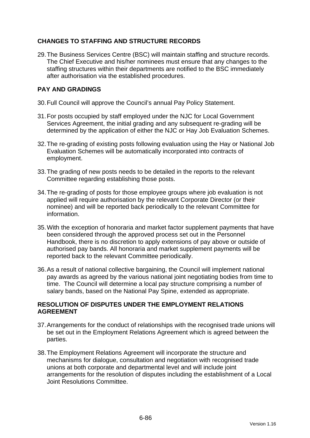# **CHANGES TO STAFFING AND STRUCTURE RECORDS**

29.The Business Services Centre (BSC) will maintain staffing and structure records. The Chief Executive and his/her nominees must ensure that any changes to the staffing structures within their departments are notified to the BSC immediately after authorisation via the established procedures.

# **PAY AND GRADINGS**

- 30.Full Council will approve the Council's annual Pay Policy Statement.
- 31.For posts occupied by staff employed under the NJC for Local Government Services Agreement, the initial grading and any subsequent re-grading will be determined by the application of either the NJC or Hay Job Evaluation Schemes.
- 32.The re-grading of existing posts following evaluation using the Hay or National Job Evaluation Schemes will be automatically incorporated into contracts of employment.
- 33.The grading of new posts needs to be detailed in the reports to the relevant Committee regarding establishing those posts.
- 34.The re-grading of posts for those employee groups where job evaluation is not applied will require authorisation by the relevant Corporate Director (or their nominee) and will be reported back periodically to the relevant Committee for information.
- 35.With the exception of honoraria and market factor supplement payments that have been considered through the approved process set out in the Personnel Handbook, there is no discretion to apply extensions of pay above or outside of authorised pay bands. All honoraria and market supplement payments will be reported back to the relevant Committee periodically.
- 36.As a result of national collective bargaining, the Council will implement national pay awards as agreed by the various national joint negotiating bodies from time to time. The Council will determine a local pay structure comprising a number of salary bands, based on the National Pay Spine, extended as appropriate.

# **RESOLUTION OF DISPUTES UNDER THE EMPLOYMENT RELATIONS AGREEMENT**

- 37.Arrangements for the conduct of relationships with the recognised trade unions will be set out in the Employment Relations Agreement which is agreed between the parties.
- 38.The Employment Relations Agreement will incorporate the structure and mechanisms for dialogue, consultation and negotiation with recognised trade unions at both corporate and departmental level and will include joint arrangements for the resolution of disputes including the establishment of a Local Joint Resolutions Committee.